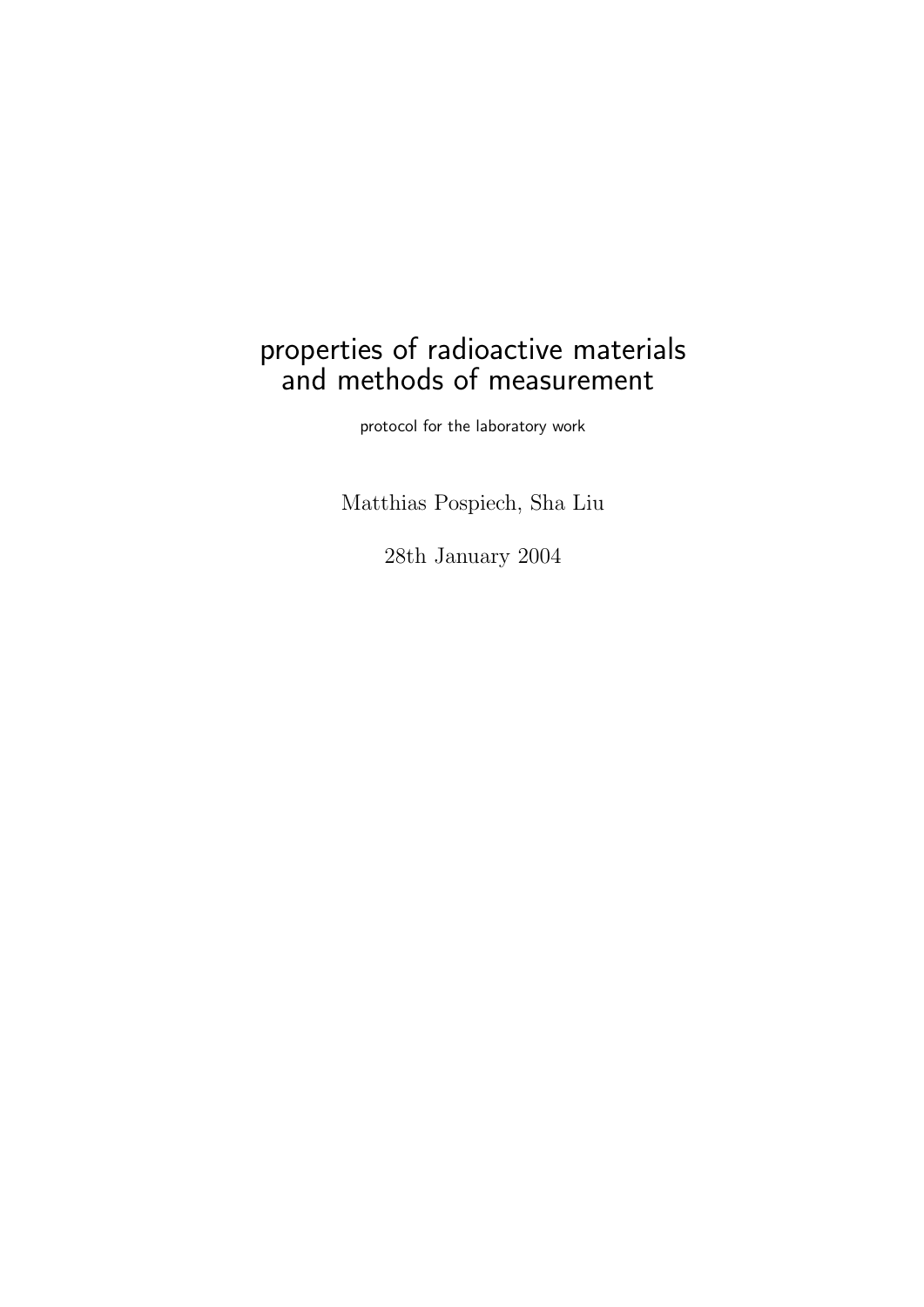# properties of radioactive materials and methods of measurement

protocol for the laboratory work

Matthias Pospiech, Sha Liu

28th January 2004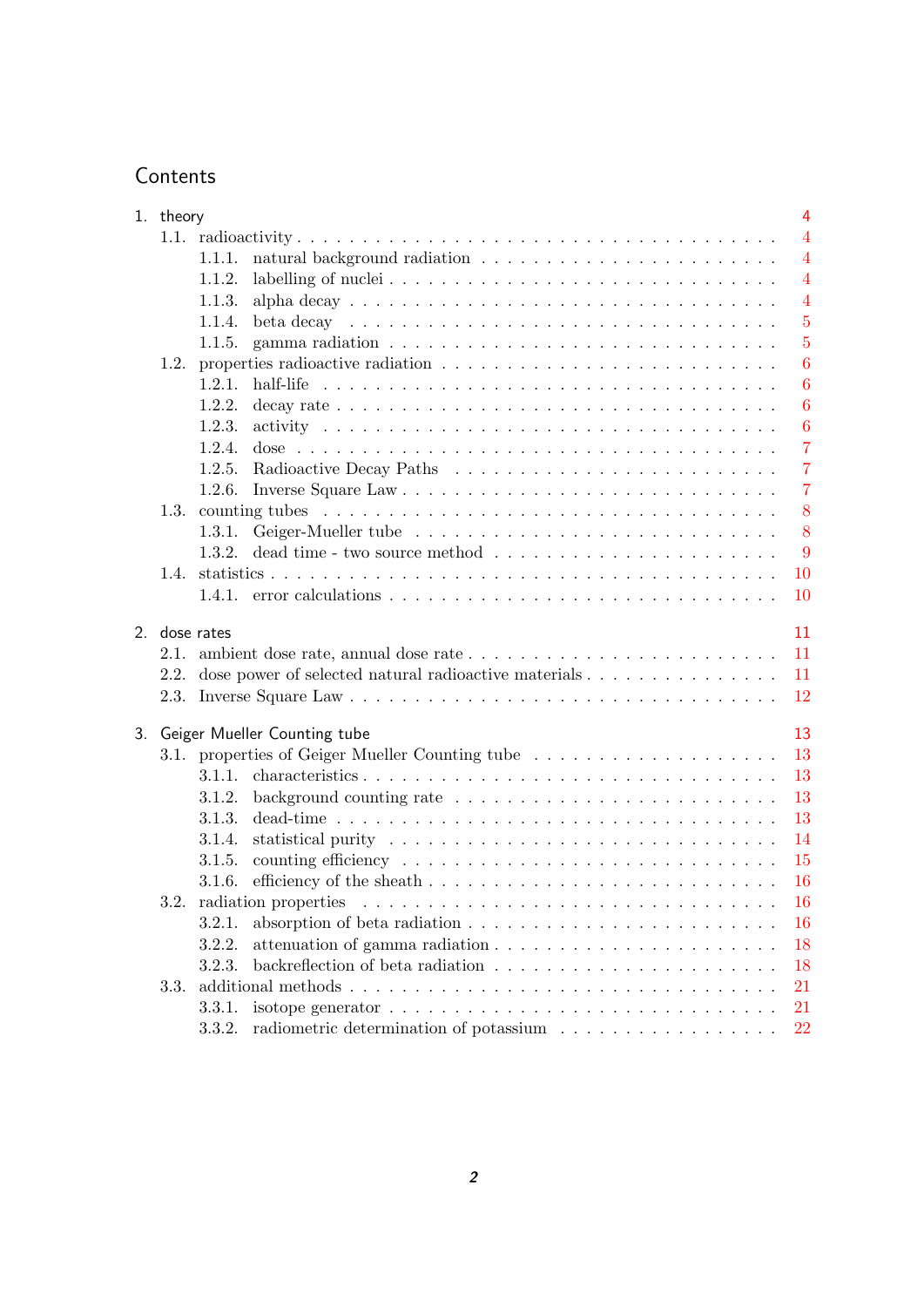## **Contents**

|    | 1. theory |               | $\overline{4}$                                                                                              |
|----|-----------|---------------|-------------------------------------------------------------------------------------------------------------|
|    |           |               | $\overline{4}$                                                                                              |
|    |           | 1.1.1.        | $\overline{4}$                                                                                              |
|    |           | 1.1.2.        | $\overline{4}$                                                                                              |
|    |           | 1.1.3.        | $\overline{4}$                                                                                              |
|    |           | 1.1.4.        | $\overline{5}$<br>beta decay $\ldots \ldots \ldots \ldots \ldots \ldots \ldots \ldots \ldots \ldots \ldots$ |
|    |           | 1.1.5.        | $\overline{5}$                                                                                              |
|    |           |               | $\boldsymbol{6}$                                                                                            |
|    |           | 1.2.1.        | $\boldsymbol{6}$                                                                                            |
|    |           | 1.2.2.        | 6                                                                                                           |
|    |           | 1.2.3.        | $\boldsymbol{6}$                                                                                            |
|    |           | 1.2.4.        | $\overline{7}$                                                                                              |
|    |           |               | $\overline{7}$                                                                                              |
|    |           |               | $\overline{7}$                                                                                              |
|    |           |               | 8                                                                                                           |
|    |           |               | 8                                                                                                           |
|    |           |               | 9                                                                                                           |
|    | 1.4.      |               | 10                                                                                                          |
|    |           |               | 10                                                                                                          |
|    |           | 2. dose rates | 11                                                                                                          |
|    |           |               | 2.1. ambient dose rate, annual dose rate $\dots \dots \dots \dots \dots \dots \dots \dots \dots$<br>11      |
|    |           |               | 2.2. dose power of selected natural radioactive materials<br>11                                             |
|    |           |               | 12                                                                                                          |
| 3. |           |               | 13<br>Geiger Mueller Counting tube                                                                          |
|    |           |               | 13<br>3.1. properties of Geiger Mueller Counting tube                                                       |
|    |           |               | 13                                                                                                          |
|    |           | 3.1.2.        | 13                                                                                                          |
|    |           | 3.1.3.        | 13<br>dead-time $\ldots \ldots \ldots \ldots \ldots \ldots \ldots \ldots \ldots \ldots \ldots \ldots$       |
|    |           | 3.1.4.        | 14                                                                                                          |
|    |           | 3.1.5.        | 15                                                                                                          |
|    |           | 3.1.6.        | <b>16</b>                                                                                                   |
|    | 3.2.      |               | radiation properties<br><b>16</b>                                                                           |
|    |           | 3.2.1.        | 16                                                                                                          |
|    |           | 3.2.2.        | 18                                                                                                          |
|    |           | 3.2.3.        | 18                                                                                                          |
|    | 3.3.      |               | 21                                                                                                          |
|    |           | 3.3.1.        | isotope generator $\ldots \ldots \ldots \ldots \ldots \ldots \ldots \ldots \ldots \ldots$<br>21             |
|    |           | 3.3.2.        | 22                                                                                                          |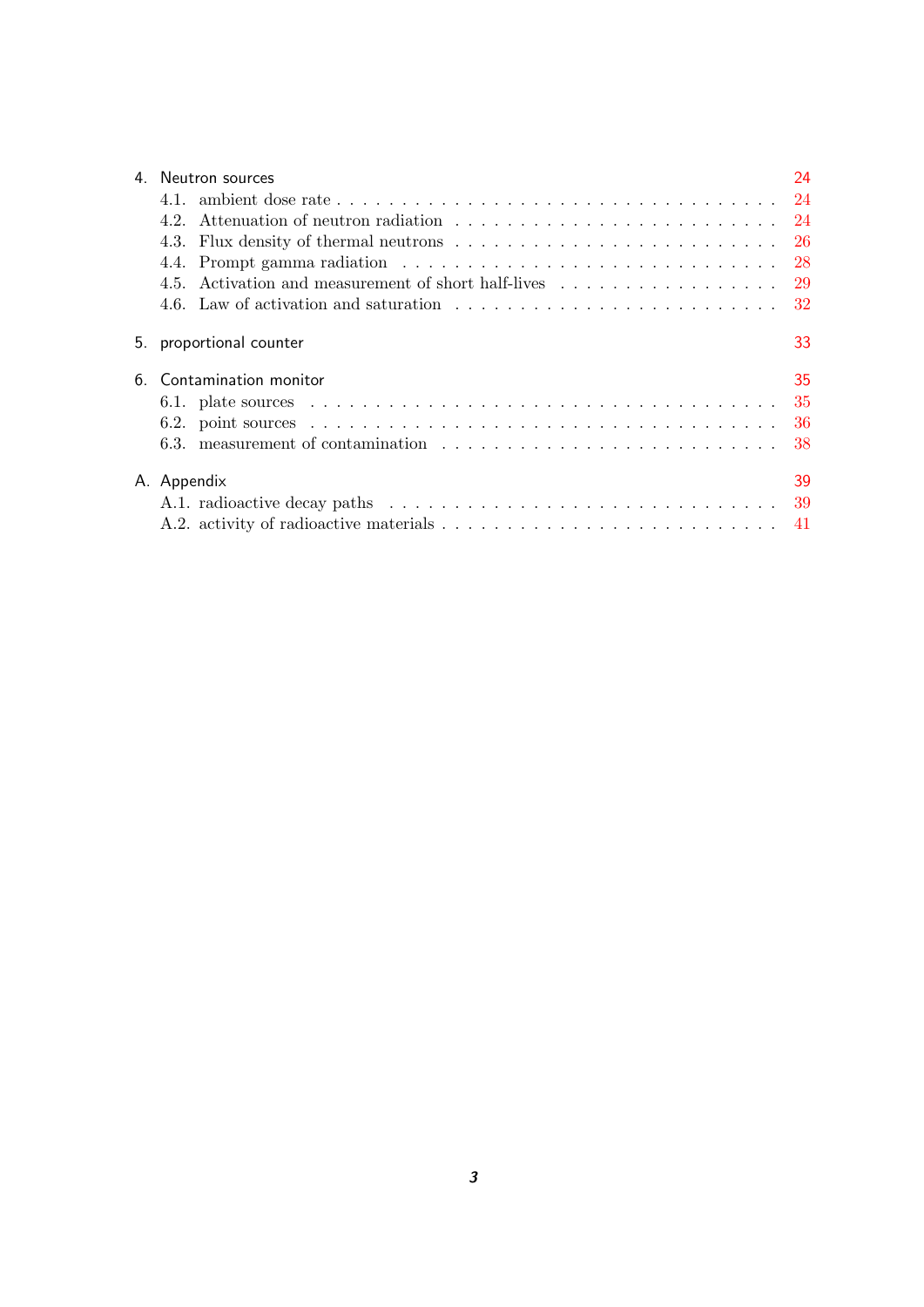| 4. Neutron sources                                         | 24 |
|------------------------------------------------------------|----|
|                                                            |    |
|                                                            |    |
|                                                            |    |
|                                                            |    |
| 4.5. Activation and measurement of short half-lives 29     |    |
|                                                            |    |
| 5. proportional counter                                    | 33 |
| 6. Contamination monitor                                   | 35 |
|                                                            |    |
|                                                            |    |
| 6.3. measurement of contamination $\ldots$ , , , , , ,  38 |    |
| A. Appendix                                                | 39 |
|                                                            |    |
|                                                            |    |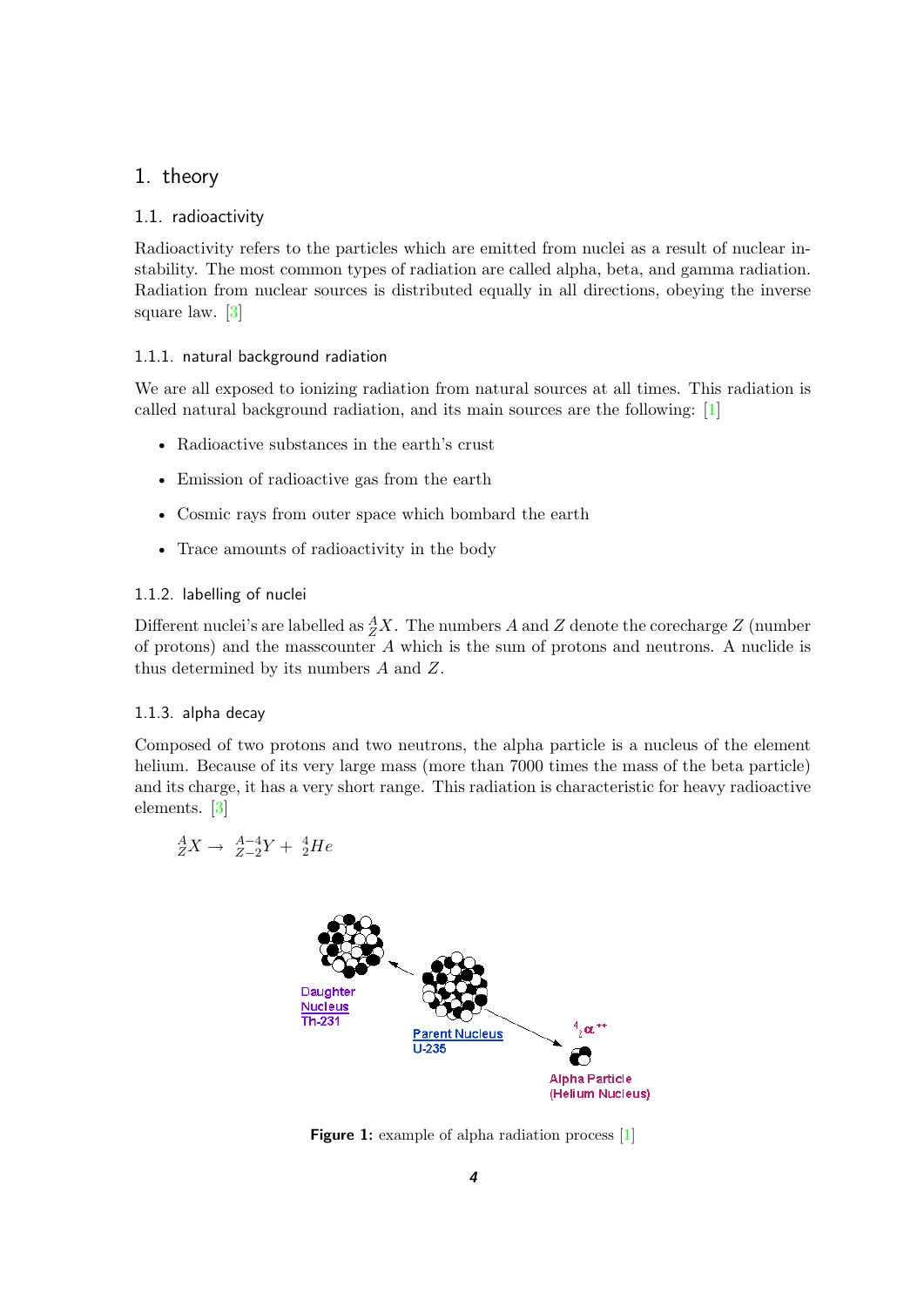## <span id="page-3-0"></span>1. theory

#### <span id="page-3-1"></span>1.1. radioactivity

Radioactivity refers to the particles which are emitted from nuclei as a result of nuclear instability. The most common types of radiation are called alpha, beta, and gamma radiation. Radiation from nuclear sources is distributed equally in all directions, obeying the inverse square law. [\[3\]](#page-43-0)

#### <span id="page-3-2"></span>1.1.1. natural background radiation

We are all exposed to ionizing radiation from natural sources at all times. This radiation is called natural background radiation, and its main sources are the following: [\[1\]](#page-43-1)

- Radioactive substances in the earth's crust
- Emission of radioactive gas from the earth
- Cosmic rays from outer space which bombard the earth
- Trace amounts of radioactivity in the body

#### <span id="page-3-3"></span>1.1.2. labelling of nuclei

Different nuclei's are labelled as  $^A_ZX$ . The numbers A and Z denote the corecharge Z (number of protons) and the mass counter  $A$  which is the sum of protons and neutrons. A nuclide is thus determined by its numbers A and Z.

#### <span id="page-3-4"></span>1.1.3. alpha decay

Composed of two protons and two neutrons, the alpha particle is a nucleus of the element helium. Because of its very large mass (more than 7000 times the mass of the beta particle) and its charge, it has a very short range. This radiation is characteristic for heavy radioactive elements. [\[3\]](#page-43-0)

$$
^A_ZX \to \ ^{A-4}_{Z-2}Y + \ ^{4}_{2}He
$$

<span id="page-3-5"></span>

**Figure 1:** example of alpha radiation process [\[1\]](#page-43-1)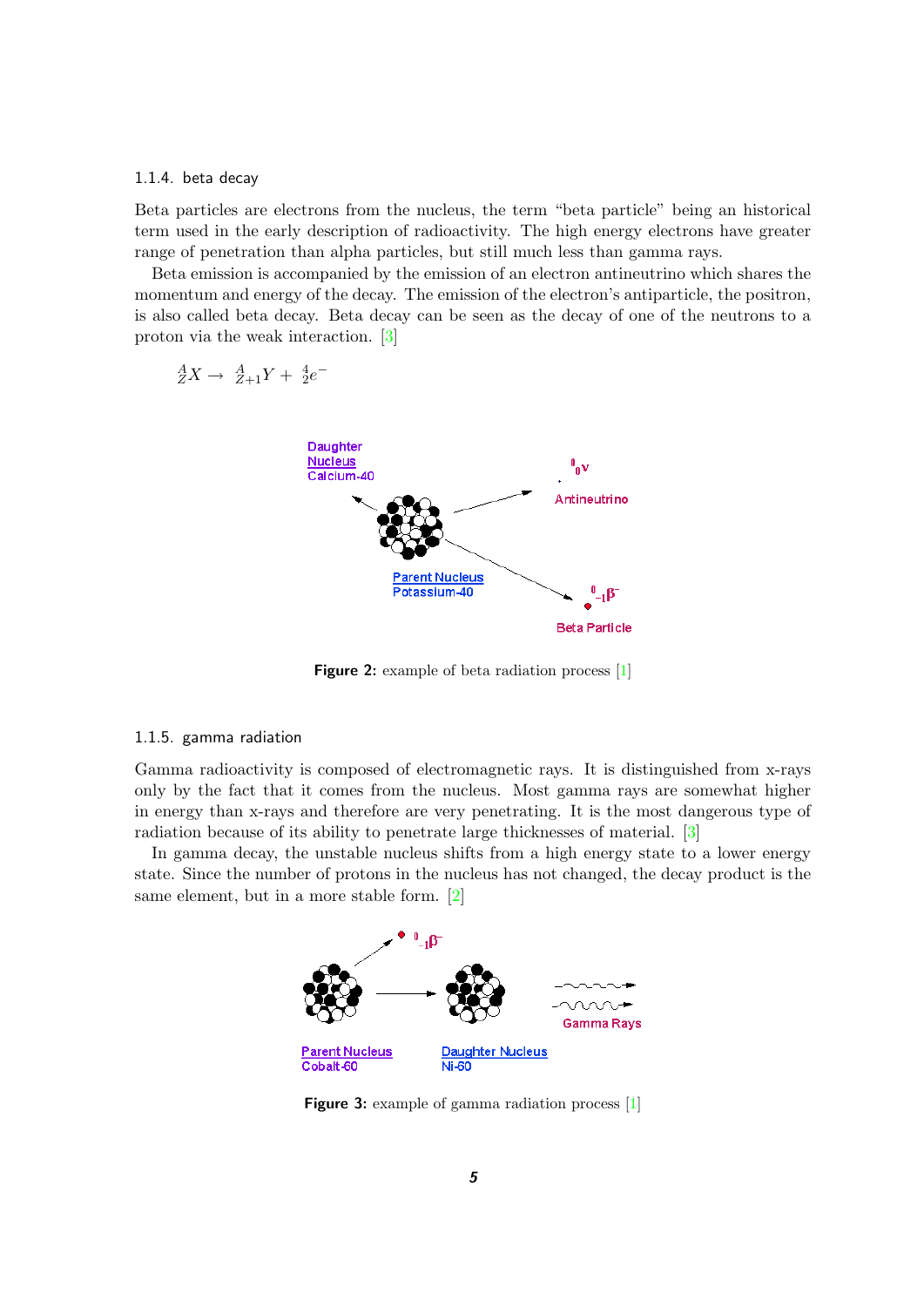#### <span id="page-4-0"></span>1.1.4. beta decay

Beta particles are electrons from the nucleus, the term "beta particle" being an historical term used in the early description of radioactivity. The high energy electrons have greater range of penetration than alpha particles, but still much less than gamma rays.

Beta emission is accompanied by the emission of an electron antineutrino which shares the momentum and energy of the decay. The emission of the electron's antiparticle, the positron, is also called beta decay. Beta decay can be seen as the decay of one of the neutrons to a proton via the weak interaction. [\[3\]](#page-43-0)

| $A$ | $A$ | $2 + 1$ | $1$ |
|-----|-----|---------|-----|
| $A$ | $2$ | $3$     |     |
| $1$ | $1$ |         |     |
| $1$ | $1$ |         |     |
| $1$ | $1$ |         |     |
| $1$ | $1$ |         |     |
| $1$ | $1$ |         |     |
| $1$ | $1$ |         |     |
| $1$ | $1$ |         |     |
| $1$ | $1$ |         |     |
| $1$ | $1$ |         |     |
| $1$ | $1$ |         |     |
| $1$ | $1$ |         |     |
| $1$ | $1$ |         |     |
| $1$ | $1$ |         |     |
| $1$ | $1$ |         |     |
| $1$ | $1$ |         |     |
| $1$ | $1$ |         |     |
| $1$ | $1$ |         |     |
| $1$ | $1$ |         |     |
| $1$ | $1$ |         |     |
| $1$ | $1$ |         |     |
| $1$ | $1$ |         |     |
| $1$ | $1$ |         |     |
| $1$ | $1$ |         |     |

<span id="page-4-2"></span>**Figure 2:** example of beta radiation process [\[1\]](#page-43-1)

#### <span id="page-4-1"></span>1.1.5. gamma radiation

Gamma radioactivity is composed of electromagnetic rays. It is distinguished from x-rays only by the fact that it comes from the nucleus. Most gamma rays are somewhat higher in energy than x-rays and therefore are very penetrating. It is the most dangerous type of radiation because of its ability to penetrate large thicknesses of material. [\[3\]](#page-43-0)

In gamma decay, the unstable nucleus shifts from a high energy state to a lower energy state. Since the number of protons in the nucleus has not changed, the decay product is the same element, but in a more stable form. [\[2\]](#page-43-2)



<span id="page-4-3"></span>**Figure 3:** example of gamma radiation process [\[1\]](#page-43-1)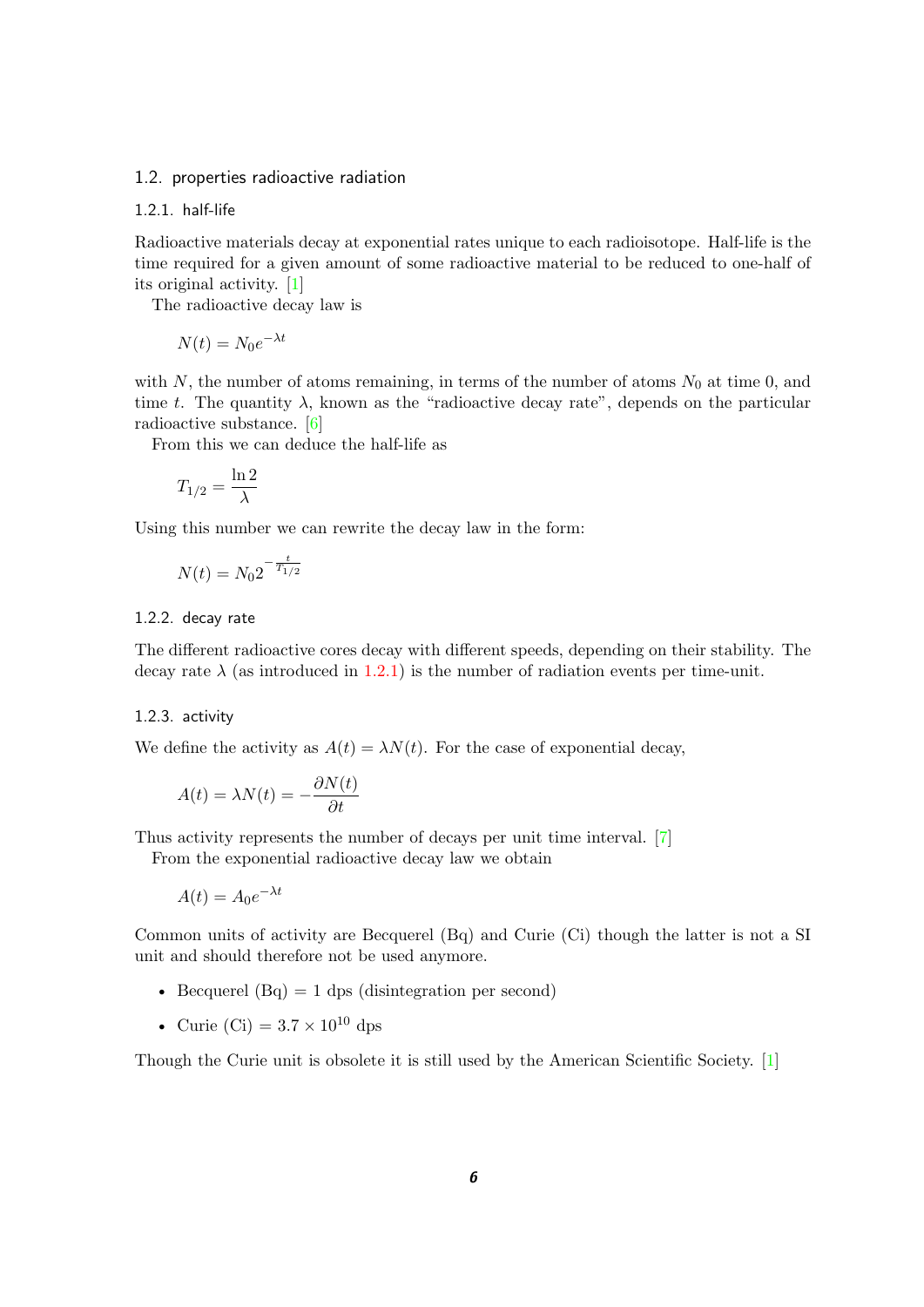#### <span id="page-5-0"></span>1.2. properties radioactive radiation

#### <span id="page-5-1"></span>1.2.1. half-life

Radioactive materials decay at exponential rates unique to each radioisotope. Half-life is the time required for a given amount of some radioactive material to be reduced to one-half of its original activity. [\[1\]](#page-43-1)

The radioactive decay law is

$$
N(t) = N_0 e^{-\lambda t}
$$

with N, the number of atoms remaining, in terms of the number of atoms  $N_0$  at time 0, and time t. The quantity  $\lambda$ , known as the "radioactive decay rate", depends on the particular radioactive substance. [\[6\]](#page-43-3)

From this we can deduce the half-life as

$$
T_{1/2} = \frac{\ln 2}{\lambda}
$$

Using this number we can rewrite the decay law in the form:

$$
N(t) = N_0 2^{-\frac{t}{T_{1/2}}}
$$

#### <span id="page-5-2"></span>1.2.2. decay rate

The different radioactive cores decay with different speeds, depending on their stability. The decay rate  $\lambda$  (as introduced in [1.2.1\)](#page-5-1) is the number of radiation events per time-unit.

#### <span id="page-5-3"></span>1.2.3. activity

We define the activity as  $A(t) = \lambda N(t)$ . For the case of exponential decay,

$$
A(t) = \lambda N(t) = -\frac{\partial N(t)}{\partial t}
$$

Thus activity represents the number of decays per unit time interval. [\[7\]](#page-43-4)

From the exponential radioactive decay law we obtain

$$
A(t) = A_0 e^{-\lambda t}
$$

Common units of activity are Becquerel (Bq) and Curie (Ci) though the latter is not a SI unit and should therefore not be used anymore.

- Becquerel  $(Bq) = 1$  dps (disintegration per second)
- Curie (Ci) =  $3.7 \times 10^{10}$  dps

Though the Curie unit is obsolete it is still used by the American Scientific Society. [\[1\]](#page-43-1)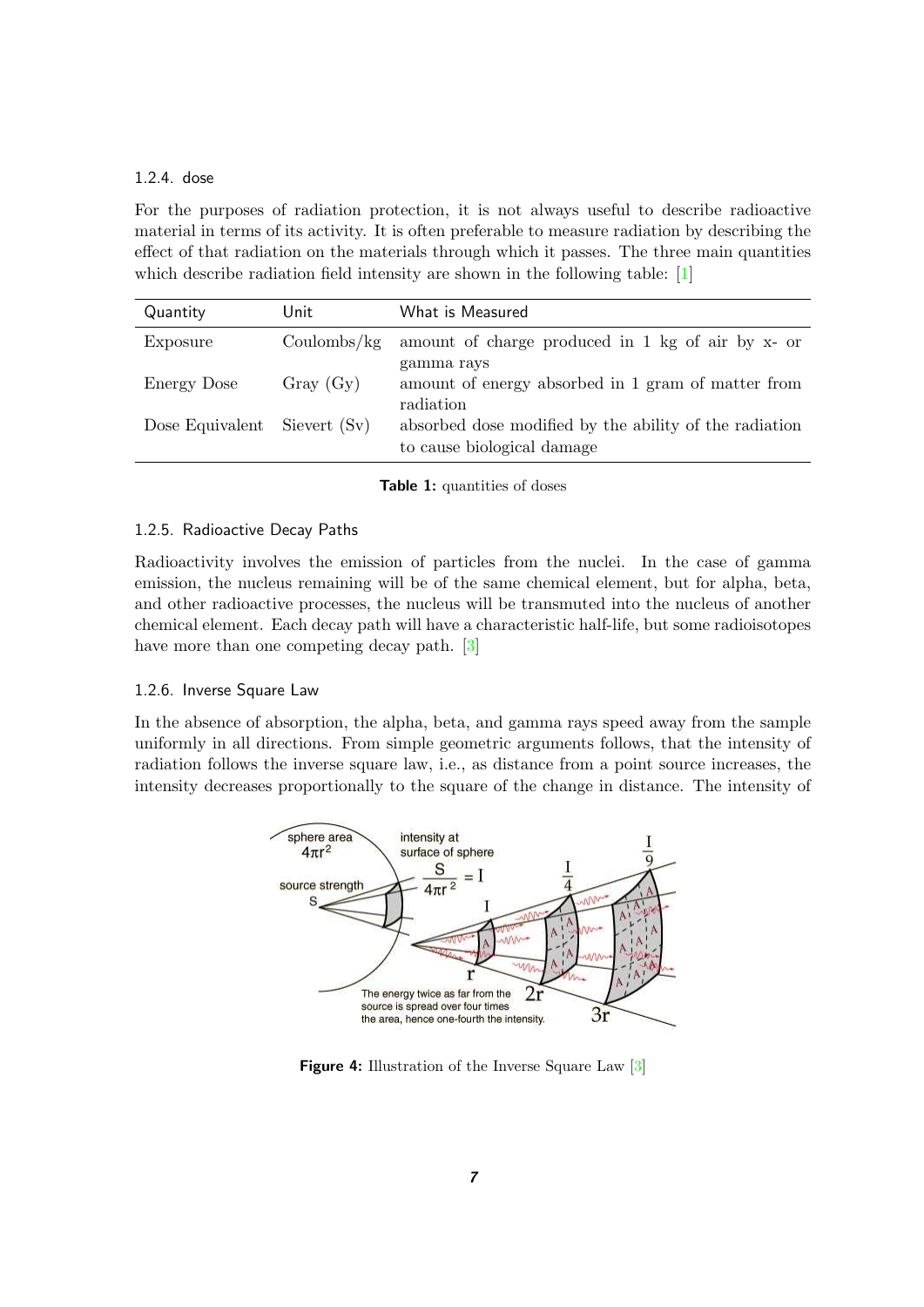#### <span id="page-6-0"></span>1.2.4. dose

For the purposes of radiation protection, it is not always useful to describe radioactive material in terms of its activity. It is often preferable to measure radiation by describing the effect of that radiation on the materials through which it passes. The three main quantities which describe radiation field intensity are shown in the following table: [\[1\]](#page-43-1)

| Quantity        | Unit         | What is Measured                                                                     |
|-----------------|--------------|--------------------------------------------------------------------------------------|
| Exposure        | Coulombs/kg  | amount of charge produced in 1 kg of air by x- or                                    |
| Energy Dose     | Gray (Gy)    | gamma rays<br>amount of energy absorbed in 1 gram of matter from<br>radiation        |
| Dose Equivalent | Sievert (Sv) | absorbed dose modified by the ability of the radiation<br>to cause biological damage |

<span id="page-6-3"></span>**Table 1:** quantities of doses

#### <span id="page-6-1"></span>1.2.5. Radioactive Decay Paths

Radioactivity involves the emission of particles from the nuclei. In the case of gamma emission, the nucleus remaining will be of the same chemical element, but for alpha, beta, and other radioactive processes, the nucleus will be transmuted into the nucleus of another chemical element. Each decay path will have a characteristic half-life, but some radioisotopes have more than one competing decay path. [\[3\]](#page-43-0)

#### <span id="page-6-2"></span>1.2.6. Inverse Square Law

In the absence of absorption, the alpha, beta, and gamma rays speed away from the sample uniformly in all directions. From simple geometric arguments follows, that the intensity of radiation follows the inverse square law, i.e., as distance from a point source increases, the intensity decreases proportionally to the square of the change in distance. The intensity of



<span id="page-6-4"></span>**Figure 4:** Illustration of the Inverse Square Law [\[3\]](#page-43-0)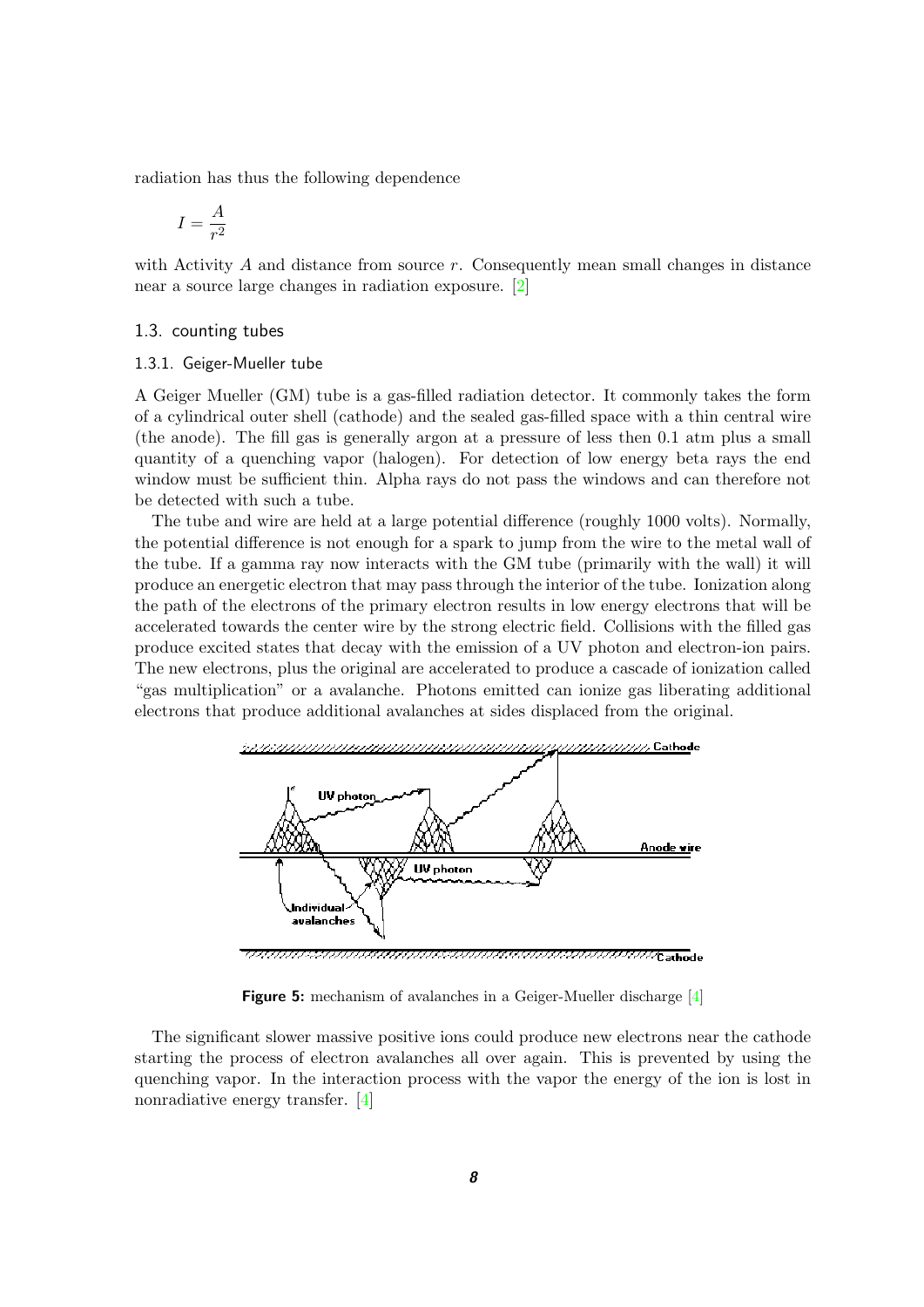radiation has thus the following dependence

$$
I = \frac{A}{r^2}
$$

with Activity  $A$  and distance from source  $r$ . Consequently mean small changes in distance near a source large changes in radiation exposure. [\[2\]](#page-43-2)

#### <span id="page-7-0"></span>1.3. counting tubes

#### <span id="page-7-1"></span>1.3.1. Geiger-Mueller tube

A Geiger Mueller (GM) tube is a gas-filled radiation detector. It commonly takes the form of a cylindrical outer shell (cathode) and the sealed gas-filled space with a thin central wire (the anode). The fill gas is generally argon at a pressure of less then 0.1 atm plus a small quantity of a quenching vapor (halogen). For detection of low energy beta rays the end window must be sufficient thin. Alpha rays do not pass the windows and can therefore not be detected with such a tube.

The tube and wire are held at a large potential difference (roughly 1000 volts). Normally, the potential difference is not enough for a spark to jump from the wire to the metal wall of the tube. If a gamma ray now interacts with the GM tube (primarily with the wall) it will produce an energetic electron that may pass through the interior of the tube. Ionization along the path of the electrons of the primary electron results in low energy electrons that will be accelerated towards the center wire by the strong electric field. Collisions with the filled gas produce excited states that decay with the emission of a UV photon and electron-ion pairs. The new electrons, plus the original are accelerated to produce a cascade of ionization called "gas multiplication" or a avalanche. Photons emitted can ionize gas liberating additional electrons that produce additional avalanches at sides displaced from the original.



<span id="page-7-2"></span>**Figure 5:** mechanism of avalanches in a Geiger-Mueller discharge [\[4\]](#page-43-5)

The significant slower massive positive ions could produce new electrons near the cathode starting the process of electron avalanches all over again. This is prevented by using the quenching vapor. In the interaction process with the vapor the energy of the ion is lost in nonradiative energy transfer. [\[4\]](#page-43-5)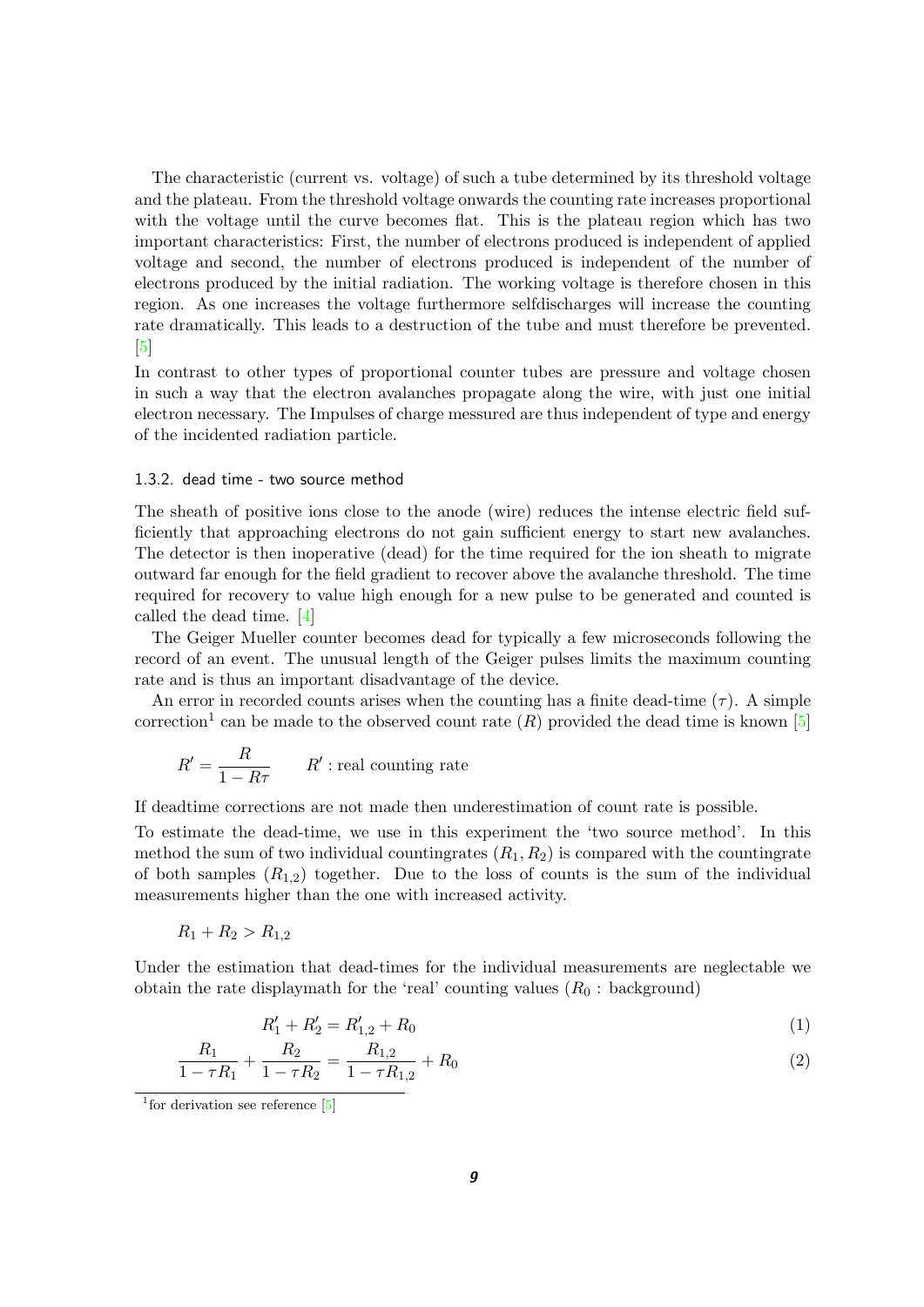The characteristic (current vs. voltage) of such a tube determined by its threshold voltage and the plateau. From the threshold voltage onwards the counting rate increases proportional with the voltage until the curve becomes flat. This is the plateau region which has two important characteristics: First, the number of electrons produced is independent of applied voltage and second, the number of electrons produced is independent of the number of electrons produced by the initial radiation. The working voltage is therefore chosen in this region. As one increases the voltage furthermore selfdischarges will increase the counting rate dramatically. This leads to a destruction of the tube and must therefore be prevented.  $\lceil 5 \rceil$ 

In contrast to other types of proportional counter tubes are pressure and voltage chosen in such a way that the electron avalanches propagate along the wire, with just one initial electron necessary. The Impulses of charge messured are thus independent of type and energy of the incidented radiation particle.

#### <span id="page-8-0"></span>1.3.2. dead time - two source method

The sheath of positive ions close to the anode (wire) reduces the intense electric field sufficiently that approaching electrons do not gain sufficient energy to start new avalanches. The detector is then inoperative (dead) for the time required for the ion sheath to migrate outward far enough for the field gradient to recover above the avalanche threshold. The time required for recovery to value high enough for a new pulse to be generated and counted is called the dead time. [\[4\]](#page-43-5)

The Geiger Mueller counter becomes dead for typically a few microseconds following the record of an event. The unusual length of the Geiger pulses limits the maximum counting rate and is thus an important disadvantage of the device.

An error in recorded counts arises when the counting has a finite dead-time  $(\tau)$ . A simple correction<sup>1</sup> can be made to the observed count rate  $(R)$  provided the dead time is known [\[5\]](#page-43-7)

$$
R' = \frac{R}{1 - R\tau} \qquad R' : \text{real counting rate}
$$

If deadtime corrections are not made then underestimation of count rate is possible.

To estimate the dead-time, we use in this experiment the 'two source method'. In this method the sum of two individual countingrates  $(R_1, R_2)$  is compared with the countingrate of both samples  $(R_{1,2})$  together. Due to the loss of counts is the sum of the individual measurements higher than the one with increased activity.

$$
R_1 + R_2 > R_{1,2}
$$

Under the estimation that dead-times for the individual measurements are neglectable we obtain the rate displaymath for the 'real' counting values  $(R_0:$  background)

$$
R_1' + R_2' = R_{1,2}' + R_0 \tag{1}
$$

$$
\frac{R_1}{1 - \tau R_1} + \frac{R_2}{1 - \tau R_2} = \frac{R_{1,2}}{1 - \tau R_{1,2}} + R_0
$$
\n<sup>(2)</sup>

<sup>&</sup>lt;sup>1</sup> for derivation see reference [\[5\]](#page-43-7)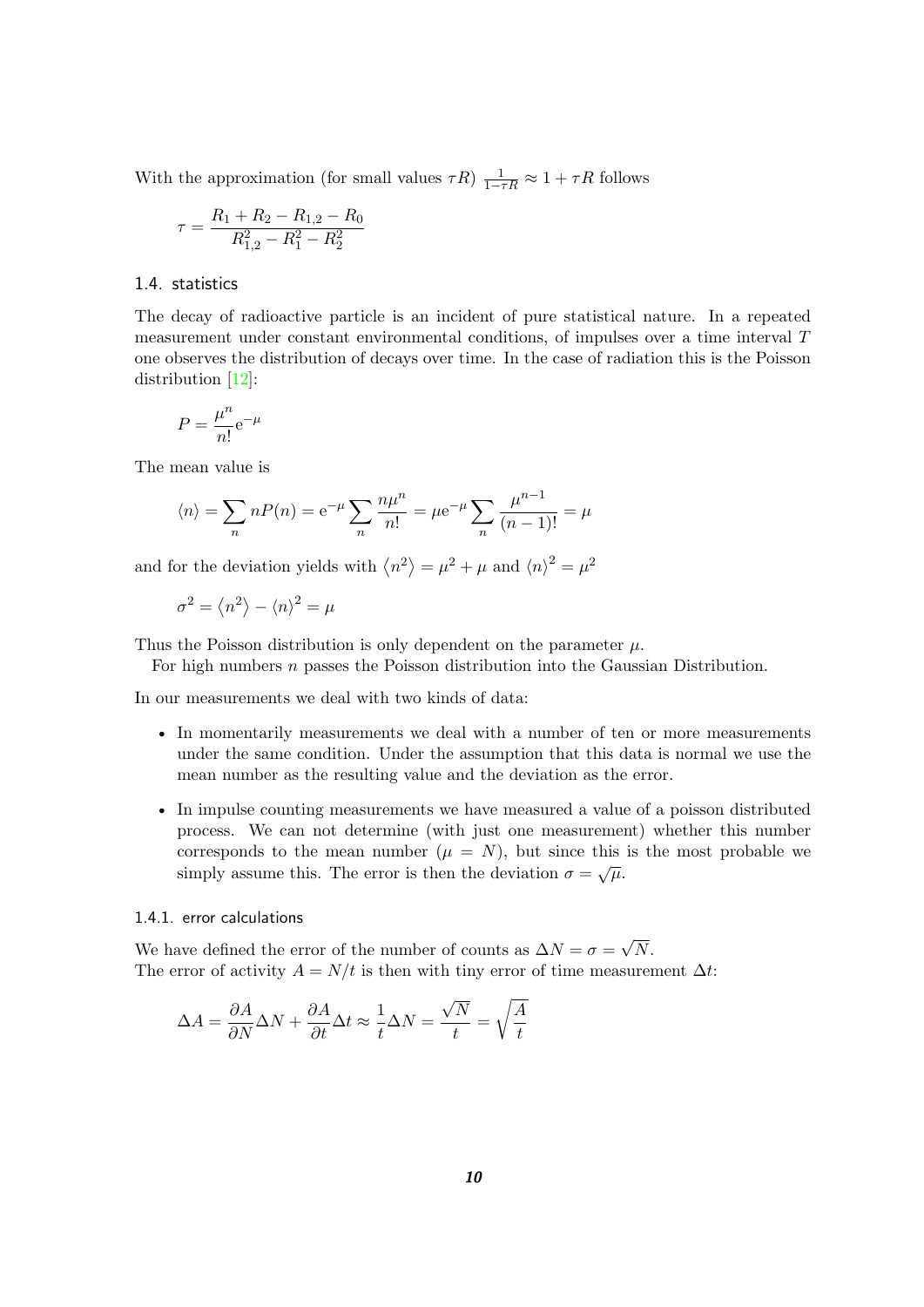With the approximation (for small values  $\tau R$ )  $\frac{1}{1-\tau R} \approx 1 + \tau R$  follows

$$
\tau = \frac{R_1 + R_2 - R_{1,2} - R_0}{R_{1,2}^2 - R_1^2 - R_2^2}
$$

#### <span id="page-9-0"></span>1.4. statistics

The decay of radioactive particle is an incident of pure statistical nature. In a repeated measurement under constant environmental conditions, of impulses over a time interval T one observes the distribution of decays over time. In the case of radiation this is the Poisson distribution [\[12\]](#page-43-8):

$$
P = \frac{\mu^n}{n!} e^{-\mu}
$$

The mean value is

$$
\langle n \rangle = \sum_{n} nP(n) = e^{-\mu} \sum_{n} \frac{n\mu^{n}}{n!} = \mu e^{-\mu} \sum_{n} \frac{\mu^{n-1}}{(n-1)!} = \mu
$$

and for the deviation yields with  $\langle n^2 \rangle = \mu^2 + \mu$  and  $\langle n \rangle^2 = \mu^2$ 

$$
\sigma^2 = \left\langle n^2 \right\rangle - \left\langle n \right\rangle^2 = \mu
$$

Thus the Poisson distribution is only dependent on the parameter  $\mu$ .

For high numbers n passes the Poisson distribution into the Gaussian Distribution.

In our measurements we deal with two kinds of data:

- In momentarily measurements we deal with a number of ten or more measurements under the same condition. Under the assumption that this data is normal we use the mean number as the resulting value and the deviation as the error.
- In impulse counting measurements we have measured a value of a poisson distributed process. We can not determine (with just one measurement) whether this number corresponds to the mean number  $(\mu = N)$ , but since this is the most probable we simply assume this. The error is then the deviation  $\sigma = \sqrt{\mu}$ .

#### <span id="page-9-1"></span>1.4.1. error calculations

We have defined the error of the number of counts as  $\Delta N = \sigma =$ √ N. The error of activity  $A = N/t$  is then with tiny error of time measurement  $\Delta t$ :

$$
\Delta A = \frac{\partial A}{\partial N} \Delta N + \frac{\partial A}{\partial t} \Delta t \approx \frac{1}{t} \Delta N = \frac{\sqrt{N}}{t} = \sqrt{\frac{A}{t}}
$$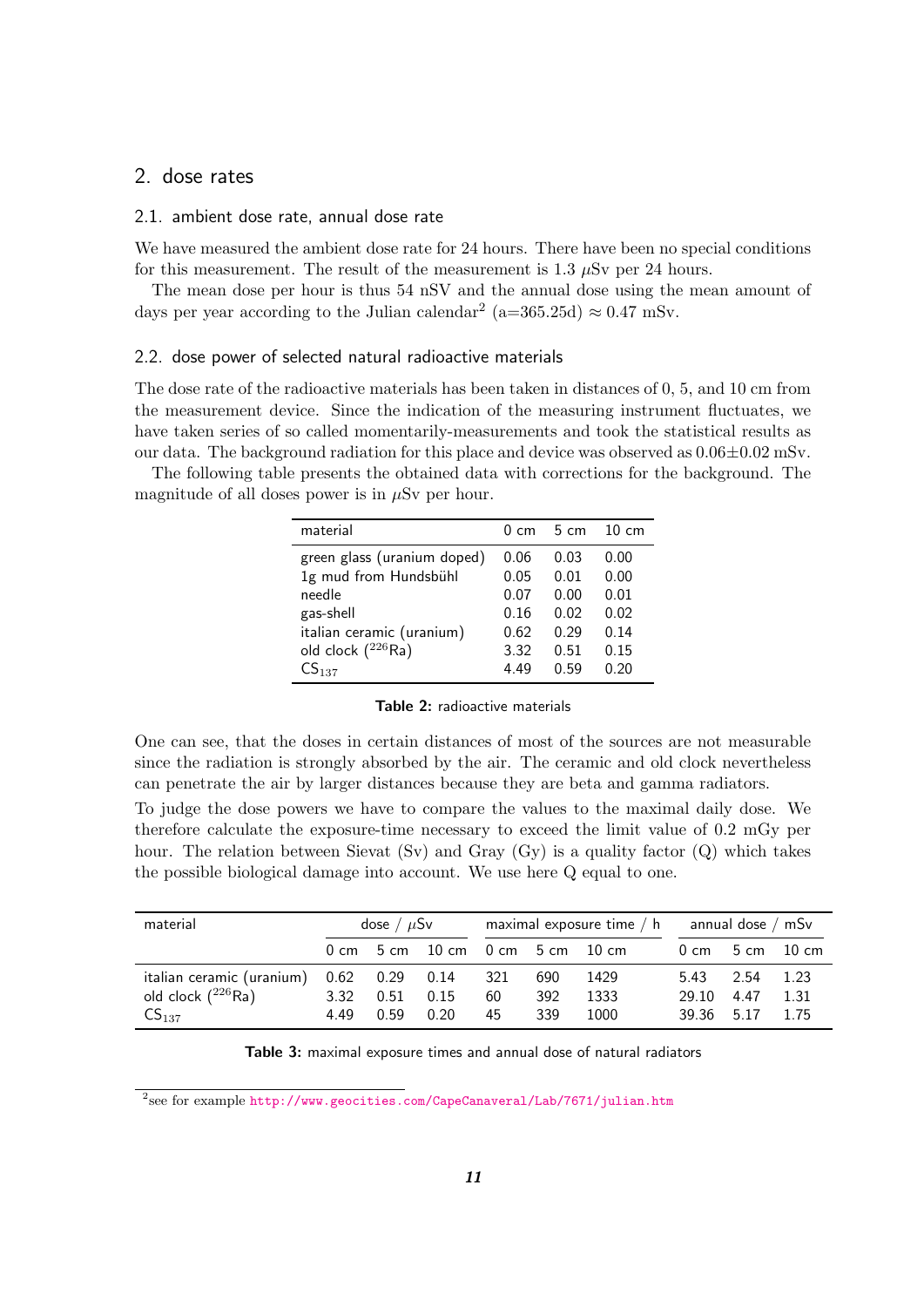## <span id="page-10-0"></span>2. dose rates

#### <span id="page-10-1"></span>2.1. ambient dose rate, annual dose rate

We have measured the ambient dose rate for 24 hours. There have been no special conditions for this measurement. The result of the measurement is  $1.3 \mu Sv$  per 24 hours.

The mean dose per hour is thus 54 nSV and the annual dose using the mean amount of days per year according to the Julian calendar<sup>2</sup> (a=365.25d)  $\approx 0.47$  mSv.

#### <span id="page-10-2"></span>2.2. dose power of selected natural radioactive materials

The dose rate of the radioactive materials has been taken in distances of 0, 5, and 10 cm from the measurement device. Since the indication of the measuring instrument fluctuates, we have taken series of so called momentarily-measurements and took the statistical results as our data. The background radiation for this place and device was observed as  $0.06\pm0.02$  mSv.

The following table presents the obtained data with corrections for the background. The magnitude of all doses power is in  $\mu Sv$  per hour.

| material                    | $0 \, cm$ | $-5$ cm | $10 \text{ cm}$ |
|-----------------------------|-----------|---------|-----------------|
| green glass (uranium doped) | 0.06      | 0.03    | 0.00            |
| 1g mud from Hundsbühl       | 0.05      | 0.01    | 0.00            |
| needle                      | 0.07      | 0.00    | 0.01            |
| gas-shell                   | 0.16      | 0.02    | 0.02            |
| italian ceramic (uranium)   | 0.62      | 0.29    | 0.14            |
| old clock $(^{226}$ Ra)     | 3.32      | 0.51    | 0.15            |
| CS <sub>137</sub>           | 4.49      | በ 59    | 0.20            |

<span id="page-10-4"></span>

One can see, that the doses in certain distances of most of the sources are not measurable since the radiation is strongly absorbed by the air. The ceramic and old clock nevertheless can penetrate the air by larger distances because they are beta and gamma radiators.

To judge the dose powers we have to compare the values to the maximal daily dose. We therefore calculate the exposure-time necessary to exceed the limit value of 0.2 mGy per hour. The relation between Sievat (Sv) and Gray (Gy) is a quality factor (Q) which takes the possible biological damage into account. We use here Q equal to one.

| material                                                            | dose / $\mu$ Sv |      | maximal exposure time $/ h$ annual dose $/ mSv$               |             |            |              |               |                 |                                     |
|---------------------------------------------------------------------|-----------------|------|---------------------------------------------------------------|-------------|------------|--------------|---------------|-----------------|-------------------------------------|
|                                                                     |                 |      | $0 \text{ cm}$ 5 cm $10 \text{ cm}$ 0 cm 5 cm $10 \text{ cm}$ |             |            |              |               |                 | $0 \text{ cm}$ 5 cm $10 \text{ cm}$ |
| italian ceramic (uranium) 0.62 0.29 0.14<br>old clock $(^{226}$ Ra) | 3.32            | 0.51 | 0.15                                                          | - 321<br>60 | 690<br>392 | 1429<br>1333 | 5.43<br>29.10 | 2.54<br>4.47    | 1.23<br>1.31                        |
| $CS_{137}$                                                          | 4.49 0.59       |      | 0.20                                                          | 45          | 339        | 1000         |               | 39.36 5.17 1.75 |                                     |

<span id="page-10-3"></span>**Table 3:** maximal exposure times and annual dose of natural radiators

 $^2$ see for example <http://www.geocities.com/CapeCanaveral/Lab/7671/julian.htm>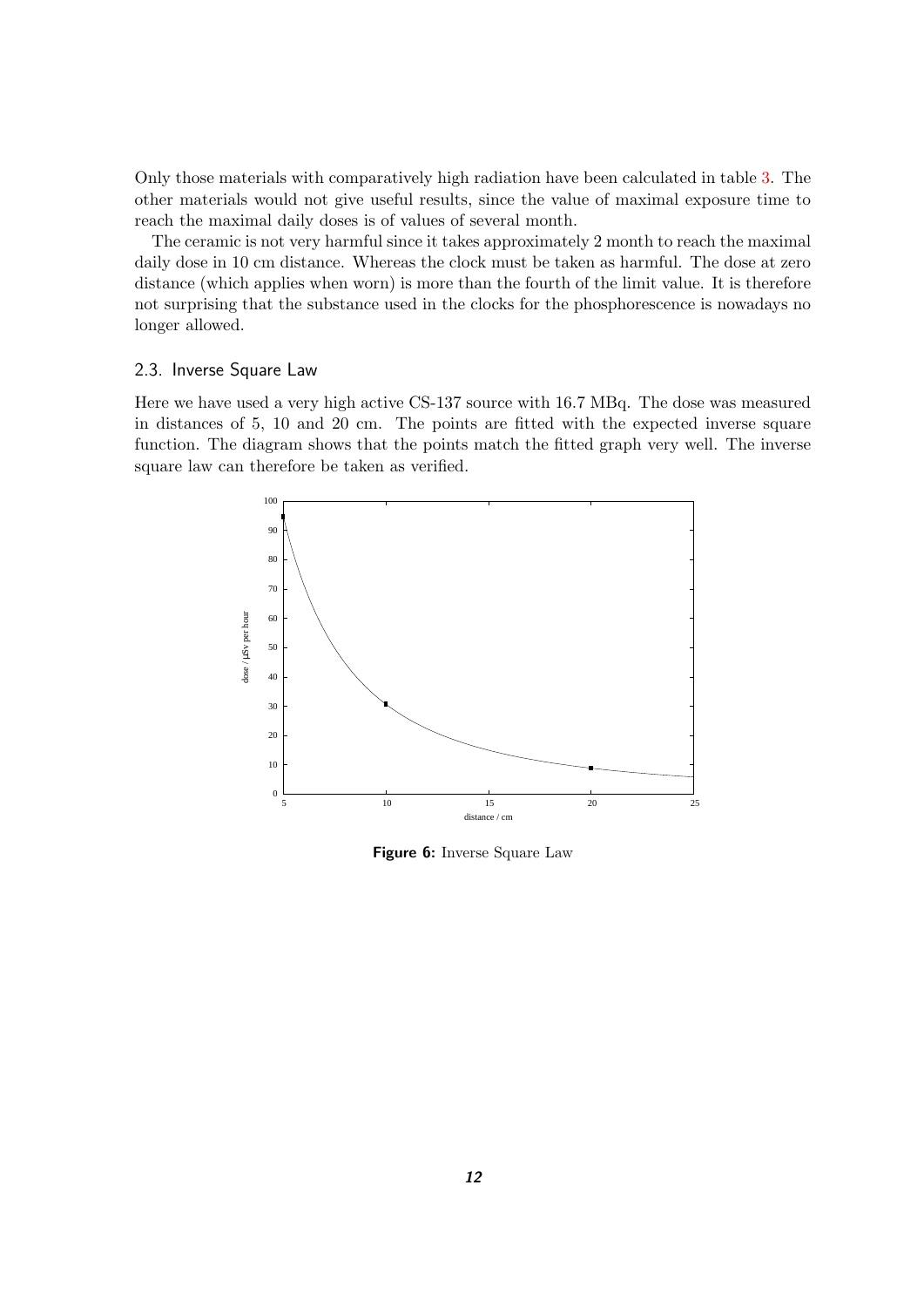Only those materials with comparatively high radiation have been calculated in table [3.](#page-10-3) The other materials would not give useful results, since the value of maximal exposure time to reach the maximal daily doses is of values of several month.

The ceramic is not very harmful since it takes approximately 2 month to reach the maximal daily dose in 10 cm distance. Whereas the clock must be taken as harmful. The dose at zero distance (which applies when worn) is more than the fourth of the limit value. It is therefore not surprising that the substance used in the clocks for the phosphorescence is nowadays no longer allowed.

#### <span id="page-11-0"></span>2.3. Inverse Square Law

Here we have used a very high active CS-137 source with 16.7 MBq. The dose was measured in distances of 5, 10 and 20 cm. The points are fitted with the expected inverse square function. The diagram shows that the points match the fitted graph very well. The inverse square law can therefore be taken as verified.



<span id="page-11-1"></span>**Figure 6:** Inverse Square Law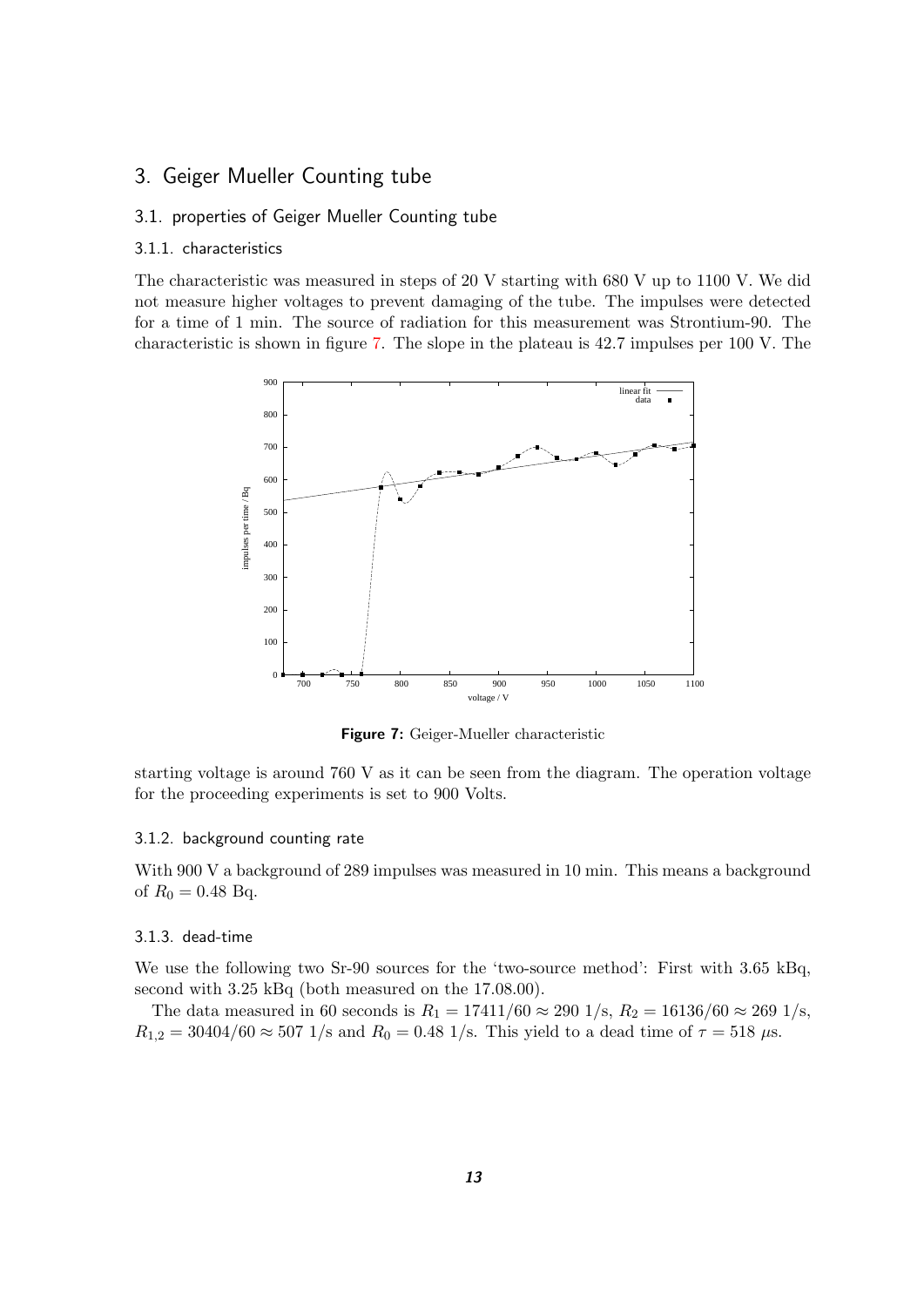## <span id="page-12-0"></span>3. Geiger Mueller Counting tube

### <span id="page-12-1"></span>3.1. properties of Geiger Mueller Counting tube

#### <span id="page-12-2"></span>3.1.1. characteristics

The characteristic was measured in steps of 20 V starting with 680 V up to 1100 V. We did not measure higher voltages to prevent damaging of the tube. The impulses were detected for a time of 1 min. The source of radiation for this measurement was Strontium-90. The characteristic is shown in figure [7.](#page-12-5) The slope in the plateau is 42.7 impulses per 100 V. The



<span id="page-12-5"></span>**Figure 7:** Geiger-Mueller characteristic

starting voltage is around 760 V as it can be seen from the diagram. The operation voltage for the proceeding experiments is set to 900 Volts.

#### <span id="page-12-3"></span>3.1.2. background counting rate

With 900 V a background of 289 impulses was measured in 10 min. This means a background of  $R_0 = 0.48$  Bq.

#### <span id="page-12-4"></span>3.1.3. dead-time

We use the following two Sr-90 sources for the 'two-source method': First with 3.65 kBq, second with 3.25 kBq (both measured on the 17.08.00).

The data measured in 60 seconds is  $R_1 = 17411/60 \approx 290 \frac{1}{s}$ ,  $R_2 = 16136/60 \approx 269 \frac{1}{s}$ ,  $R_{1,2} = 30404/60 \approx 507$  1/s and  $R_0 = 0.48$  1/s. This yield to a dead time of  $\tau = 518$   $\mu$ s.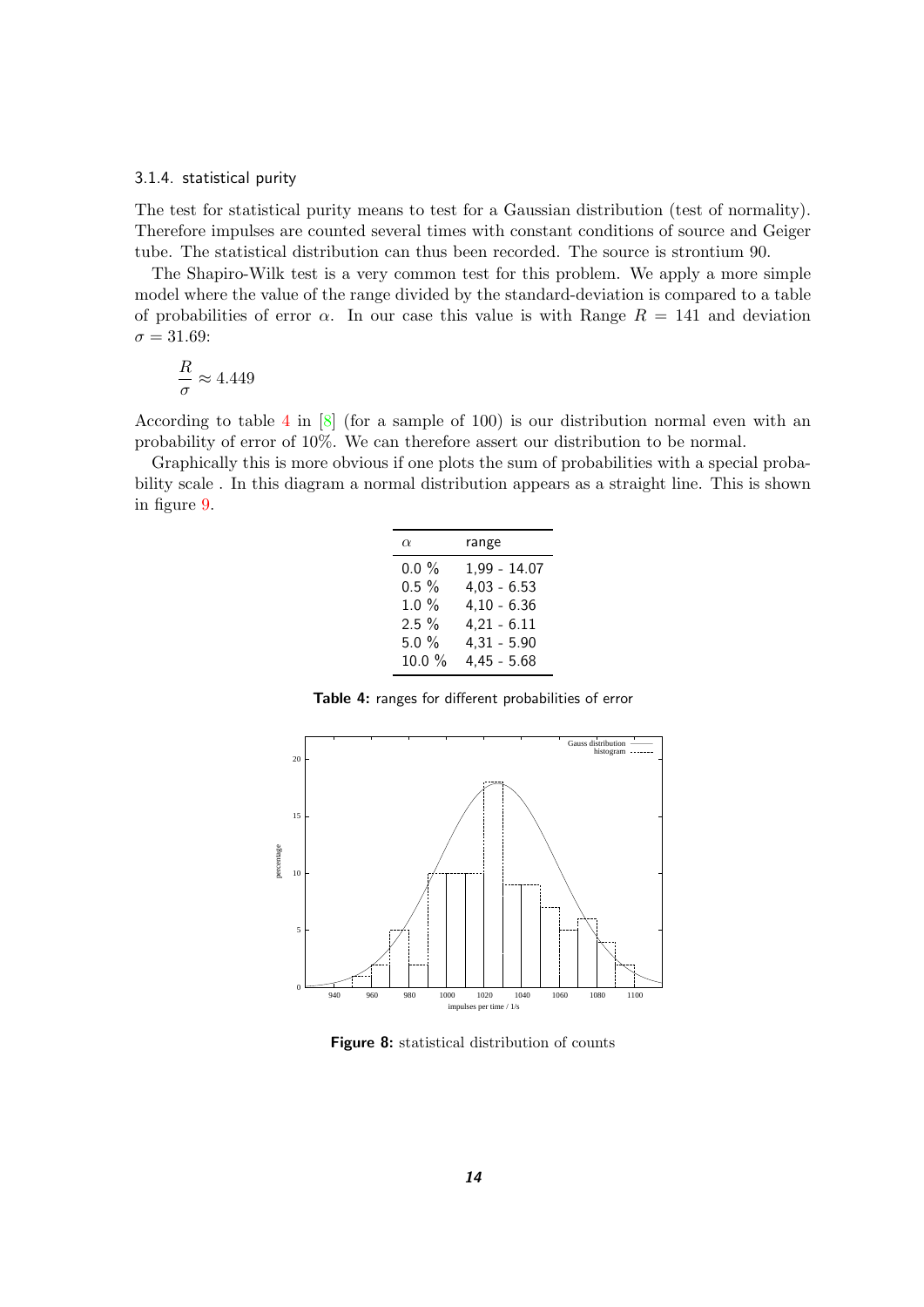#### <span id="page-13-0"></span>3.1.4. statistical purity

The test for statistical purity means to test for a Gaussian distribution (test of normality). Therefore impulses are counted several times with constant conditions of source and Geiger tube. The statistical distribution can thus been recorded. The source is strontium 90.

The Shapiro-Wilk test is a very common test for this problem. We apply a more simple model where the value of the range divided by the standard-deviation is compared to a table of probabilities of error  $\alpha$ . In our case this value is with Range  $R = 141$  and deviation  $\sigma = 31.69:$ 

$$
\frac{R}{\sigma}\approx 4.449
$$

According to table [4](#page-13-1) in [\[8\]](#page-43-9) (for a sample of 100) is our distribution normal even with an probability of error of 10%. We can therefore assert our distribution to be normal.

Graphically this is more obvious if one plots the sum of probabilities with a special probability scale . In this diagram a normal distribution appears as a straight line. This is shown in figure [9.](#page-14-1)

| $\alpha$  | range         |
|-----------|---------------|
| $0.0 \%$  | 1,99 - 14.07  |
| $0.5 \%$  | $4,03 - 6.53$ |
| $1.0 \%$  | $4,10 - 6.36$ |
| 2.5%      | $4,21 - 6.11$ |
| $5.0 \%$  | $4,31 - 5.90$ |
| $10.0 \%$ | $4,45 - 5.68$ |
|           |               |

<span id="page-13-1"></span>**Table 4:** ranges for different probabilities of error



<span id="page-13-2"></span>**Figure 8:** statistical distribution of counts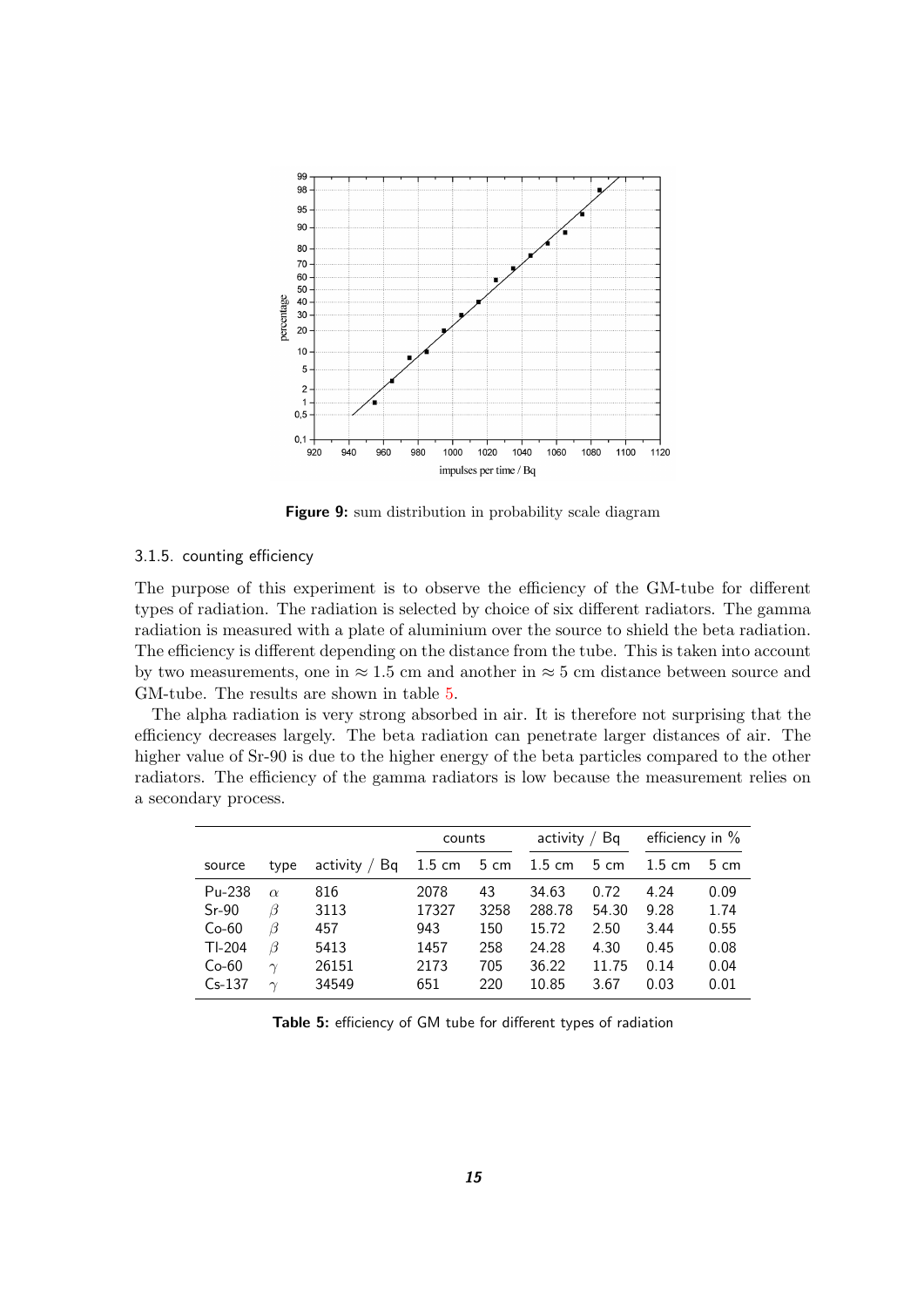

<span id="page-14-1"></span>**Figure 9:** sum distribution in probability scale diagram

#### <span id="page-14-0"></span>3.1.5. counting efficiency

The purpose of this experiment is to observe the efficiency of the GM-tube for different types of radiation. The radiation is selected by choice of six different radiators. The gamma radiation is measured with a plate of aluminium over the source to shield the beta radiation. The efficiency is different depending on the distance from the tube. This is taken into account by two measurements, one in  $\approx 1.5$  cm and another in  $\approx 5$  cm distance between source and GM-tube. The results are shown in table [5.](#page-14-2)

The alpha radiation is very strong absorbed in air. It is therefore not surprising that the efficiency decreases largely. The beta radiation can penetrate larger distances of air. The higher value of Sr-90 is due to the higher energy of the beta particles compared to the other radiators. The efficiency of the gamma radiators is low because the measurement relies on a secondary process.

|          |          |                    |                  | counts |                  | Bq<br>activity |                  | efficiency in $%$ |
|----------|----------|--------------------|------------------|--------|------------------|----------------|------------------|-------------------|
| source   | type     | Bq<br>activity $/$ | $1.5 \text{ cm}$ | 5 cm   | $1.5 \text{ cm}$ | 5 cm           | $1.5 \text{ cm}$ | $5 \text{ cm}$    |
| Pu-238   | $\alpha$ | 816                | 2078             | 43     | 34.63            | 0.72           | 4.24             | 0.09              |
| $Sr-90$  | β        | 3113               | 17327            | 3258   | 288.78           | 54.30          | 9.28             | 1.74              |
| $Co-60$  | β        | 457                | 943              | 150    | 15.72            | 2.50           | 3.44             | 0.55              |
| $TI-204$ | β        | 5413               | 1457             | 258    | 24.28            | 4.30           | 0.45             | 0.08              |
| $Co-60$  | $\gamma$ | 26151              | 2173             | 705    | 36.22            | 11.75          | 0.14             | 0.04              |
| $Cs-137$ | $\sim$   | 34549              | 651              | 220    | 10.85            | 3.67           | 0.03             | 0.01              |

<span id="page-14-2"></span>**Table 5:** efficiency of GM tube for different types of radiation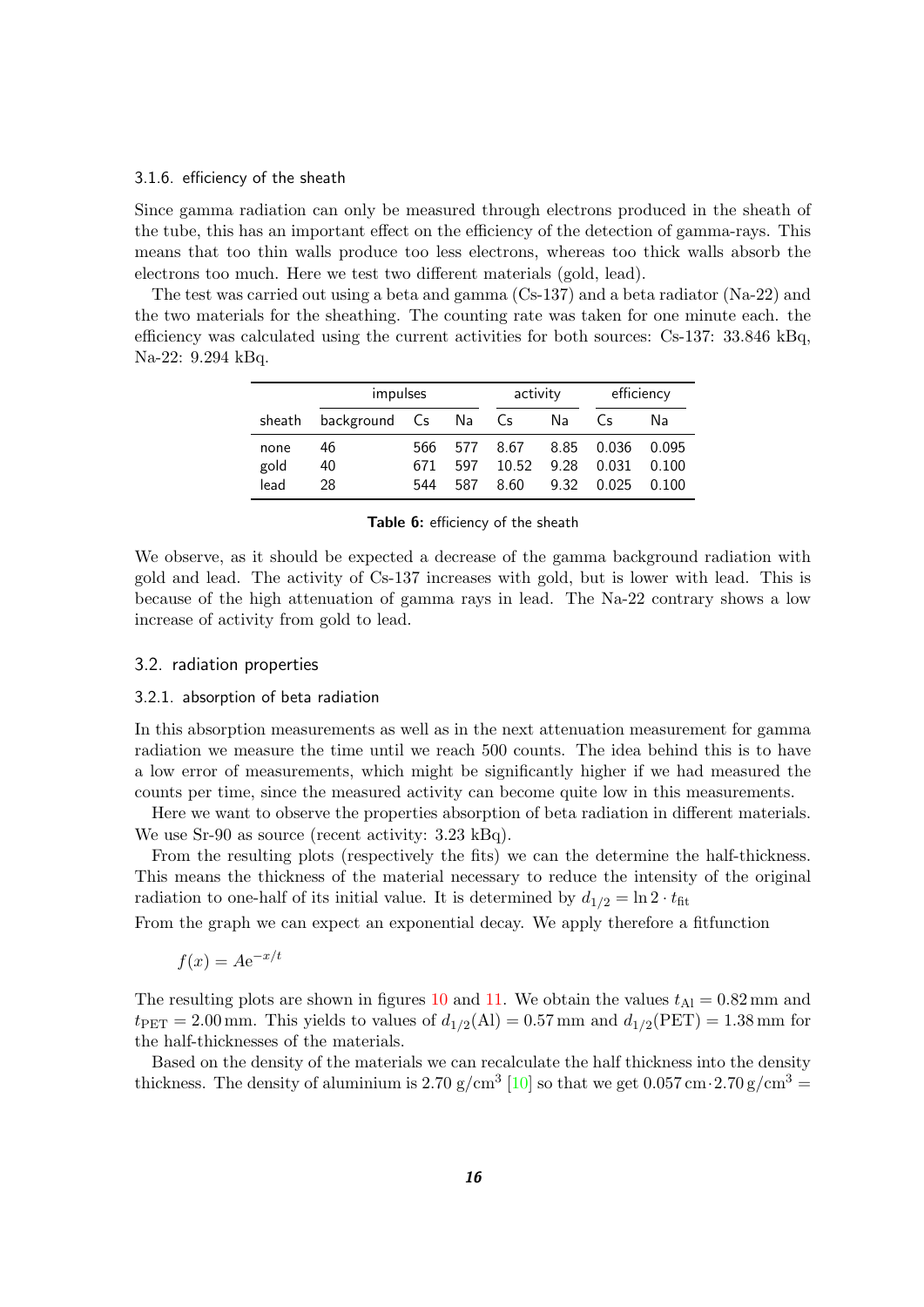#### <span id="page-15-0"></span>3.1.6. efficiency of the sheath

Since gamma radiation can only be measured through electrons produced in the sheath of the tube, this has an important effect on the efficiency of the detection of gamma-rays. This means that too thin walls produce too less electrons, whereas too thick walls absorb the electrons too much. Here we test two different materials (gold, lead).

The test was carried out using a beta and gamma (Cs-137) and a beta radiator (Na-22) and the two materials for the sheathing. The counting rate was taken for one minute each. the efficiency was calculated using the current activities for both sources: Cs-137: 33.846 kBq, Na-22: 9.294 kBq.

|        | impulses            |      |     |       | activity |       | efficiency |  |
|--------|---------------------|------|-----|-------|----------|-------|------------|--|
| sheath | background Cs Na Cs |      |     |       | Na       | ( ⊂⊂  | Nа         |  |
| none   | 46                  | 566. | 577 | 8.67  | 8.85     | 0.036 | 0.095      |  |
| gold   | 40                  | 671  | 597 | 10.52 | 9.28     | 0.031 | 0.100      |  |
| lead   | 28                  | 544  | 587 | 8.60  | 9.32     | 0.025 | 0.100      |  |

<span id="page-15-3"></span>**Table 6:** efficiency of the sheath

We observe, as it should be expected a decrease of the gamma background radiation with gold and lead. The activity of Cs-137 increases with gold, but is lower with lead. This is because of the high attenuation of gamma rays in lead. The Na-22 contrary shows a low increase of activity from gold to lead.

#### <span id="page-15-1"></span>3.2. radiation properties

#### <span id="page-15-2"></span>3.2.1. absorption of beta radiation

In this absorption measurements as well as in the next attenuation measurement for gamma radiation we measure the time until we reach 500 counts. The idea behind this is to have a low error of measurements, which might be significantly higher if we had measured the counts per time, since the measured activity can become quite low in this measurements.

Here we want to observe the properties absorption of beta radiation in different materials. We use Sr-90 as source (recent activity: 3.23 kBq).

From the resulting plots (respectively the fits) we can the determine the half-thickness. This means the thickness of the material necessary to reduce the intensity of the original radiation to one-half of its initial value. It is determined by  $d_{1/2} = \ln 2 \cdot t_{\text{fit}}$ 

From the graph we can expect an exponential decay. We apply therefore a fitfunction

$$
f(x) = Ae^{-x/t}
$$

The resulting plots are shown in figures [10](#page-16-0) and [11.](#page-16-1) We obtain the values  $t_{\text{Al}} = 0.82 \text{ mm}$  and  $t_{\text{PET}} = 2.00 \text{ mm}$ . This yields to values of  $d_{1/2}(\text{Al}) = 0.57 \text{ mm}$  and  $d_{1/2}(\text{PET}) = 1.38 \text{ mm}$  for the half-thicknesses of the materials.

Based on the density of the materials we can recalculate the half thickness into the density thickness. The density of aluminium is 2.70 g/cm<sup>3</sup> [\[10\]](#page-43-10) so that we get  $0.057 \,\mathrm{cm \cdot 2.70 \, g/cm^3} =$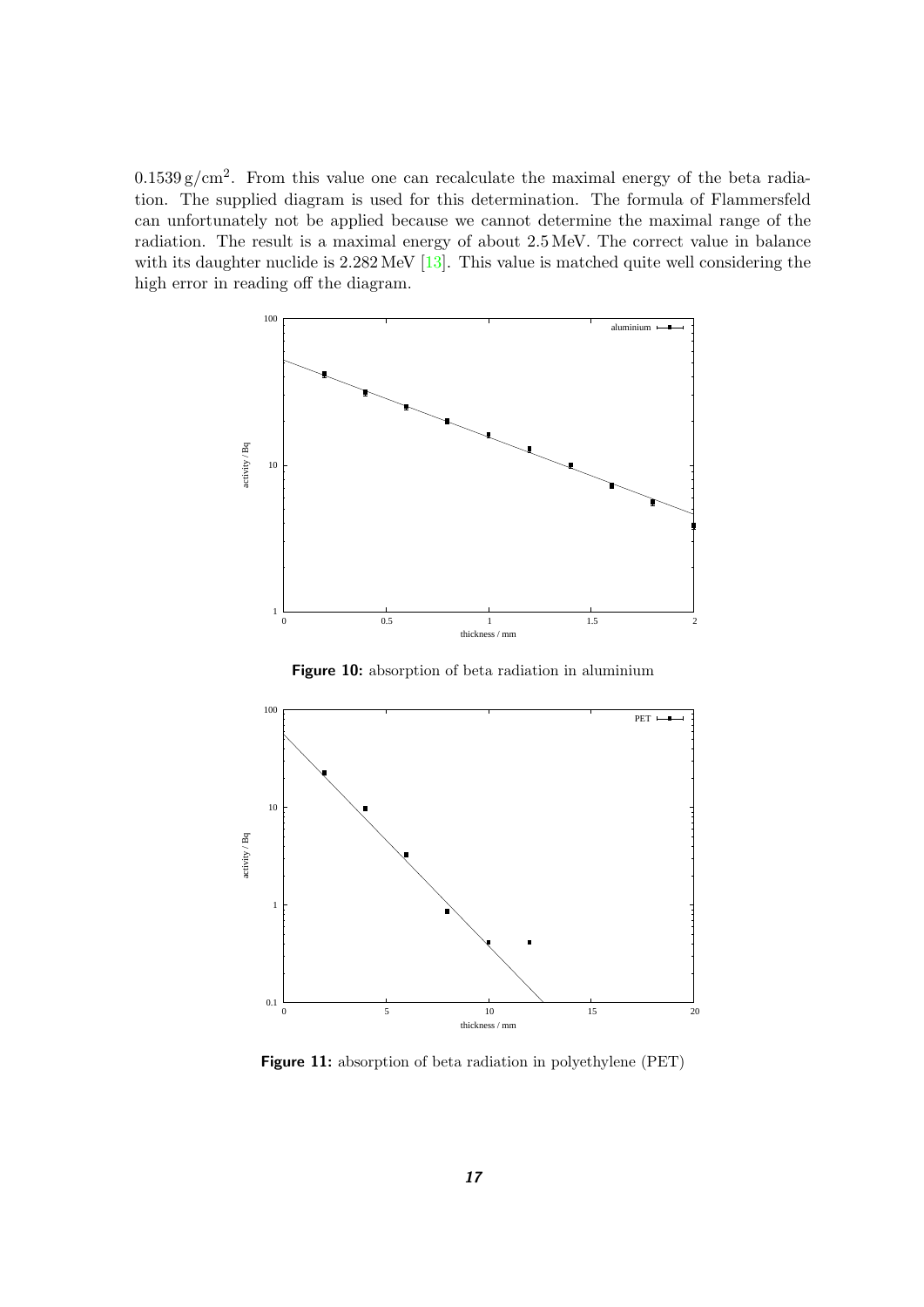$0.1539\,\mathrm{g/cm^2}$ . From this value one can recalculate the maximal energy of the beta radiation. The supplied diagram is used for this determination. The formula of Flammersfeld can unfortunately not be applied because we cannot determine the maximal range of the radiation. The result is a maximal energy of about 2.5 MeV. The correct value in balance with its daughter nuclide is  $2.282 \text{ MeV}$  [\[13\]](#page-43-11). This value is matched quite well considering the high error in reading off the diagram.



<span id="page-16-0"></span>**Figure 10:** absorption of beta radiation in aluminium



<span id="page-16-1"></span>**Figure 11:** absorption of beta radiation in polyethylene (PET)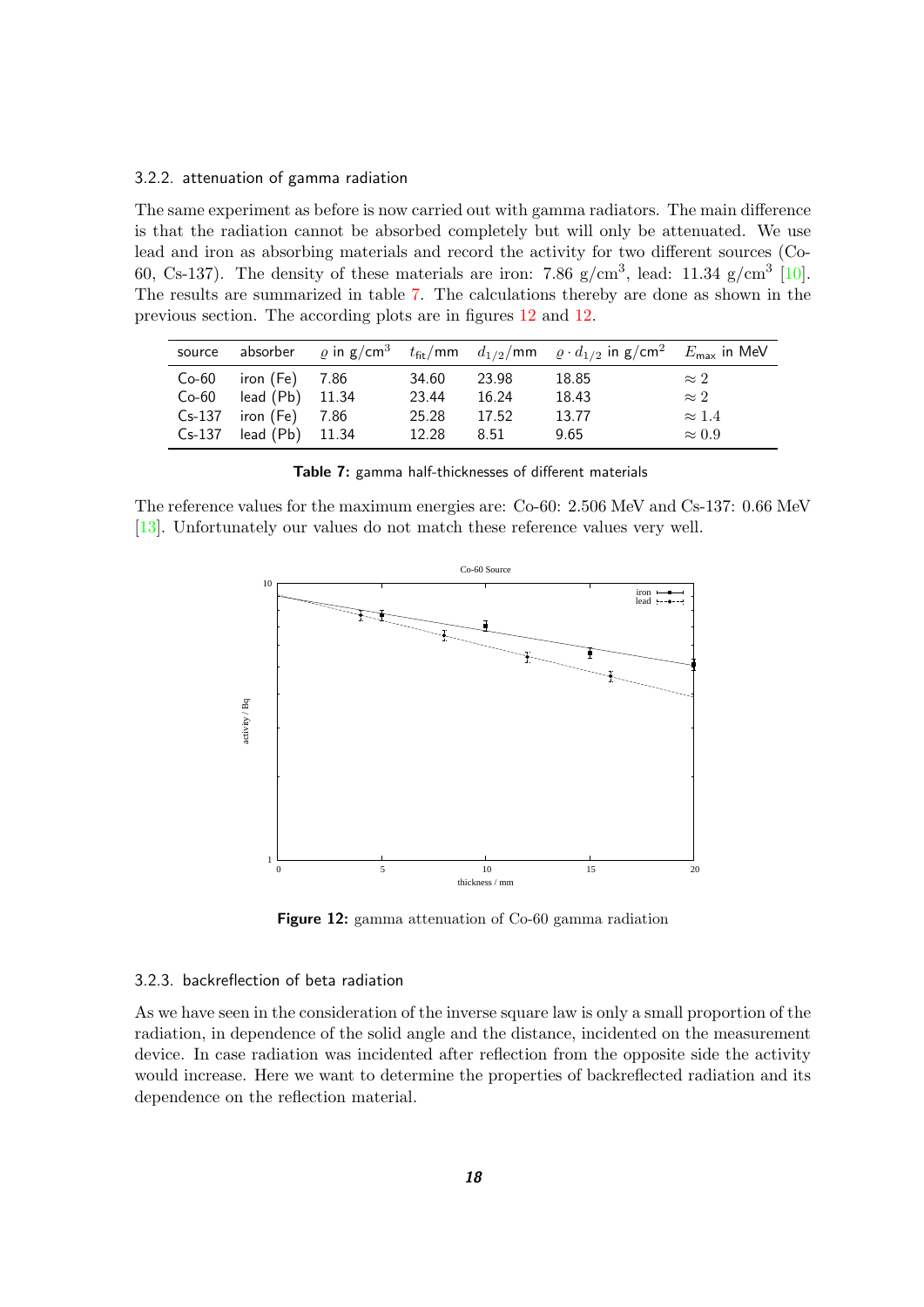#### <span id="page-17-0"></span>3.2.2. attenuation of gamma radiation

The same experiment as before is now carried out with gamma radiators. The main difference is that the radiation cannot be absorbed completely but will only be attenuated. We use lead and iron as absorbing materials and record the activity for two different sources (Co-60, Cs-137). The density of these materials are iron: 7.86  $g/cm^3$ , lead: 11.34  $g/cm^3$  [\[10\]](#page-43-10). The results are summarized in table [7.](#page-17-2) The calculations thereby are done as shown in the previous section. The according plots are in figures [12](#page-17-3) and [12.](#page-17-3)

|          |                 |       |       | source absorber $\varrho$ in g/cm <sup>3</sup> $t_{\text{fit}}$ /mm $d_{1/2}$ /mm $\varrho \cdot d_{1/2}$ in g/cm <sup>2</sup> $E_{\text{max}}$ in MeV |               |
|----------|-----------------|-------|-------|--------------------------------------------------------------------------------------------------------------------------------------------------------|---------------|
| $Co-60$  | iron (Fe) 7.86  | 34.60 | 23.98 | 18.85                                                                                                                                                  | $\approx 2$   |
| $Co-60$  | lead (Pb) 11.34 | 23.44 | 16.24 | 18.43                                                                                                                                                  | $\approx 2$   |
| $Cs-137$ | iron (Fe) 7.86  | 25.28 | 17.52 | 13.77                                                                                                                                                  | $\approx 1.4$ |
| $Cs-137$ | lead (Pb) 11.34 | 12.28 | 8.51  | 9.65                                                                                                                                                   | $\approx 0.9$ |

<span id="page-17-2"></span>

|  | Table 7: gamma half-thicknesses of different materials |  |  |
|--|--------------------------------------------------------|--|--|
|--|--------------------------------------------------------|--|--|

The reference values for the maximum energies are: Co-60: 2.506 MeV and Cs-137: 0.66 MeV [\[13\]](#page-43-11). Unfortunately our values do not match these reference values very well.



<span id="page-17-3"></span>**Figure 12:** gamma attenuation of Co-60 gamma radiation

#### <span id="page-17-1"></span>3.2.3. backreflection of beta radiation

As we have seen in the consideration of the inverse square law is only a small proportion of the radiation, in dependence of the solid angle and the distance, incidented on the measurement device. In case radiation was incidented after reflection from the opposite side the activity would increase. Here we want to determine the properties of backreflected radiation and its dependence on the reflection material.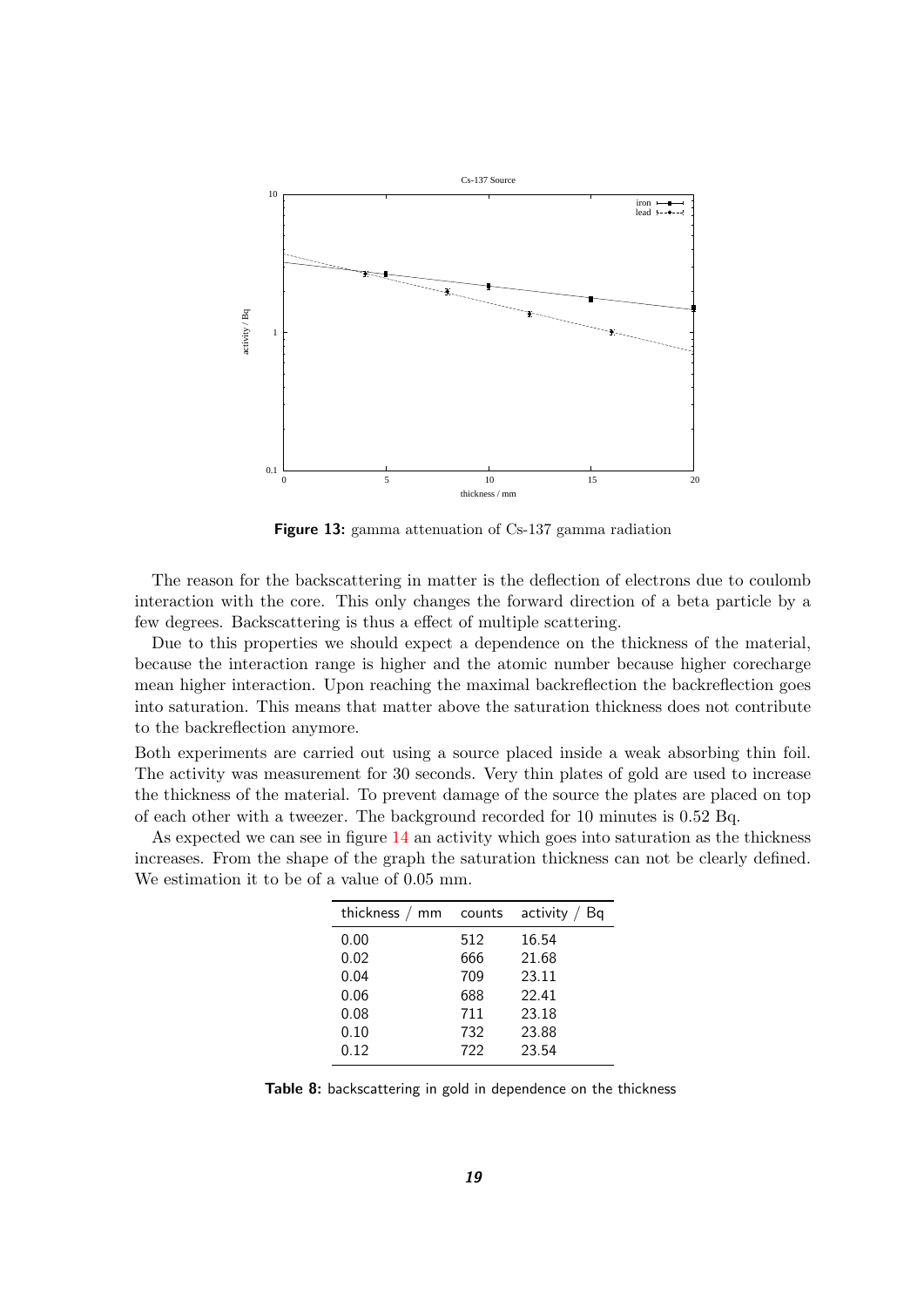

<span id="page-18-1"></span>**Figure 13:** gamma attenuation of Cs-137 gamma radiation

The reason for the backscattering in matter is the deflection of electrons due to coulomb interaction with the core. This only changes the forward direction of a beta particle by a few degrees. Backscattering is thus a effect of multiple scattering.

Due to this properties we should expect a dependence on the thickness of the material, because the interaction range is higher and the atomic number because higher corecharge mean higher interaction. Upon reaching the maximal backreflection the backreflection goes into saturation. This means that matter above the saturation thickness does not contribute to the backreflection anymore.

Both experiments are carried out using a source placed inside a weak absorbing thin foil. The activity was measurement for 30 seconds. Very thin plates of gold are used to increase the thickness of the material. To prevent damage of the source the plates are placed on top of each other with a tweezer. The background recorded for 10 minutes is 0.52 Bq.

As expected we can see in figure [14](#page-19-0) an activity which goes into saturation as the thickness increases. From the shape of the graph the saturation thickness can not be clearly defined. We estimation it to be of a value of 0.05 mm.

| thickness $/$ mm | counts | activity /<br>Bq |
|------------------|--------|------------------|
| 0.00             | 512    | 16.54            |
| 0.02             | 666    | 21.68            |
| 0.04             | 709    | 23.11            |
| 0.06             | 688    | 22.41            |
| 0.08             | 711    | 23.18            |
| 0.10             | 732    | 23.88            |
| 0.12             | 722    | 23.54            |

<span id="page-18-0"></span>**Table 8:** backscattering in gold in dependence on the thickness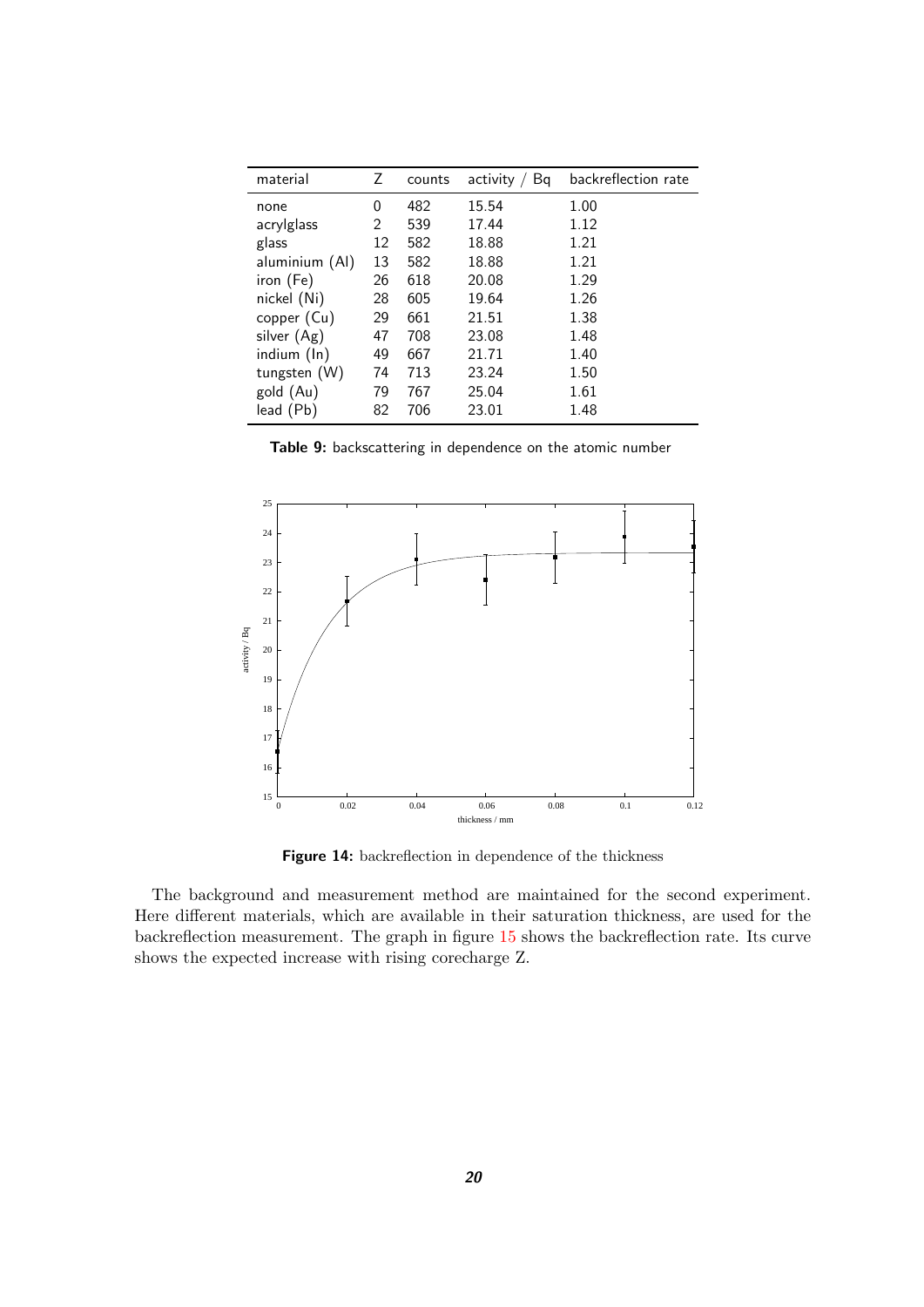| material       | Ζ  | counts | activity<br>Bq | backreflection rate |
|----------------|----|--------|----------------|---------------------|
| none           | 0  | 482    | 15.54          | 1.00                |
| acrylglass     | 2  | 539    | 17.44          | 1.12                |
| glass          | 12 | 582    | 18.88          | 1.21                |
| aluminium (Al) | 13 | 582    | 18.88          | 1.21                |
| iron (Fe)      | 26 | 618    | 20.08          | 1.29                |
| nickel (Ni)    | 28 | 605    | 19.64          | 1.26                |
| copper (Cu)    | 29 | 661    | 21.51          | 1.38                |
| silver (Ag)    | 47 | 708    | 23.08          | 1.48                |
| indium (In)    | 49 | 667    | 21.71          | 1.40                |
| tungsten (W)   | 74 | 713    | 23.24          | 1.50                |
| gold (Au)      | 79 | 767    | 25.04          | 1.61                |
| lead (Pb)      | 82 | 706    | 23.01          | 1.48                |

<span id="page-19-1"></span>**Table 9:** backscattering in dependence on the atomic number



<span id="page-19-0"></span>**Figure 14:** backreflection in dependence of the thickness

The background and measurement method are maintained for the second experiment. Here different materials, which are available in their saturation thickness, are used for the backreflection measurement. The graph in figure [15](#page-20-2) shows the backreflection rate. Its curve shows the expected increase with rising corecharge Z.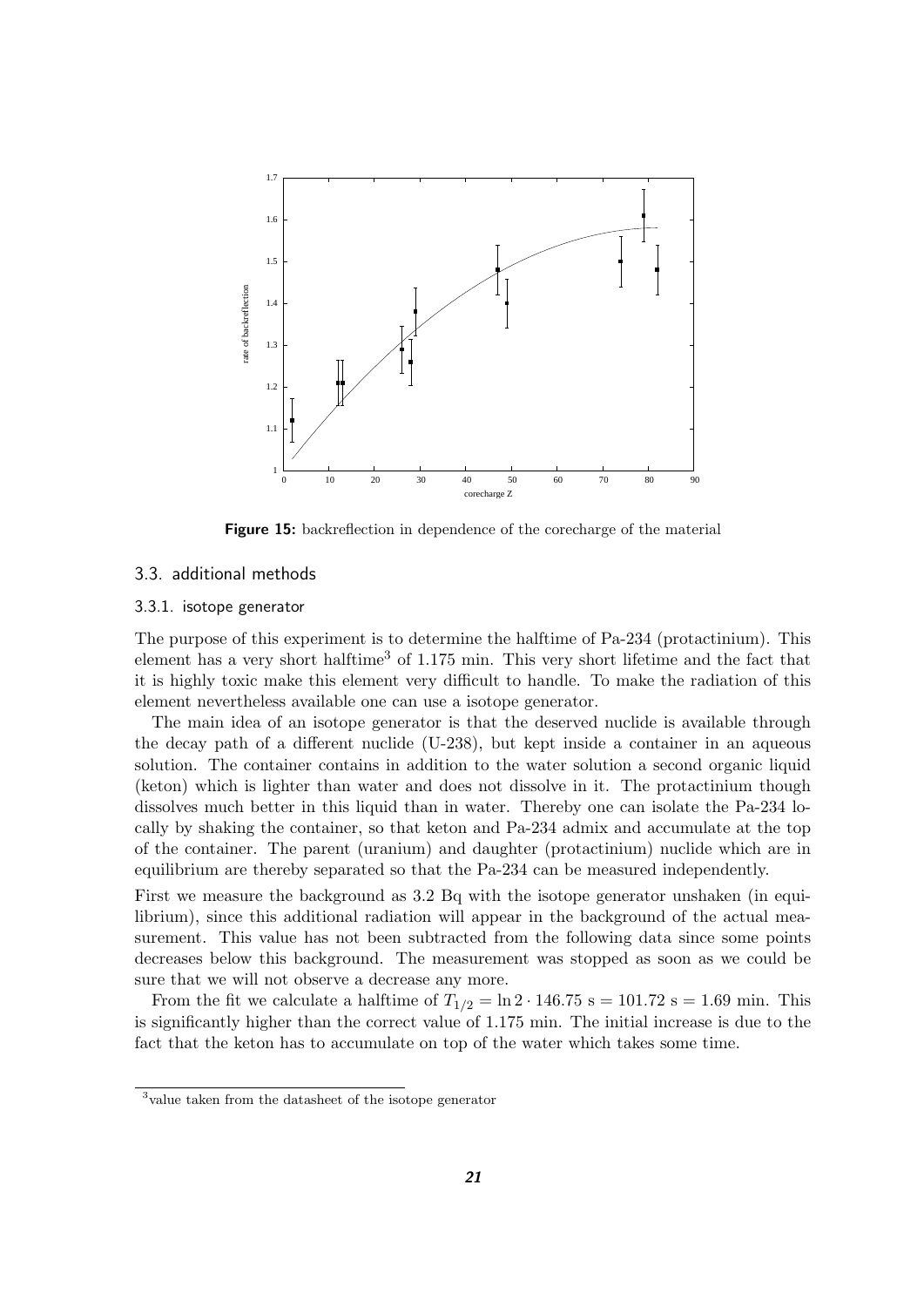

<span id="page-20-2"></span>**Figure 15:** backreflection in dependence of the corecharge of the material

#### <span id="page-20-0"></span>3.3. additional methods

#### <span id="page-20-1"></span>3.3.1. isotope generator

The purpose of this experiment is to determine the halftime of Pa-234 (protactinium). This element has a very short halftime<sup>3</sup> of  $1.175$  min. This very short lifetime and the fact that it is highly toxic make this element very difficult to handle. To make the radiation of this element nevertheless available one can use a isotope generator.

The main idea of an isotope generator is that the deserved nuclide is available through the decay path of a different nuclide (U-238), but kept inside a container in an aqueous solution. The container contains in addition to the water solution a second organic liquid (keton) which is lighter than water and does not dissolve in it. The protactinium though dissolves much better in this liquid than in water. Thereby one can isolate the Pa-234 locally by shaking the container, so that keton and Pa-234 admix and accumulate at the top of the container. The parent (uranium) and daughter (protactinium) nuclide which are in equilibrium are thereby separated so that the Pa-234 can be measured independently.

First we measure the background as 3.2 Bq with the isotope generator unshaken (in equilibrium), since this additional radiation will appear in the background of the actual measurement. This value has not been subtracted from the following data since some points decreases below this background. The measurement was stopped as soon as we could be sure that we will not observe a decrease any more.

From the fit we calculate a halftime of  $T_{1/2} = \ln 2 \cdot 146.75$  s = 101.72 s = 1.69 min. This is significantly higher than the correct value of 1.175 min. The initial increase is due to the fact that the keton has to accumulate on top of the water which takes some time.

<sup>3</sup> value taken from the datasheet of the isotope generator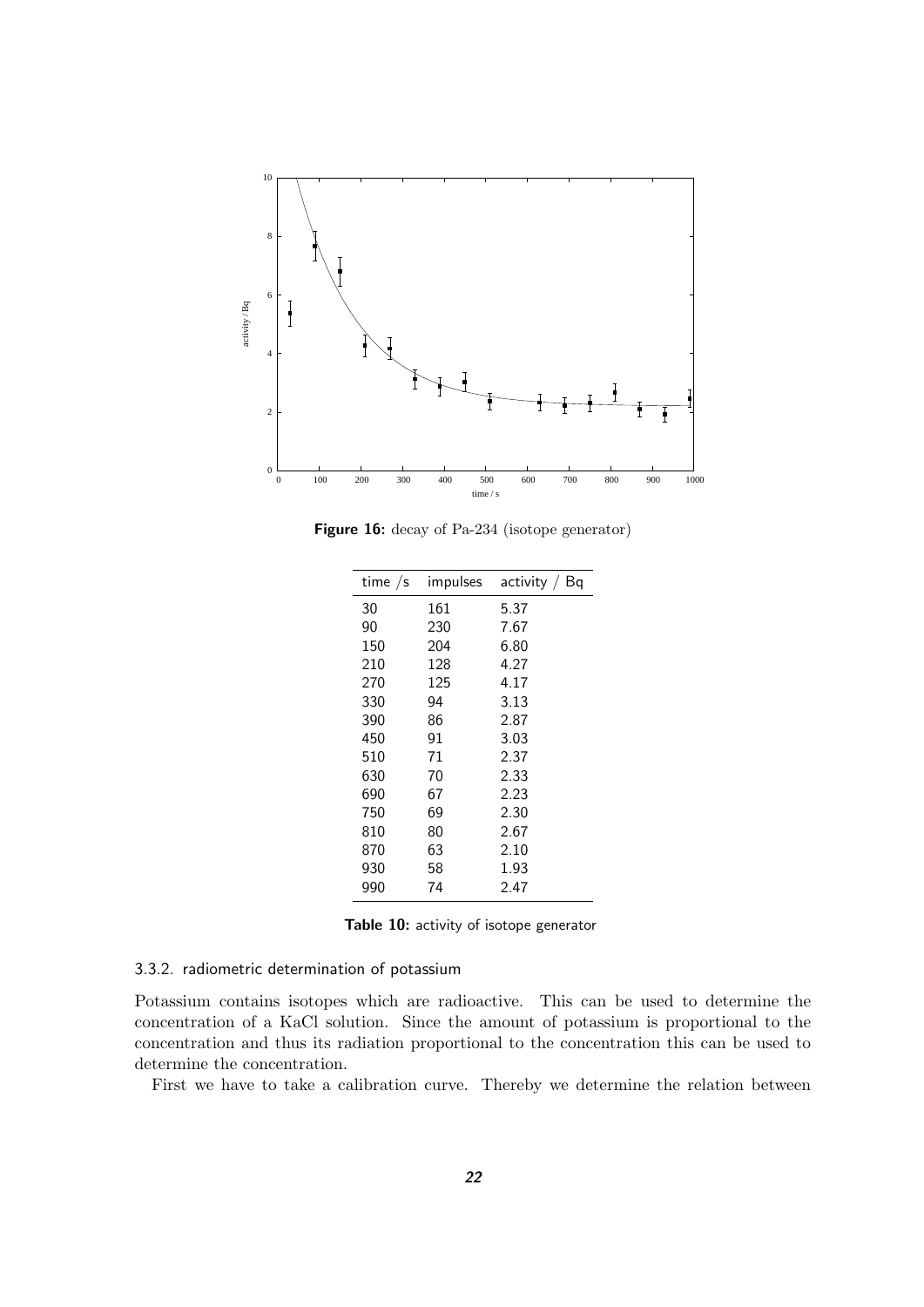

**Figure 16:** decay of Pa-234 (isotope generator)

<span id="page-21-2"></span>

| time $/s$ | impulses | activity $/$ Bq |
|-----------|----------|-----------------|
| 30        | 161      | 5.37            |
| 90        | 230      | 7.67            |
| 150       | 204      | 6.80            |
| 210       | 128      | 4.27            |
| 270       | 125      | 4.17            |
| 330       | 94       | 3.13            |
| 390       | 86       | 2.87            |
| 450       | 91       | 3.03            |
| 510       | 71       | 2.37            |
| 630       | 70       | 2.33            |
| 690       | 67       | 2.23            |
| 750       | 69       | 2.30            |
| 810       | 80       | 2.67            |
| 870       | 63       | 2.10            |
| 930       | 58       | 1.93            |
| 990       | 74       | 2.47            |

<span id="page-21-1"></span>**Table 10:** activity of isotope generator

#### <span id="page-21-0"></span>3.3.2. radiometric determination of potassium

Potassium contains isotopes which are radioactive. This can be used to determine the concentration of a KaCl solution. Since the amount of potassium is proportional to the concentration and thus its radiation proportional to the concentration this can be used to determine the concentration.

First we have to take a calibration curve. Thereby we determine the relation between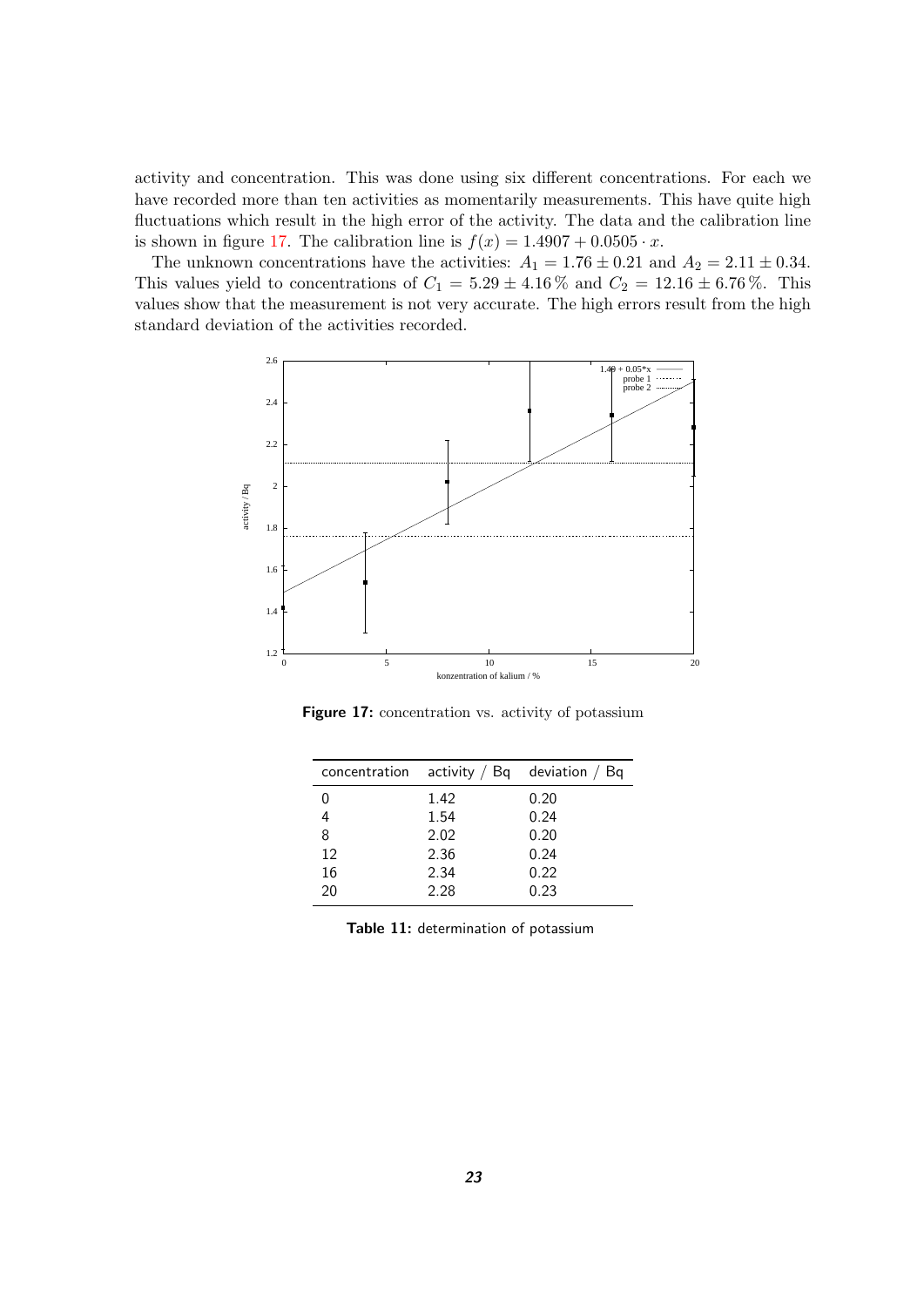activity and concentration. This was done using six different concentrations. For each we have recorded more than ten activities as momentarily measurements. This have quite high fluctuations which result in the high error of the activity. The data and the calibration line is shown in figure [17.](#page-22-0) The calibration line is  $f(x) = 1.4907 + 0.0505 \cdot x$ .

The unknown concentrations have the activities:  $A_1 = 1.76 \pm 0.21$  and  $A_2 = 2.11 \pm 0.34$ . This values yield to concentrations of  $C_1 = 5.29 \pm 4.16\%$  and  $C_2 = 12.16 \pm 6.76\%$ . This values show that the measurement is not very accurate. The high errors result from the high standard deviation of the activities recorded.



<span id="page-22-0"></span>Figure 17: concentration vs. activity of potassium

| concentration |      | activity $\frac{1}{2}$ Bq deviation $\frac{1}{2}$ Bq |
|---------------|------|------------------------------------------------------|
| 0             | 1.42 | 0.20                                                 |
| 4             | 1.54 | 0.24                                                 |
| 8             | 2.02 | 0.20                                                 |
| 12            | 2.36 | 0.24                                                 |
| 16            | 2.34 | 0.22                                                 |
| 20            | 2.28 | 0.23                                                 |
|               |      |                                                      |

<span id="page-22-1"></span>**Table 11:** determination of potassium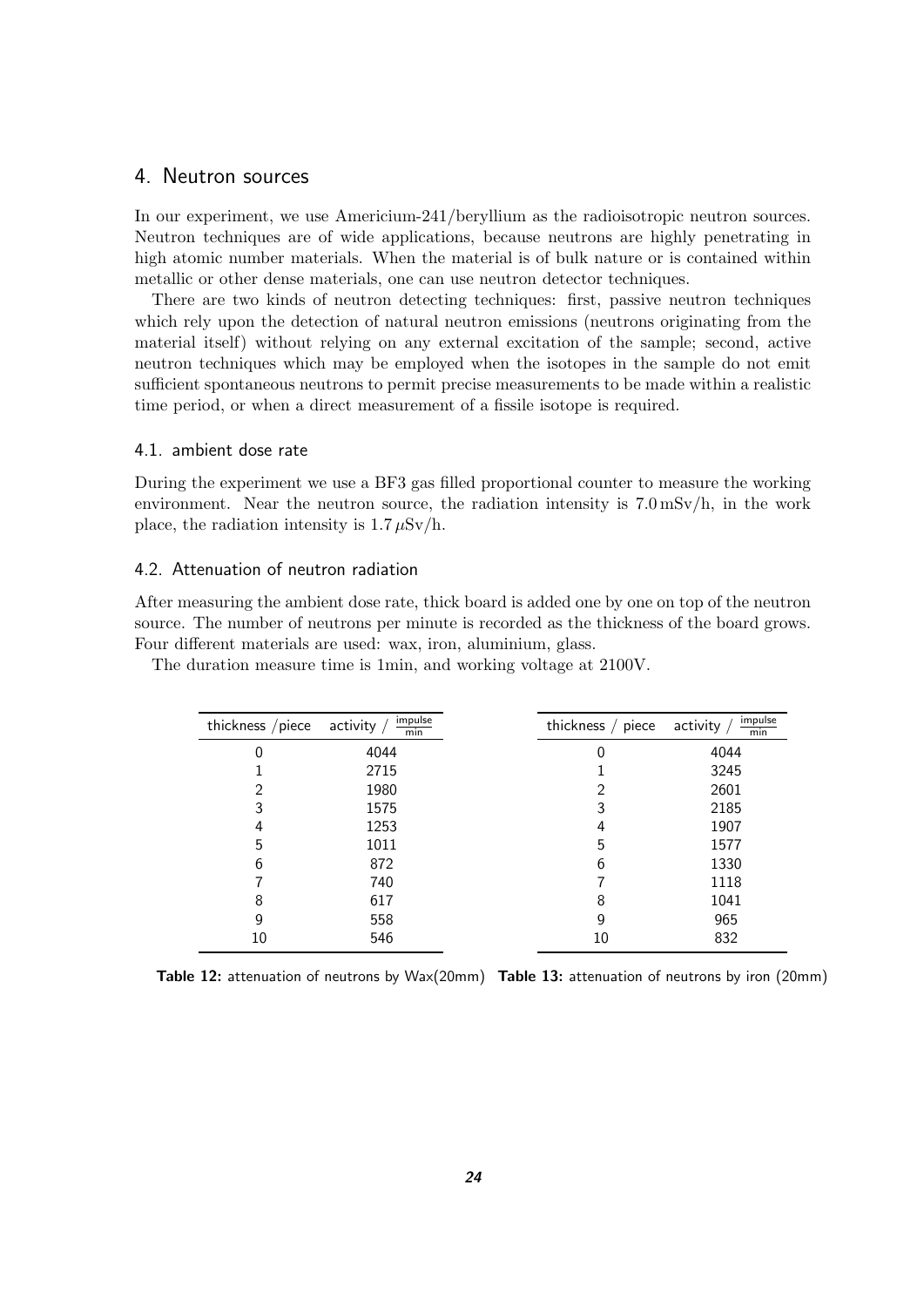### <span id="page-23-0"></span>4. Neutron sources

In our experiment, we use Americium-241/beryllium as the radioisotropic neutron sources. Neutron techniques are of wide applications, because neutrons are highly penetrating in high atomic number materials. When the material is of bulk nature or is contained within metallic or other dense materials, one can use neutron detector techniques.

There are two kinds of neutron detecting techniques: first, passive neutron techniques which rely upon the detection of natural neutron emissions (neutrons originating from the material itself) without relying on any external excitation of the sample; second, active neutron techniques which may be employed when the isotopes in the sample do not emit sufficient spontaneous neutrons to permit precise measurements to be made within a realistic time period, or when a direct measurement of a fissile isotope is required.

#### <span id="page-23-1"></span>4.1. ambient dose rate

During the experiment we use a BF3 gas filled proportional counter to measure the working environment. Near the neutron source, the radiation intensity is  $7.0 \text{ mSv/h}$ , in the work place, the radiation intensity is  $1.7 \mu Sv/h$ .

#### <span id="page-23-2"></span>4.2. Attenuation of neutron radiation

After measuring the ambient dose rate, thick board is added one by one on top of the neutron source. The number of neutrons per minute is recorded as the thickness of the board grows. Four different materials are used: wax, iron, aluminium, glass.

| thickness /piece | impulse<br>activity<br>min | thickness $/$ piece | impulse<br>activity<br>min |
|------------------|----------------------------|---------------------|----------------------------|
| 0                | 4044                       | 0                   | 4044                       |
|                  | 2715                       |                     | 3245                       |
| 2                | 1980                       | 2                   | 2601                       |
| 3                | 1575                       | 3                   | 2185                       |
| 4                | 1253                       | 4                   | 1907                       |
| 5                | 1011                       | 5                   | 1577                       |
| 6                | 872                        | 6                   | 1330                       |
|                  | 740                        |                     | 1118                       |
| 8                | 617                        | 8                   | 1041                       |
| 9                | 558                        | 9                   | 965                        |
| 10               | 546                        | 10                  | 832                        |

The duration measure time is 1min, and working voltage at 2100V.

<span id="page-23-4"></span><span id="page-23-3"></span>**Table 12:** attenuation of neutrons by Wax(20mm) **Table 13:** attenuation of neutrons by iron (20mm)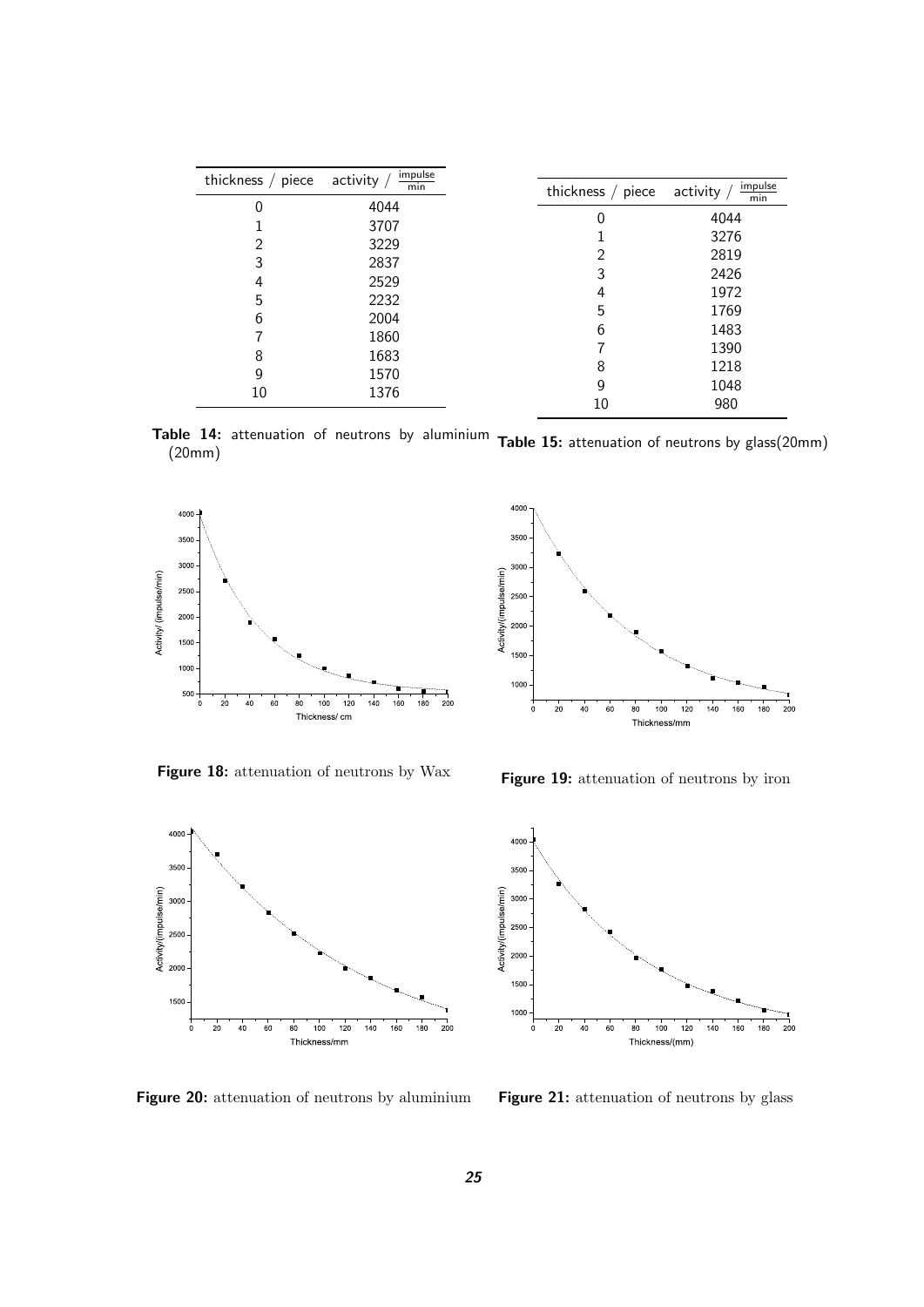| thickness $/$ piece | impulse<br>activity /<br>min | thickness / piece | impulse<br>activity, |
|---------------------|------------------------------|-------------------|----------------------|
| 0                   | 4044                         |                   | min                  |
|                     | 3707                         | 0                 | 4044                 |
| $\overline{2}$      | 3229                         |                   | 3276                 |
|                     |                              | $\overline{2}$    | 2819                 |
| 3                   | 2837                         | 3                 | 2426                 |
| 4                   | 2529                         | 4                 | 1972                 |
| 5                   | 2232                         | 5                 | 1769                 |
| 6                   | 2004                         |                   |                      |
|                     | 1860                         | 6                 | 1483                 |
| 8                   | 1683                         |                   | 1390                 |
| 9                   | 1570                         | 8                 | 1218                 |
| 10                  | 1376                         | 9                 | 1048                 |
|                     |                              | 10                | 980                  |

<span id="page-24-0"></span>**Table 14:** attenuation of neutrons by aluminium **Table 15:** attenuation of neutrons by glass(20mm) (20mm)



<span id="page-24-2"></span>**Figure 18:** attenuation of neutrons by Wax

<span id="page-24-1"></span>

<span id="page-24-3"></span>**Figure 19:** attenuation of neutrons by iron





<span id="page-24-4"></span>**Figure 20:** attenuation of neutrons by aluminium

<span id="page-24-5"></span>**Figure 21:** attenuation of neutrons by glass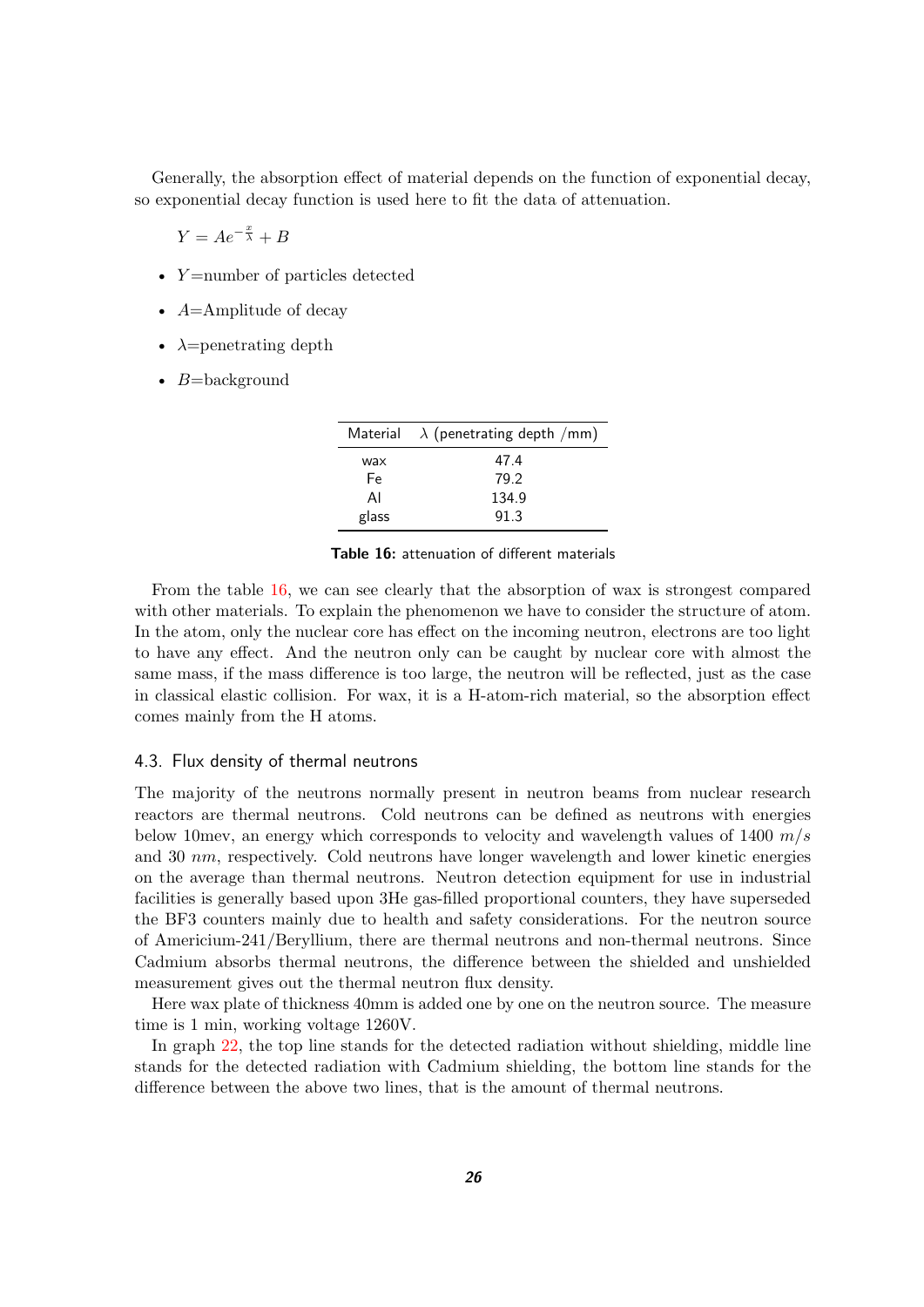Generally, the absorption effect of material depends on the function of exponential decay, so exponential decay function is used here to fit the data of attenuation.

$$
Y = Ae^{-\frac{x}{\lambda}} + B
$$

- Y=number of particles detected
- $A=$ Amplitude of decay
- $\lambda$ =penetrating depth
- $B =$ background

|       | Material $\lambda$ (penetrating depth /mm) |
|-------|--------------------------------------------|
| wax   | 47.4                                       |
| Fe    | 79.2                                       |
| AI    | 134.9                                      |
| glass | 91.3                                       |

<span id="page-25-1"></span>**Table 16:** attenuation of different materials

From the table [16,](#page-25-1) we can see clearly that the absorption of wax is strongest compared with other materials. To explain the phenomenon we have to consider the structure of atom. In the atom, only the nuclear core has effect on the incoming neutron, electrons are too light to have any effect. And the neutron only can be caught by nuclear core with almost the same mass, if the mass difference is too large, the neutron will be reflected, just as the case in classical elastic collision. For wax, it is a H-atom-rich material, so the absorption effect comes mainly from the H atoms.

#### <span id="page-25-0"></span>4.3. Flux density of thermal neutrons

The majority of the neutrons normally present in neutron beams from nuclear research reactors are thermal neutrons. Cold neutrons can be defined as neutrons with energies below 10mev, an energy which corresponds to velocity and wavelength values of 1400  $m/s$ and 30 nm, respectively. Cold neutrons have longer wavelength and lower kinetic energies on the average than thermal neutrons. Neutron detection equipment for use in industrial facilities is generally based upon 3He gas-filled proportional counters, they have superseded the BF3 counters mainly due to health and safety considerations. For the neutron source of Americium-241/Beryllium, there are thermal neutrons and non-thermal neutrons. Since Cadmium absorbs thermal neutrons, the difference between the shielded and unshielded measurement gives out the thermal neutron flux density.

Here wax plate of thickness 40mm is added one by one on the neutron source. The measure time is 1 min, working voltage 1260V.

In graph [22,](#page-26-0) the top line stands for the detected radiation without shielding, middle line stands for the detected radiation with Cadmium shielding, the bottom line stands for the difference between the above two lines, that is the amount of thermal neutrons.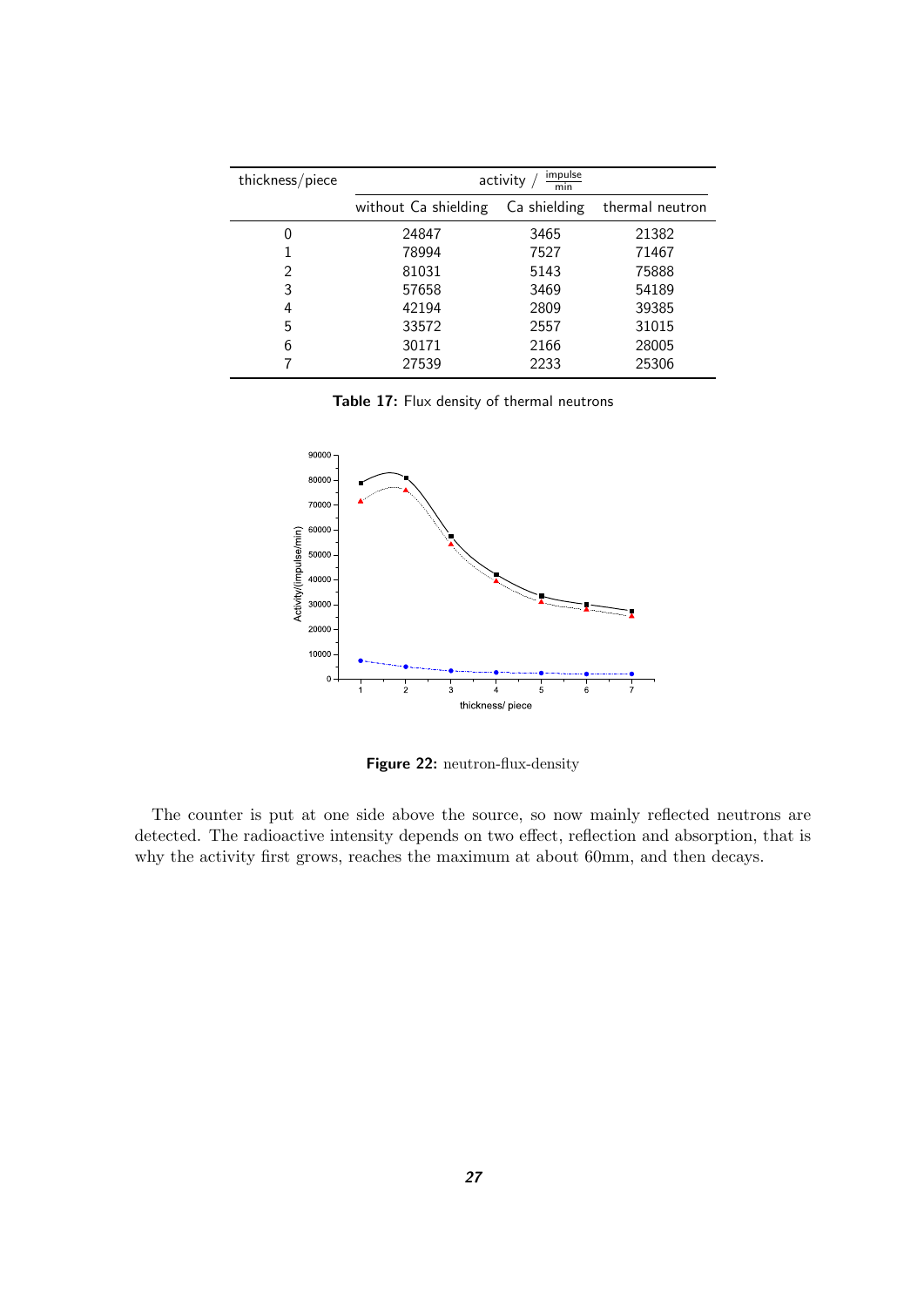| thickness/piece | impulse<br>activity<br>min |              |                 |
|-----------------|----------------------------|--------------|-----------------|
|                 | without Ca shielding       | Ca shielding | thermal neutron |
| 0               | 24847                      | 3465         | 21382           |
|                 | 78994                      | 7527         | 71467           |
| 2               | 81031                      | 5143         | 75888           |
| 3               | 57658                      | 3469         | 54189           |
| 4               | 42194                      | 2809         | 39385           |
| 5               | 33572                      | 2557         | 31015           |
| 6               | 30171                      | 2166         | 28005           |
|                 | 27539                      | 2233         | 25306           |

<span id="page-26-1"></span>**Table 17:** Flux density of thermal neutrons



<span id="page-26-0"></span>**Figure 22:** neutron-flux-density

The counter is put at one side above the source, so now mainly reflected neutrons are detected. The radioactive intensity depends on two effect, reflection and absorption, that is why the activity first grows, reaches the maximum at about 60mm, and then decays.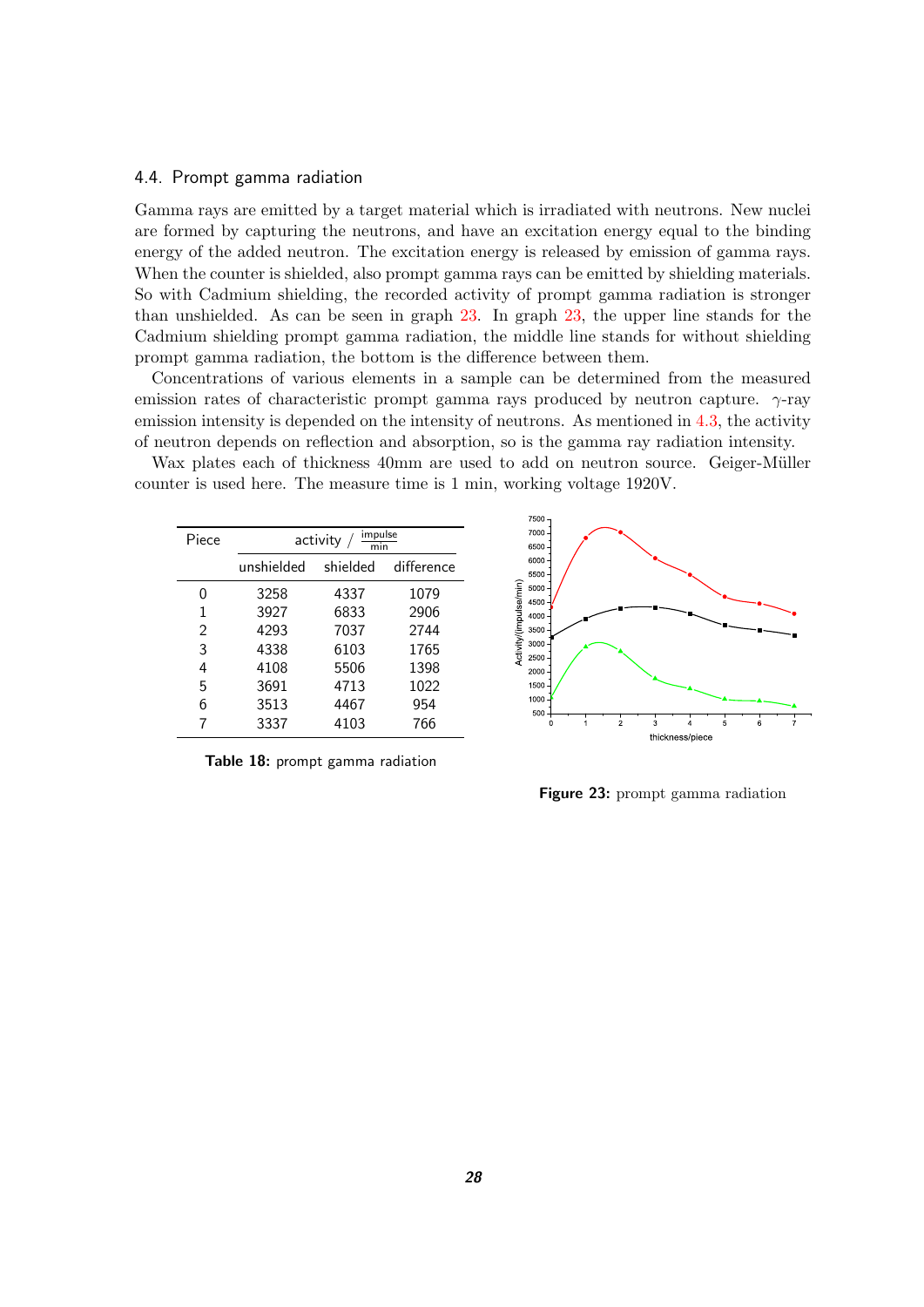#### <span id="page-27-0"></span>4.4. Prompt gamma radiation

Gamma rays are emitted by a target material which is irradiated with neutrons. New nuclei are formed by capturing the neutrons, and have an excitation energy equal to the binding energy of the added neutron. The excitation energy is released by emission of gamma rays. When the counter is shielded, also prompt gamma rays can be emitted by shielding materials. So with Cadmium shielding, the recorded activity of prompt gamma radiation is stronger than unshielded. As can be seen in graph [23.](#page-27-1) In graph [23,](#page-27-1) the upper line stands for the Cadmium shielding prompt gamma radiation, the middle line stands for without shielding prompt gamma radiation, the bottom is the difference between them.

Concentrations of various elements in a sample can be determined from the measured emission rates of characteristic prompt gamma rays produced by neutron capture.  $\gamma$ -ray emission intensity is depended on the intensity of neutrons. As mentioned in [4.3,](#page-25-0) the activity of neutron depends on reflection and absorption, so is the gamma ray radiation intensity.

Wax plates each of thickness 40mm are used to add on neutron source. Geiger-Müller counter is used here. The measure time is 1 min, working voltage 1920V.

| Piece |            | impulse<br>activity<br>min |            |  |
|-------|------------|----------------------------|------------|--|
|       | unshielded | shielded                   | difference |  |
| O     | 3258       | 4337                       | 1079       |  |
| 1     | 3927       | 6833                       | 2906       |  |
| 2     | 4293       | 7037                       | 2744       |  |
| 3     | 4338       | 6103                       | 1765       |  |
| 4     | 4108       | 5506                       | 1398       |  |
| 5     | 3691       | 4713                       | 1022       |  |
| 6     | 3513       | 4467                       | 954        |  |
|       | 3337       | 4103                       | 766        |  |
|       |            |                            |            |  |

<span id="page-27-2"></span>**Table 18:** prompt gamma radiation



<span id="page-27-1"></span>**Figure 23:** prompt gamma radiation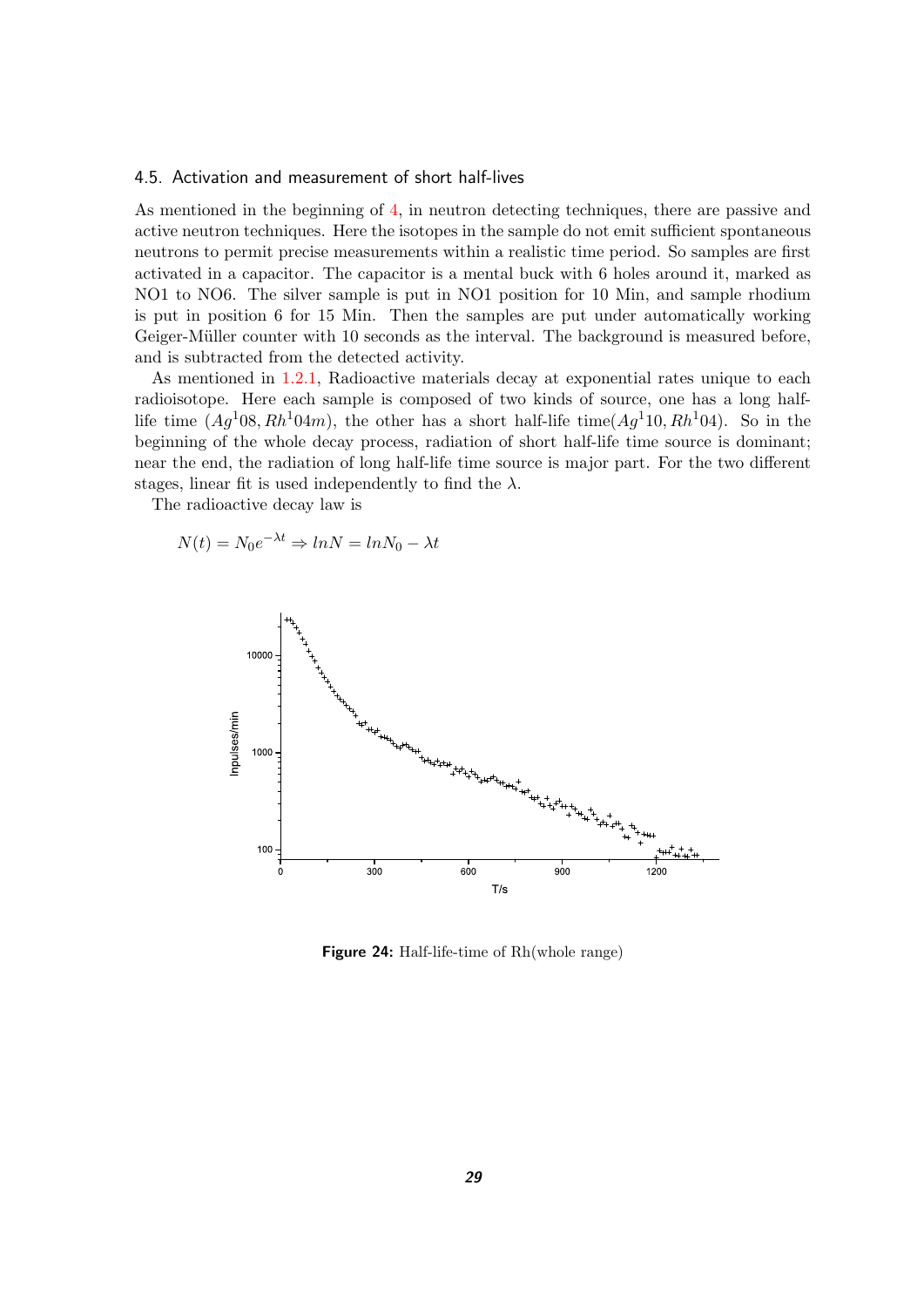#### <span id="page-28-0"></span>4.5. Activation and measurement of short half-lives

As mentioned in the beginning of [4,](#page-23-0) in neutron detecting techniques, there are passive and active neutron techniques. Here the isotopes in the sample do not emit sufficient spontaneous neutrons to permit precise measurements within a realistic time period. So samples are first activated in a capacitor. The capacitor is a mental buck with 6 holes around it, marked as NO1 to NO6. The silver sample is put in NO1 position for 10 Min, and sample rhodium is put in position 6 for 15 Min. Then the samples are put under automatically working Geiger-Müller counter with 10 seconds as the interval. The background is measured before, and is subtracted from the detected activity.

As mentioned in [1.2.1,](#page-5-1) Radioactive materials decay at exponential rates unique to each radioisotope. Here each sample is composed of two kinds of source, one has a long halflife time  $(Aq<sup>1</sup>08, Rh<sup>1</sup>04m)$ , the other has a short half-life time( $Ag<sup>1</sup>10, Rh<sup>1</sup>04$ ). So in the beginning of the whole decay process, radiation of short half-life time source is dominant; near the end, the radiation of long half-life time source is major part. For the two different stages, linear fit is used independently to find the  $\lambda$ .

The radioactive decay law is

$$
N(t) = N_0 e^{-\lambda t} \Rightarrow lnN = lnN_0 - \lambda t
$$



<span id="page-28-1"></span>**Figure 24:** Half-life-time of Rh(whole range)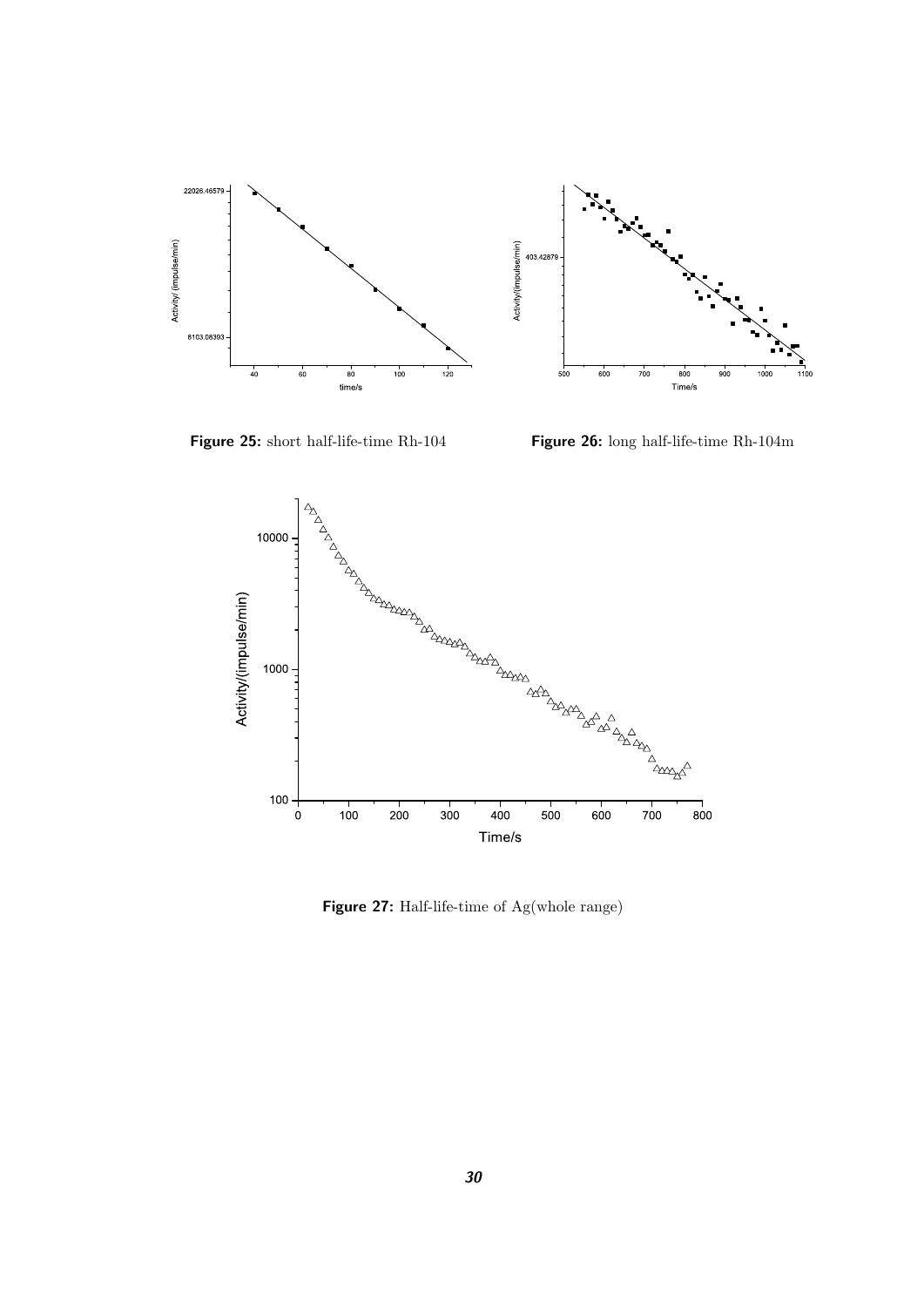

**Figure 25:** short half-life-time Rh-104

<span id="page-29-1"></span>**Figure 26:** long half-life-time Rh-104m

<span id="page-29-0"></span>

<span id="page-29-2"></span>**Figure 27:** Half-life-time of Ag(whole range)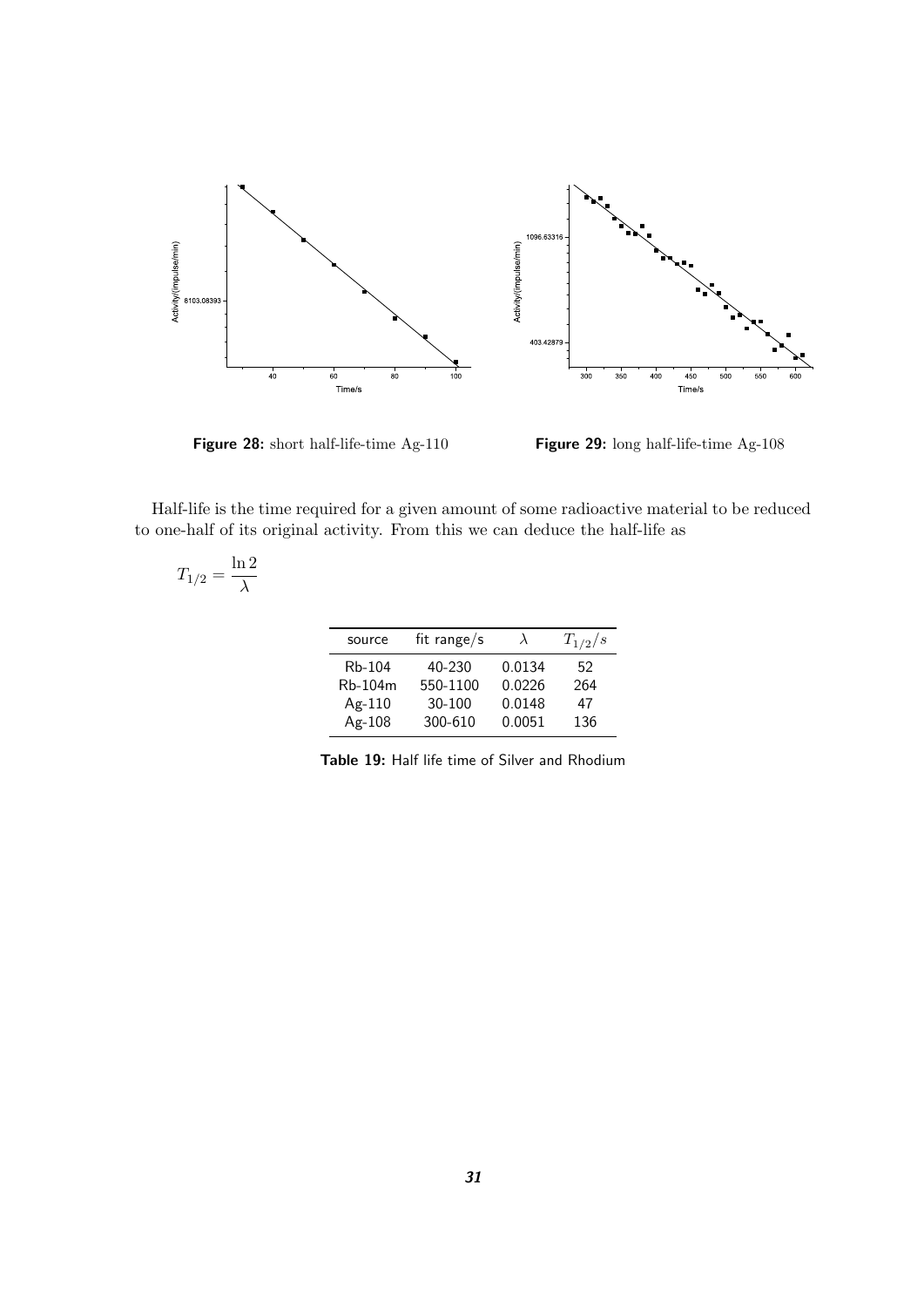

<span id="page-30-1"></span>**Figure 28:** short half-life-time Ag-110

<span id="page-30-2"></span>**Figure 29:** long half-life-time Ag-108

Half-life is the time required for a given amount of some radioactive material to be reduced to one-half of its original activity. From this we can deduce the half-life as

$$
T_{1/2}=\frac{\ln 2}{\lambda}
$$

| source  | fit range/s | $\lambda$ | $T_{1/2}/s$ |
|---------|-------------|-----------|-------------|
| Rb-104  | 40-230      | 0.0134    | 52          |
| Rb-104m | 550-1100    | 0.0226    | 264         |
| Ag-110  | $30 - 100$  | 0.0148    | 47          |
| Ag-108  | 300-610     | 0.0051    | 136         |

<span id="page-30-0"></span>**Table 19:** Half life time of Silver and Rhodium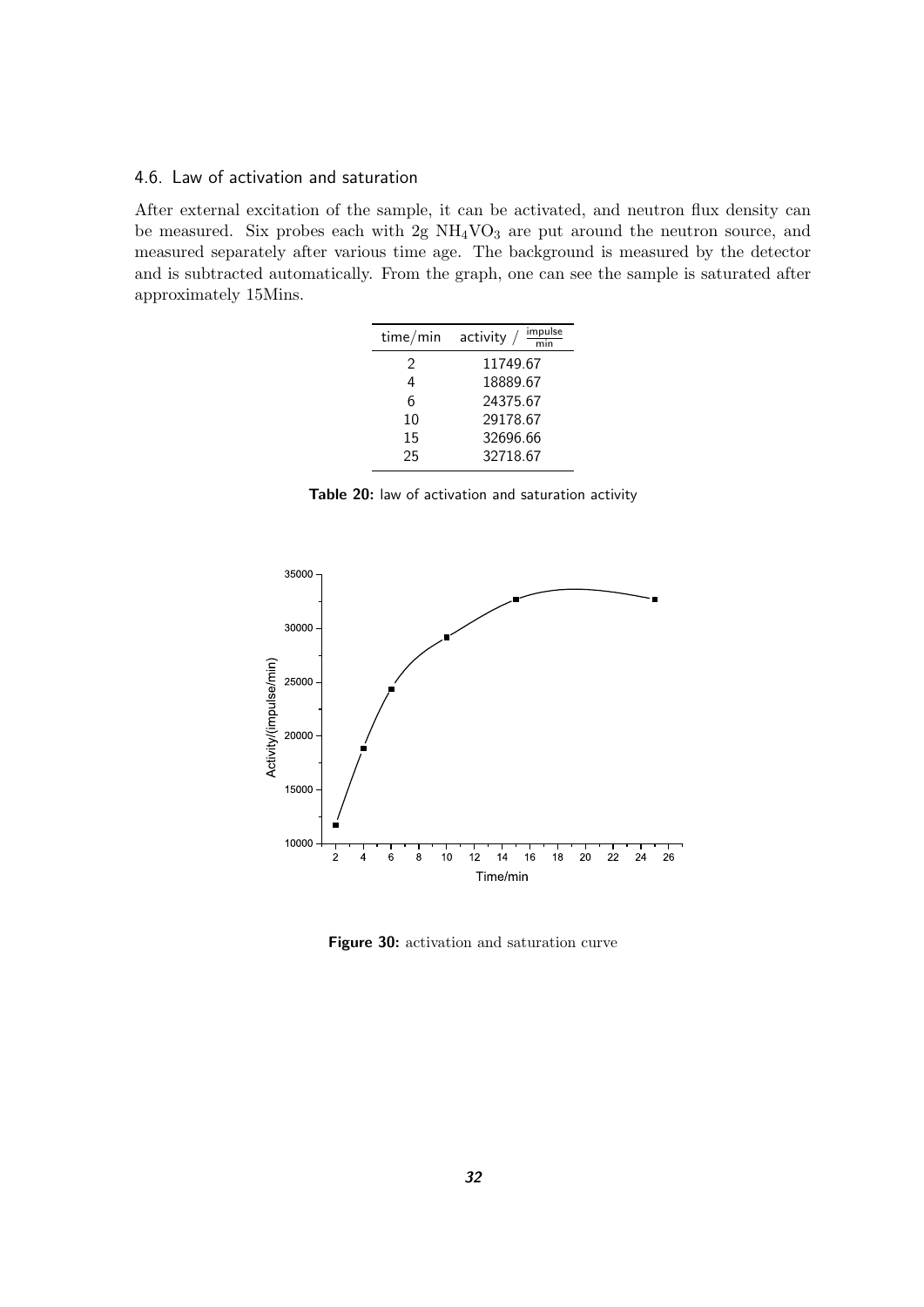#### <span id="page-31-0"></span>4.6. Law of activation and saturation

After external excitation of the sample, it can be activated, and neutron flux density can be measured. Six probes each with  $2g NH<sub>4</sub>VO<sub>3</sub>$  are put around the neutron source, and measured separately after various time age. The background is measured by the detector and is subtracted automatically. From the graph, one can see the sample is saturated after approximately 15Mins.

|    | $\frac{impulse}{min}$<br>time/min activity / |
|----|----------------------------------------------|
| 2  | 11749.67                                     |
| 4  | 18889.67                                     |
| 6  | 24375.67                                     |
| 10 | 29178.67                                     |
| 15 | 32696.66                                     |
| 25 | 32718.67                                     |

<span id="page-31-1"></span>**Table 20:** law of activation and saturation activity



<span id="page-31-2"></span>**Figure 30:** activation and saturation curve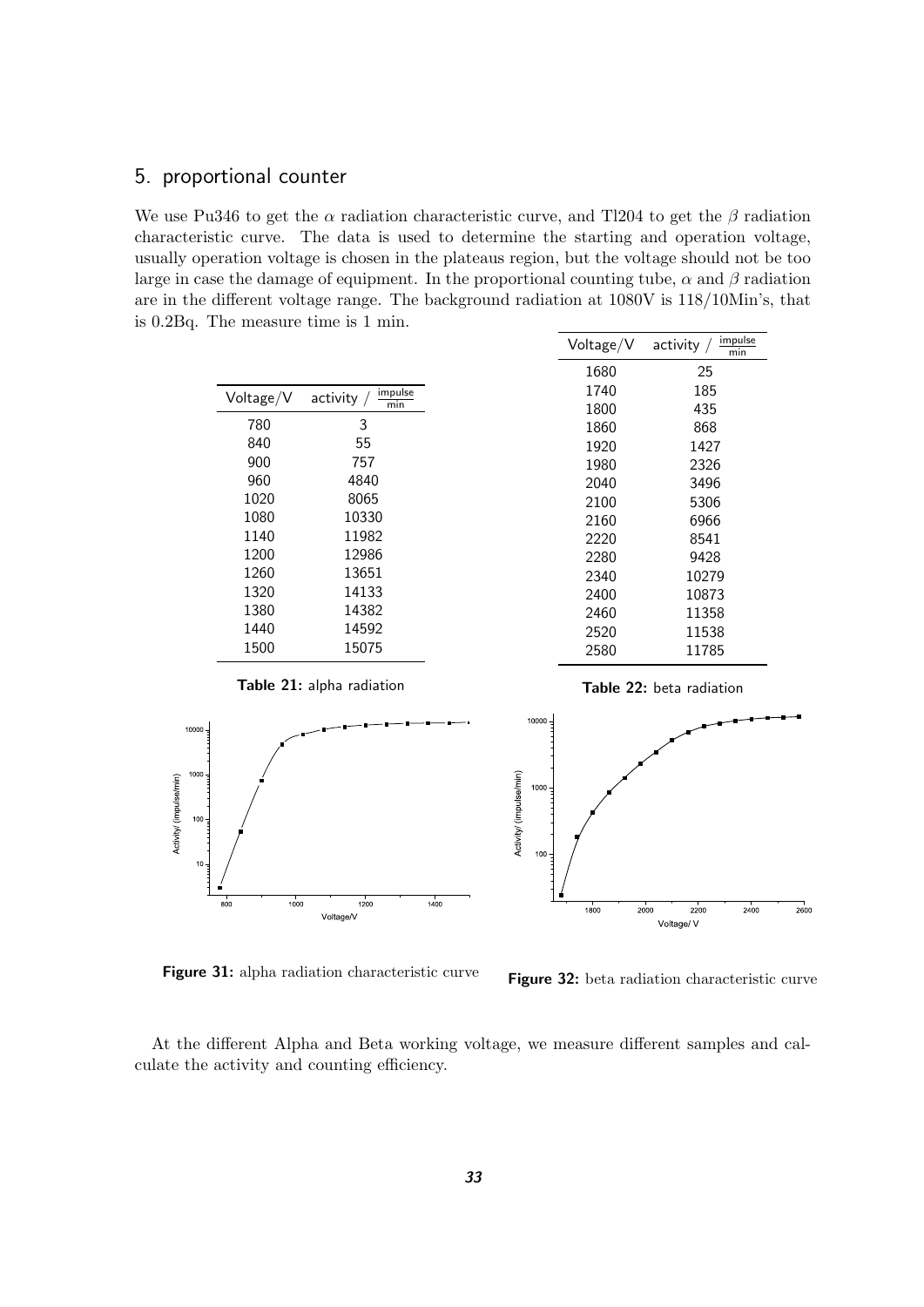## <span id="page-32-0"></span>5. proportional counter

We use Pu346 to get the  $\alpha$  radiation characteristic curve, and Tl204 to get the  $\beta$  radiation characteristic curve. The data is used to determine the starting and operation voltage, usually operation voltage is chosen in the plateaus region, but the voltage should not be too large in case the damage of equipment. In the proportional counting tube,  $\alpha$  and  $\beta$  radiation are in the different voltage range. The background radiation at 1080V is 118/10Min's, that is 0.2Bq. The measure time is 1 min.

| Voltage/V | impulse<br>activity $/$<br>min |
|-----------|--------------------------------|
| 780       | 3                              |
| 840       | 55                             |
| 900       | 757                            |
| 960       | 4840                           |
| 1020      | 8065                           |
| 1080      | 10330                          |
| 1140      | 11982                          |
| 1200      | 12986                          |
| 1260      | 13651                          |
| 1320      | 14133                          |
| 1380      | 14382                          |
| 1440      | 14592                          |
| 1500      | 15075                          |

| Voltage/V | impulse<br>activity $/$<br>min |
|-----------|--------------------------------|
| 1680      | 25                             |
| 1740      | 185                            |
| 1800      | 435                            |
| 1860      | 868                            |
| 1920      | 1427                           |
| 1980      | 2326                           |
| 2040      | 3496                           |
| 2100      | 5306                           |
| 2160      | 6966                           |
| 2220      | 8541                           |
| 2280      | 9428                           |
| 2340      | 10279                          |
| 2400      | 10873                          |
| 2460      | 11358                          |
| 2520      | 11538                          |
| 2580      | 11785                          |
|           |                                |



<span id="page-32-1"></span>**Table 21:** alpha radiation

<span id="page-32-3"></span>**Figure 31:** alpha radiation characteristic curve

<span id="page-32-2"></span>**Table 22:** beta radiation



<span id="page-32-4"></span>**Figure 32:** beta radiation characteristic curve

At the different Alpha and Beta working voltage, we measure different samples and calculate the activity and counting efficiency.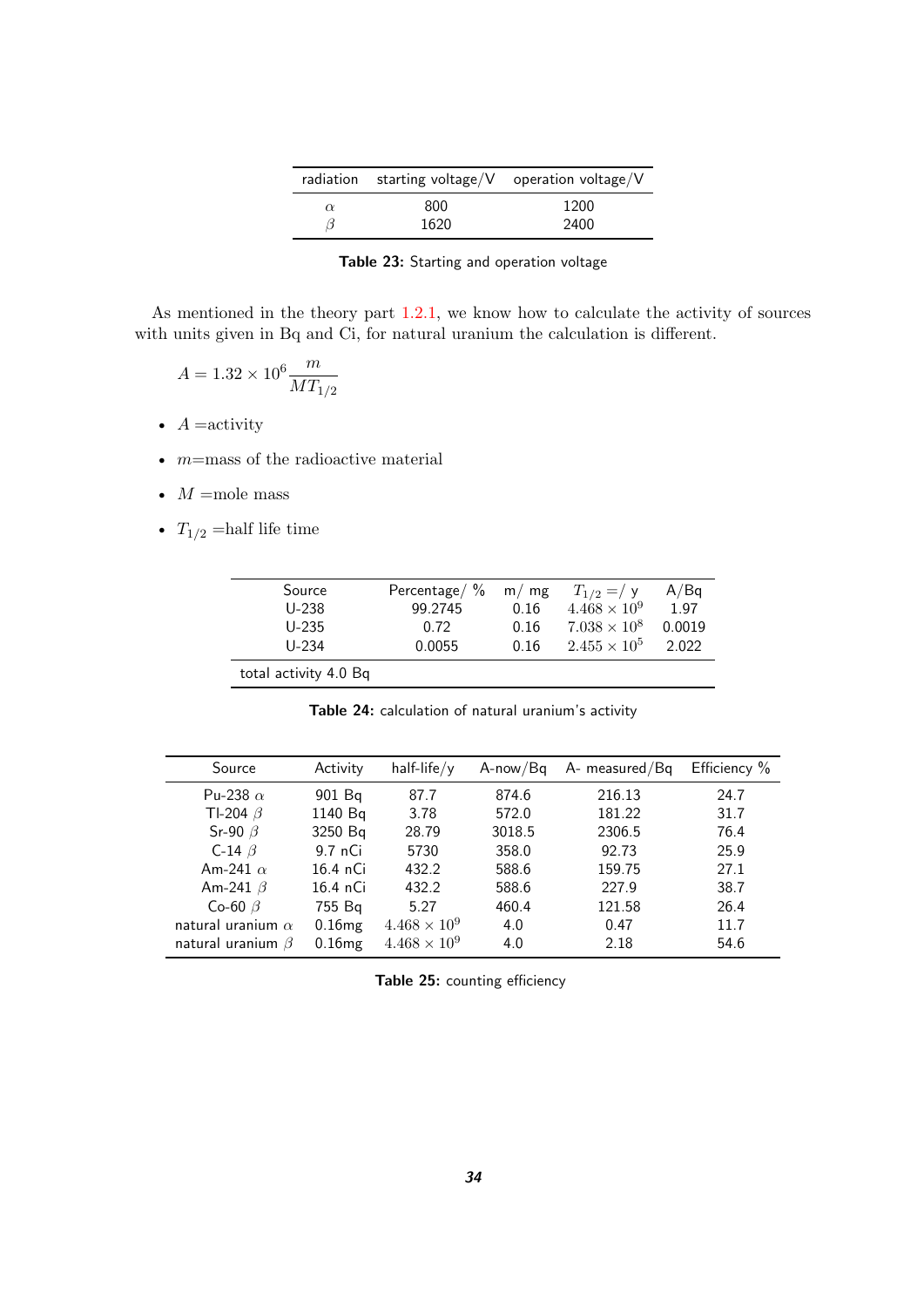|          |      | radiation starting voltage/ $V$ operation voltage/ $V$ |
|----------|------|--------------------------------------------------------|
| $\alpha$ | 800  | 1200                                                   |
|          | 1620 | 2400                                                   |

<span id="page-33-0"></span>**Table 23:** Starting and operation voltage

As mentioned in the theory part [1.2.1,](#page-5-1) we know how to calculate the activity of sources with units given in Bq and Ci, for natural uranium the calculation is different.

$$
A = 1.32 \times 10^6 \frac{m}{MT_{1/2}}
$$

•  $A =$ activity

- $m$ =mass of the radioactive material
- $M =$ mole mass
- $T_{1/2}$  =half life time

| Source                | Percentage/ $\%$ m/mg |      | $T_{1/2} = / y$       | A/Bq   |
|-----------------------|-----------------------|------|-----------------------|--------|
| $U-238$               | 99.2745               | 0.16 | $4.468 \times 10^{9}$ | 1.97   |
| $U-235$               | 0.72                  | 0.16 | $7.038 \times 10^{8}$ | 0.0019 |
| $U - 234$             | 0.0055                | 0.16 | $2.455 \times 10^{5}$ | 2.022  |
| total activity 4.0 Bq |                       |      |                       |        |

<span id="page-33-1"></span>**Table 24:** calculation of natural uranium's activity

| Source                   | Activity  | $half-life/y$         | $A$ -now/ $Bq$ | A- measured/Bq | Efficiency % |
|--------------------------|-----------|-----------------------|----------------|----------------|--------------|
| Pu-238 $\alpha$          | 901 Bg    | 87.7                  | 874.6          | 216.13         | 24.7         |
| TI-204 $\beta$           | 1140 Bq   | 3.78                  | 572.0          | 181.22         | 31.7         |
| Sr-90 $\beta$            | 3250 Bq   | 28.79                 | 3018.5         | 2306.5         | 76.4         |
| C-14 $\beta$             | 9.7 nCi   | 5730                  | 358.0          | 92.73          | 25.9         |
| Am-241 $\alpha$          | 16.4 nCi  | 432.2                 | 588.6          | 159.75         | 27.1         |
| Am-241 $\beta$           | 16.4 nCi  | 432.2                 | 588.6          | 227.9          | 38.7         |
| Co-60 $\beta$            | 755 Bg    | 5.27                  | 460.4          | 121.58         | 26.4         |
| natural uranium $\alpha$ | 0.16mg    | $4.468 \times 10^9$   | 4.0            | 0.47           | 11.7         |
| natural uranium $\beta$  | $0.16$ mg | $4.468 \times 10^{9}$ | 4.0            | 2.18           | 54.6         |

<span id="page-33-2"></span>**Table 25:** counting efficiency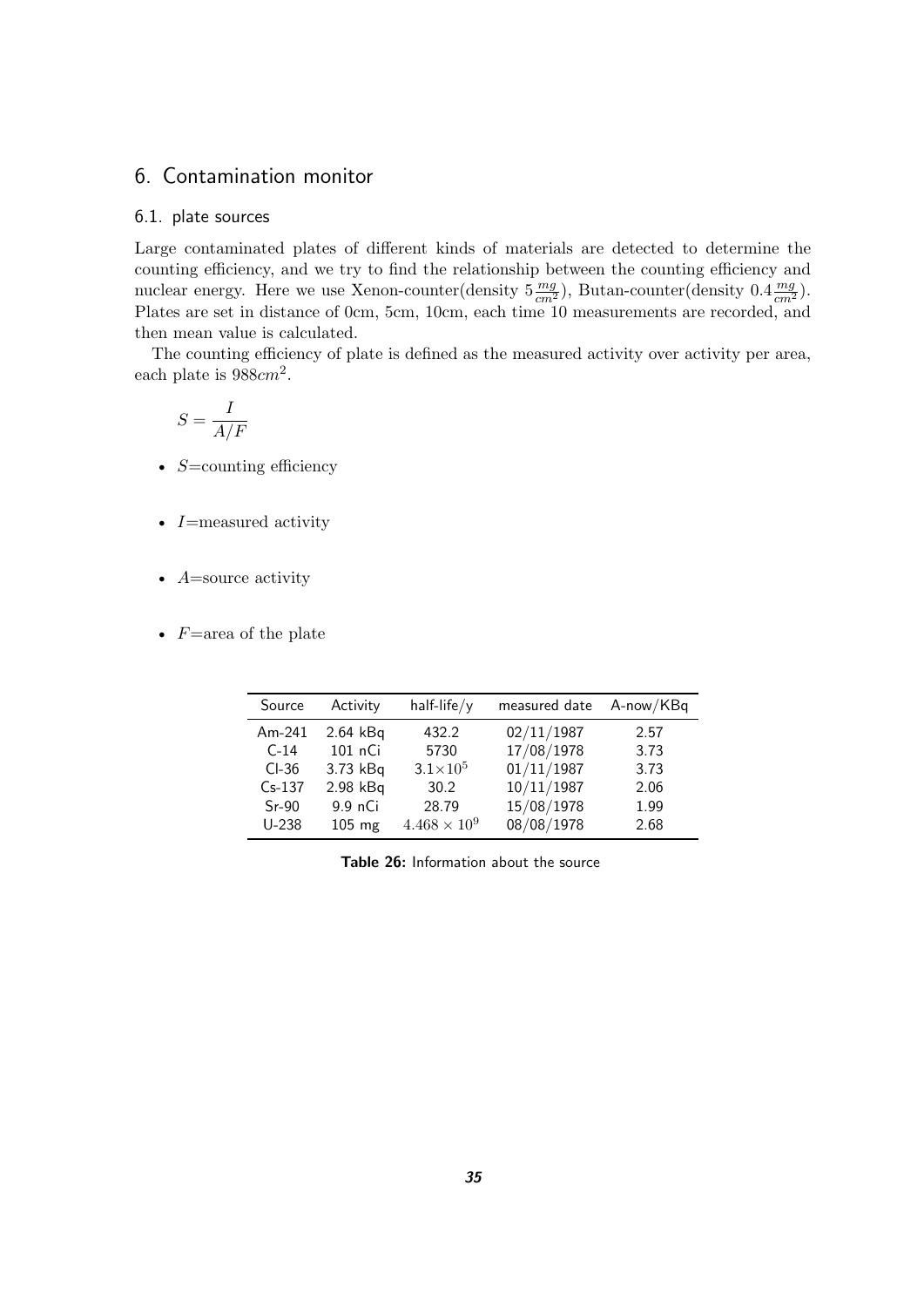## <span id="page-34-0"></span>6. Contamination monitor

#### <span id="page-34-1"></span>6.1. plate sources

Large contaminated plates of different kinds of materials are detected to determine the counting efficiency, and we try to find the relationship between the counting efficiency and nuclear energy. Here we use Xenon-counter(density  $5 \frac{mg}{cm^2}$ ), Butan-counter(density  $0.4 \frac{mg}{cm^2}$ ). Plates are set in distance of 0cm, 5cm, 10cm, each time 10 measurements are recorded, and then mean value is calculated.

The counting efficiency of plate is defined as the measured activity over activity per area, each plate is  $988cm^2$ .

$$
S = \frac{I}{A/F}
$$

- $S=$ counting efficiency
- I=measured activity
- $A=$ source activity
- $F = \text{area of the plate}$

| Source   | Activity         | $half-life/y$         | measured date | A-now/KBq |
|----------|------------------|-----------------------|---------------|-----------|
| $Am-241$ | $2.64$ kBq       | 432.2                 | 02/11/1987    | 2.57      |
| $C-14$   | 101 nCi          | 5730                  | 17/08/1978    | 3.73      |
| $CI-36$  | 3.73 kBq         | $3.1 \times 10^{5}$   | 01/11/1987    | 3.73      |
| $Cs-137$ | 2.98 kBq         | 30.2                  | 10/11/1987    | 2.06      |
| $Sr-90$  | 9.9 nCi          | 28.79                 | 15/08/1978    | 1.99      |
| $U-238$  | $105 \text{ mg}$ | $4.468 \times 10^{9}$ | 08/08/1978    | 2.68      |

<span id="page-34-2"></span>**Table 26:** Information about the source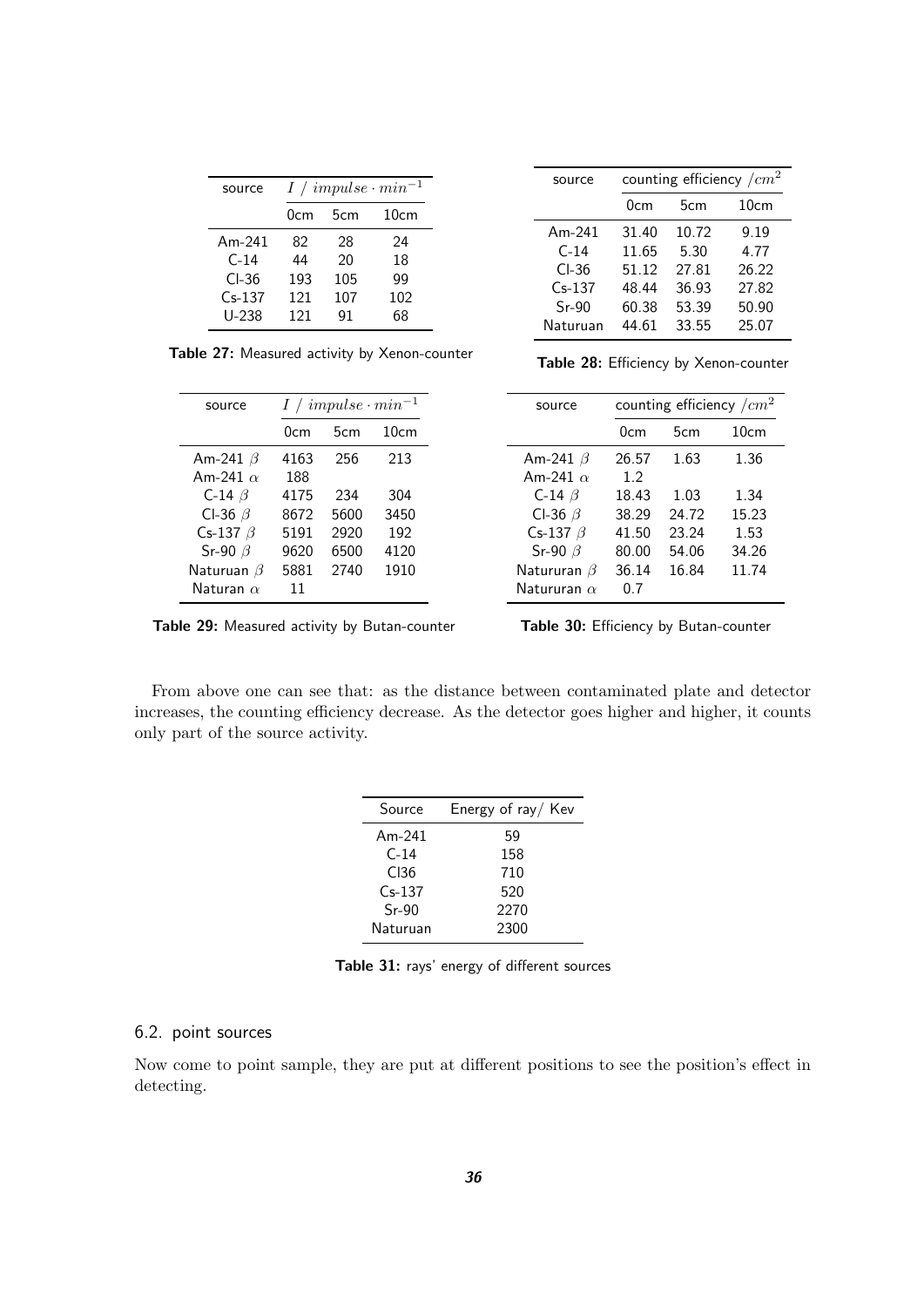| source   | $I / impulse \cdot min^{-1}$ |      |     |  |  |  |
|----------|------------------------------|------|-----|--|--|--|
|          | 0cm                          | 10cm |     |  |  |  |
| Am-241   | 82                           | 28   | 24  |  |  |  |
| $C-14$   | 44                           | 20   | 18  |  |  |  |
| CL36     | 193                          | 105  | 99  |  |  |  |
| $Cs-137$ | 121                          | 107  | 102 |  |  |  |
| U-238    | 121                          | 91   | 68  |  |  |  |

source counting efficiency  $/cm<sup>2</sup>$ 0cm 5cm 10cm Am-241 31.40 10.72 9.19<br>C-14 11.65 5.30 4.77 C-14 11.65 5.30 4.77 Cl-36 51.12 27.81 26.22 Cs-137 48.44 36.93 27.82 Sr-90 60.38 53.39 50.90 Naturuan 44.61 33.55 25.07

<span id="page-35-1"></span>**Table 27:** Measured activity by Xenon-counter

| source           |      | $I / impulse \cdot min^{-1}$ |      |  |  |
|------------------|------|------------------------------|------|--|--|
|                  | 0cm  | 5cm                          | 10cm |  |  |
| Am-241 $\beta$   | 4163 | 256                          | 213  |  |  |
| Am-241 $\alpha$  | 188  |                              |      |  |  |
| C-14 $\beta$     | 4175 | 234                          | 304  |  |  |
| CI-36 $\beta$    | 8672 | 5600                         | 3450 |  |  |
| Cs-137 $\beta$   | 5191 | 2920                         | 192  |  |  |
| Sr-90 $\beta$    | 9620 | 6500                         | 4120 |  |  |
| Naturuan $\beta$ | 5881 | 2740                         | 1910 |  |  |
| Naturan $\alpha$ | 11   |                              |      |  |  |

<span id="page-35-3"></span>**Table 29:** Measured activity by Butan-counter

<span id="page-35-2"></span>**Table 28:** Efficiency by Xenon-counter

| source             | counting efficiency $/cm2$ |       |       |  |
|--------------------|----------------------------|-------|-------|--|
|                    | 0cm                        | 5cm   | 10cm  |  |
| Am-241 $\beta$     | 26.57                      | 1.63  | 1.36  |  |
| Am-241 $\alpha$    | 1.2                        |       |       |  |
| C-14 $\beta$       | 18.43                      | 1.03  | 1.34  |  |
| CI-36 $\beta$      | 38.29                      | 24.72 | 15.23 |  |
| Cs-137 $\beta$     | 41.50                      | 23.24 | 1.53  |  |
| Sr-90 $\beta$      | 80.00                      | 54.06 | 34.26 |  |
| Natururan $\beta$  | 36.14                      | 16.84 | 11.74 |  |
| Natururan $\alpha$ | 0.7                        |       |       |  |

<span id="page-35-4"></span>**Table 30:** Efficiency by Butan-counter

From above one can see that: as the distance between contaminated plate and detector increases, the counting efficiency decrease. As the detector goes higher and higher, it counts only part of the source activity.

L,

| Source           | Energy of ray/ Kev |  |  |
|------------------|--------------------|--|--|
| Am-241           | 59                 |  |  |
| $C-14$           | 158                |  |  |
| C <sub>136</sub> | 710                |  |  |
| $Cs-137$         | 520                |  |  |
| $Sr-90$          | 2270               |  |  |
| Naturuan         | 2300               |  |  |

<span id="page-35-5"></span>**Table 31:** rays' energy of different sources

#### <span id="page-35-0"></span>6.2. point sources

Now come to point sample, they are put at different positions to see the position's effect in detecting.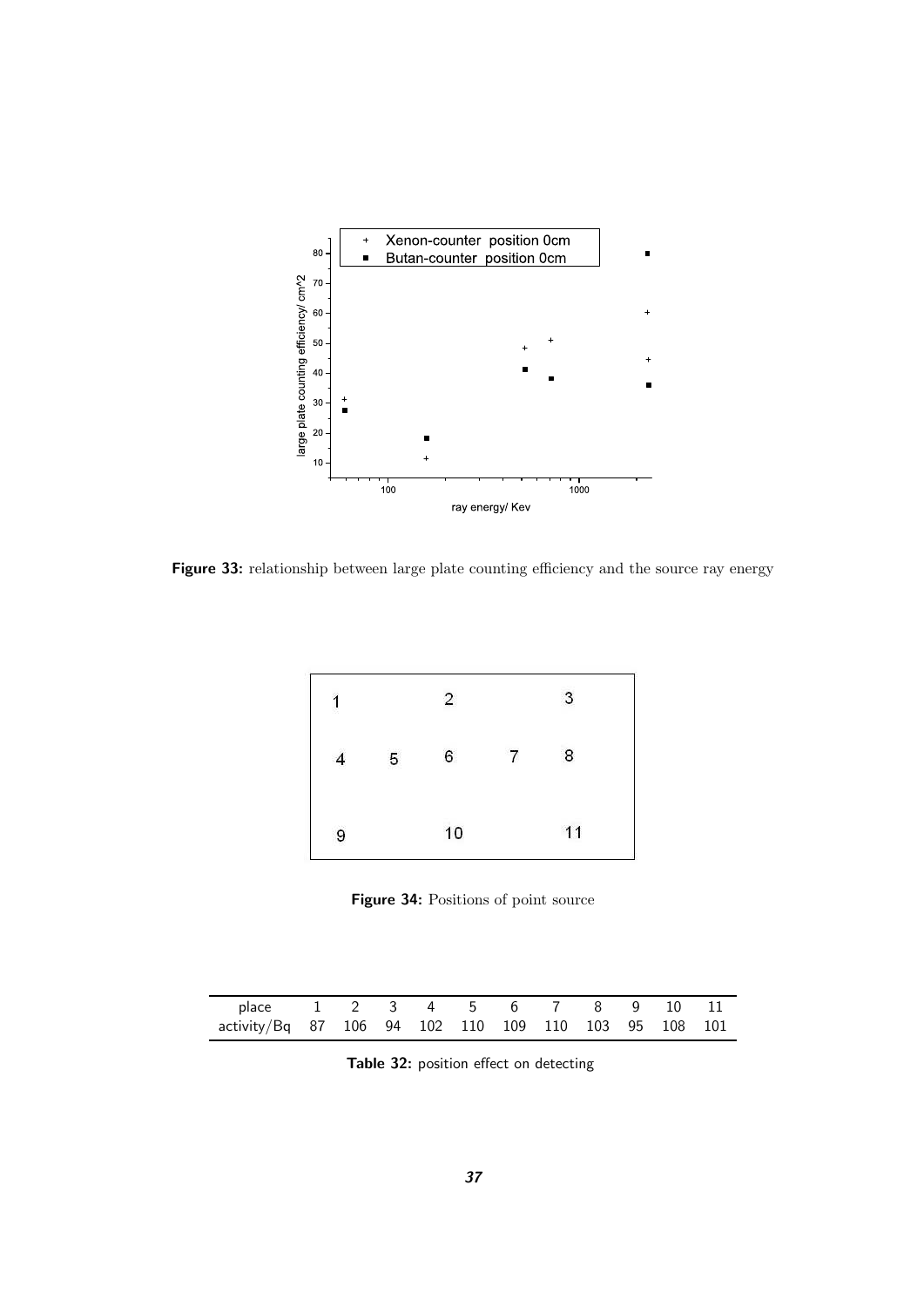

<span id="page-36-1"></span>**Figure 33:** relationship between large plate counting efficiency and the source ray energy



<span id="page-36-2"></span>**Figure 34:** Positions of point source

| place 1 2 3 4 5 6 7 8 9 10 11                        |  |  |  |  |  |  |
|------------------------------------------------------|--|--|--|--|--|--|
| activity/Bq 87 106 94 102 110 109 110 103 95 108 101 |  |  |  |  |  |  |

<span id="page-36-0"></span>**Table 32:** position effect on detecting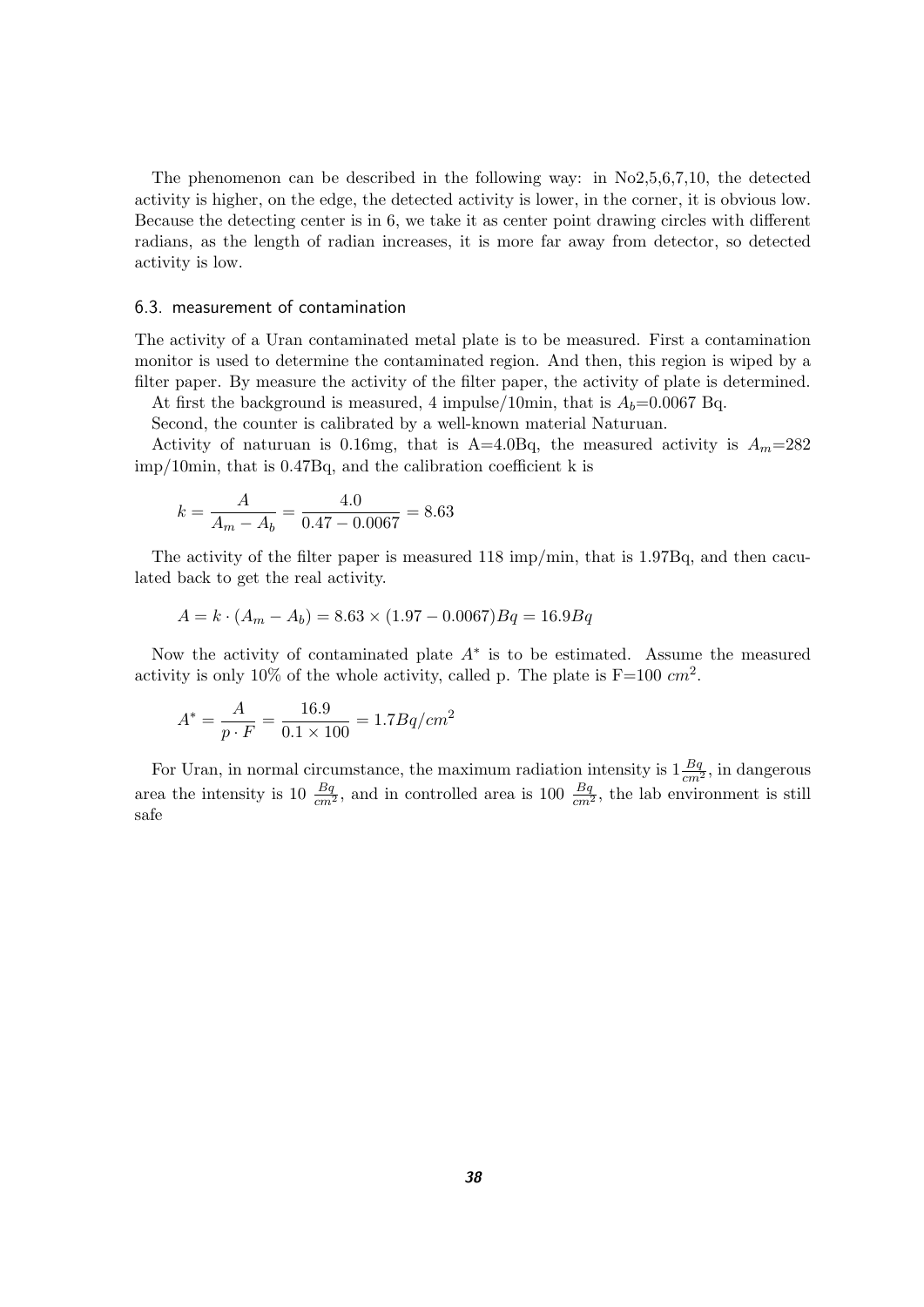The phenomenon can be described in the following way: in No2,5,6,7,10, the detected activity is higher, on the edge, the detected activity is lower, in the corner, it is obvious low. Because the detecting center is in 6, we take it as center point drawing circles with different radians, as the length of radian increases, it is more far away from detector, so detected activity is low.

#### <span id="page-37-0"></span>6.3. measurement of contamination

The activity of a Uran contaminated metal plate is to be measured. First a contamination monitor is used to determine the contaminated region. And then, this region is wiped by a filter paper. By measure the activity of the filter paper, the activity of plate is determined.

At first the background is measured, 4 impulse/10min, that is  $A_b=0.0067$  Bq. Second, the counter is calibrated by a well-known material Naturuan.

Activity of naturuan is 0.16mg, that is A=4.0Bq, the measured activity is  $A_m=282$ imp/10min, that is 0.47Bq, and the calibration coefficient k is

$$
k = \frac{A}{A_m - A_b} = \frac{4.0}{0.47 - 0.0067} = 8.63
$$

The activity of the filter paper is measured 118 imp/min, that is 1.97Bq, and then caculated back to get the real activity.

$$
A = k \cdot (A_m - A_b) = 8.63 \times (1.97 - 0.0067)Bq = 16.9Bq
$$

Now the activity of contaminated plate  $A^*$  is to be estimated. Assume the measured activity is only 10% of the whole activity, called p. The plate is  $F=100$   $cm^2$ .

$$
A^* = \frac{A}{p \cdot F} = \frac{16.9}{0.1 \times 100} = 1.7Bq/cm^2
$$

For Uran, in normal circumstance, the maximum radiation intensity is  $1\frac{Bq}{cm^2}$ , in dangerous area the intensity is 10  $\frac{Bq}{cm^2}$ , and in controlled area is 100  $\frac{Bq}{cm^2}$ , the lab environment is still safe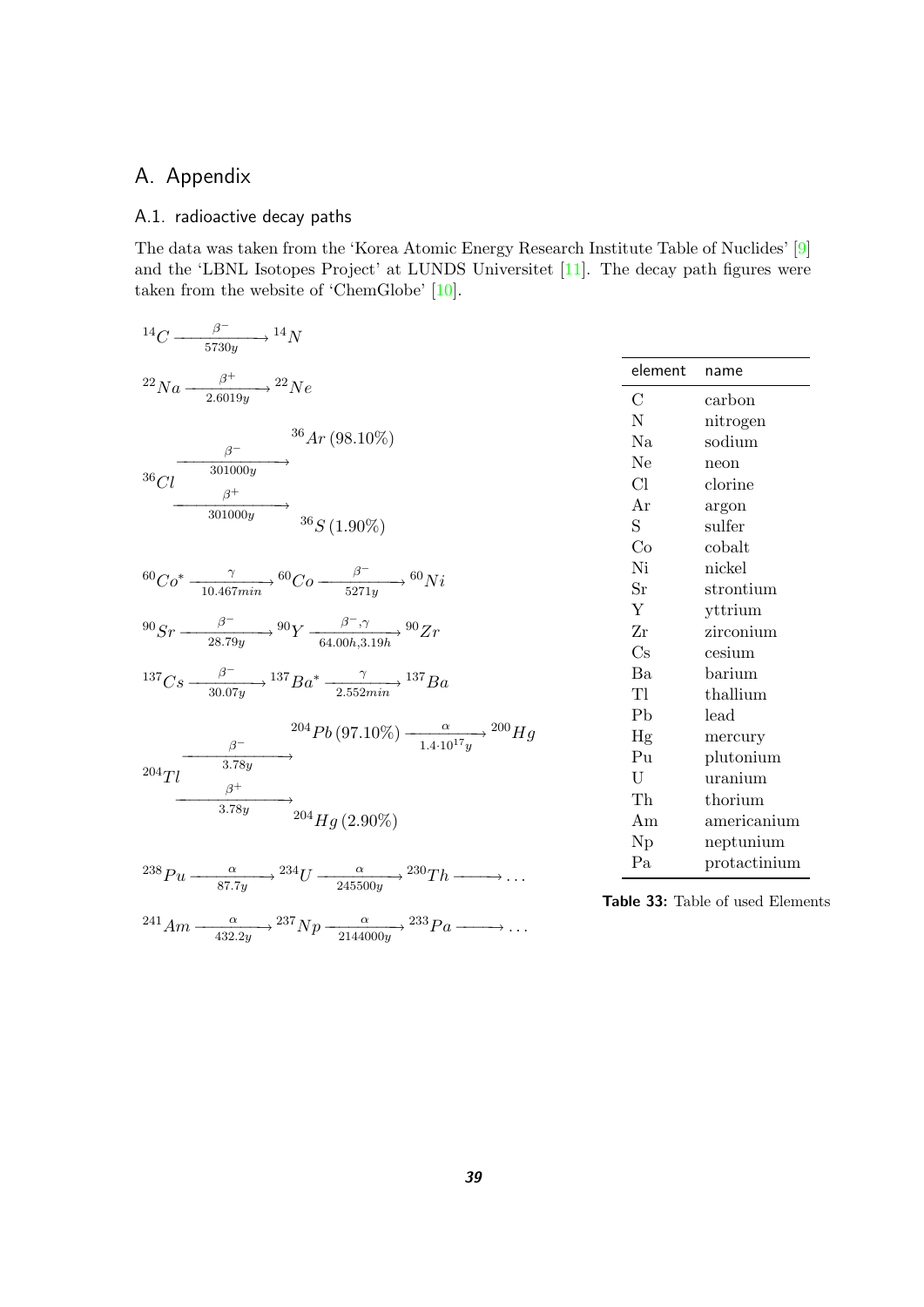## <span id="page-38-0"></span>A. Appendix

## <span id="page-38-1"></span>A.1. radioactive decay paths

The data was taken from the 'Korea Atomic Energy Research Institute Table of Nuclides' [\[9\]](#page-43-12) and the 'LBNL Isotopes Project' at LUNDS Universitet [\[11\]](#page-43-13). The decay path figures were taken from the website of 'ChemGlobe' [\[10\]](#page-43-10).

| $^{14}C \longrightarrow ^{ \beta^-}_{5730y}$ $^{14}N$                                                                                                                                                                                                |
|------------------------------------------------------------------------------------------------------------------------------------------------------------------------------------------------------------------------------------------------------|
| $^{22}Na \longrightarrow ^{6^+} {^{22}Ne}$                                                                                                                                                                                                           |
| $36Ar(98.10\%)$<br>$\begin{array}{c}\n\sqrt{\beta^+} \ \hline\n\text{301000y} \ \text{36}S(1.90\%)\n\end{array}$                                                                                                                                     |
| ${}^{60}Co^* \xrightarrow[10.467 min]{}^{60}Co \xrightarrow[5271v]{}^{60}Ni$                                                                                                                                                                         |
| $^{90}Sr \longrightarrow \frac{\beta^-}{28.79y} \rightarrow ^{90}Y \longrightarrow \frac{\beta^-,\gamma}{64.00h,3.19h} \rightarrow ^{90}Zr$                                                                                                          |
| $^{137}Cs \longrightarrow ^{0-}_{30.07u}$ $^{137}Ba^* \longrightarrow ^{0} {137}Ba$                                                                                                                                                                  |
| $^{204}Pb(97.10\%) \longrightarrow {\alpha \over 1.4 \cdot 10^{17}v}$ $^{200}Hg$<br>$\begin{array}{r} \n\stackrel{\beta^-}{\longrightarrow} \\ 204 \text{ Tl} \xrightarrow{\beta^+} \\ 3.78y \xrightarrow{\beta^+} \\ 204 Hg (2.90\%) \n\end{array}$ |
| <sup>238</sup> Pu $\frac{\alpha}{87.7y}$ $\rightarrow$ <sup>234</sup> U $\frac{\alpha}{245500y}$ $\rightarrow$ <sup>230</sup> Th $\rightarrow$                                                                                                       |
| $^{241}Am \longrightarrow \frac{\alpha}{432.2y}$ $^{237}Np \longrightarrow \frac{\alpha}{2144000y}$ $^{233}Pa \longrightarrow \dots$                                                                                                                 |

| element                | name                    |
|------------------------|-------------------------|
| С                      | carbon                  |
| N                      | nitrogen                |
| Na                     | sodium                  |
| Ne                     | neon                    |
| Cl                     | clorine                 |
| Ar                     | argon                   |
| S.                     | sulfer                  |
| Co                     | cobalt                  |
| Ni                     | nickel                  |
| $S_{r}$                | strontium               |
| Y                      | yttrium                 |
| Zr                     | zirconium               |
| $\overline{\text{Cs}}$ | cesium                  |
| Ba                     | $\operatorname{barium}$ |
| Tl                     | thallium                |
| P <sub>b</sub>         | lead                    |
| Hg                     | mercury                 |
| Pu                     | plutonium               |
| U                      | uranium                 |
| Th                     | thorium                 |
| Am                     | americanium             |
| Np                     | neptunium               |
| Pa.                    | protactinium            |

<span id="page-38-2"></span>**Table 33:** Table of used Elements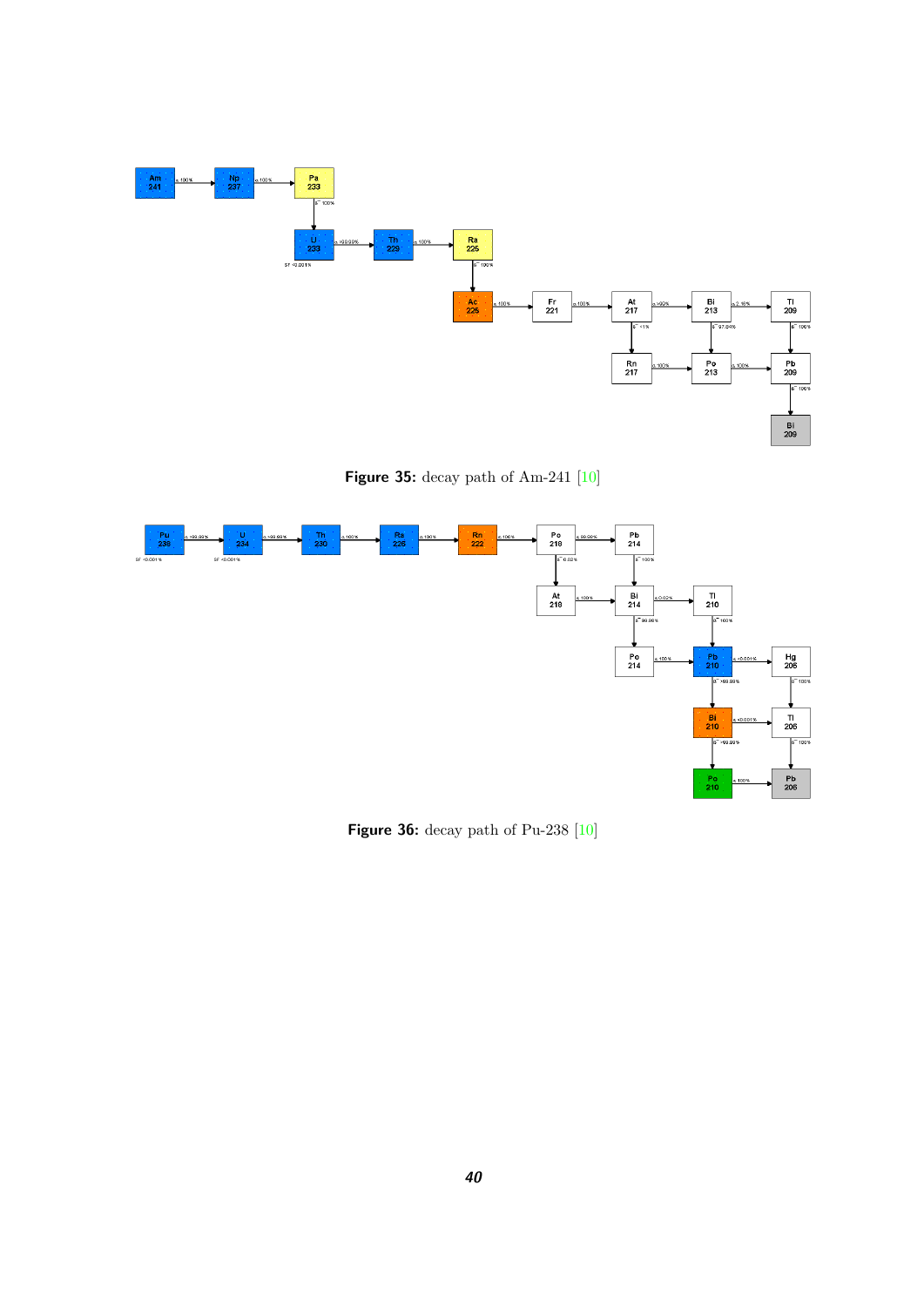

<span id="page-39-0"></span>**Figure 35:** decay path of Am-241 [\[10\]](#page-43-10)



<span id="page-39-1"></span>**Figure 36:** decay path of Pu-238 [\[10\]](#page-43-10)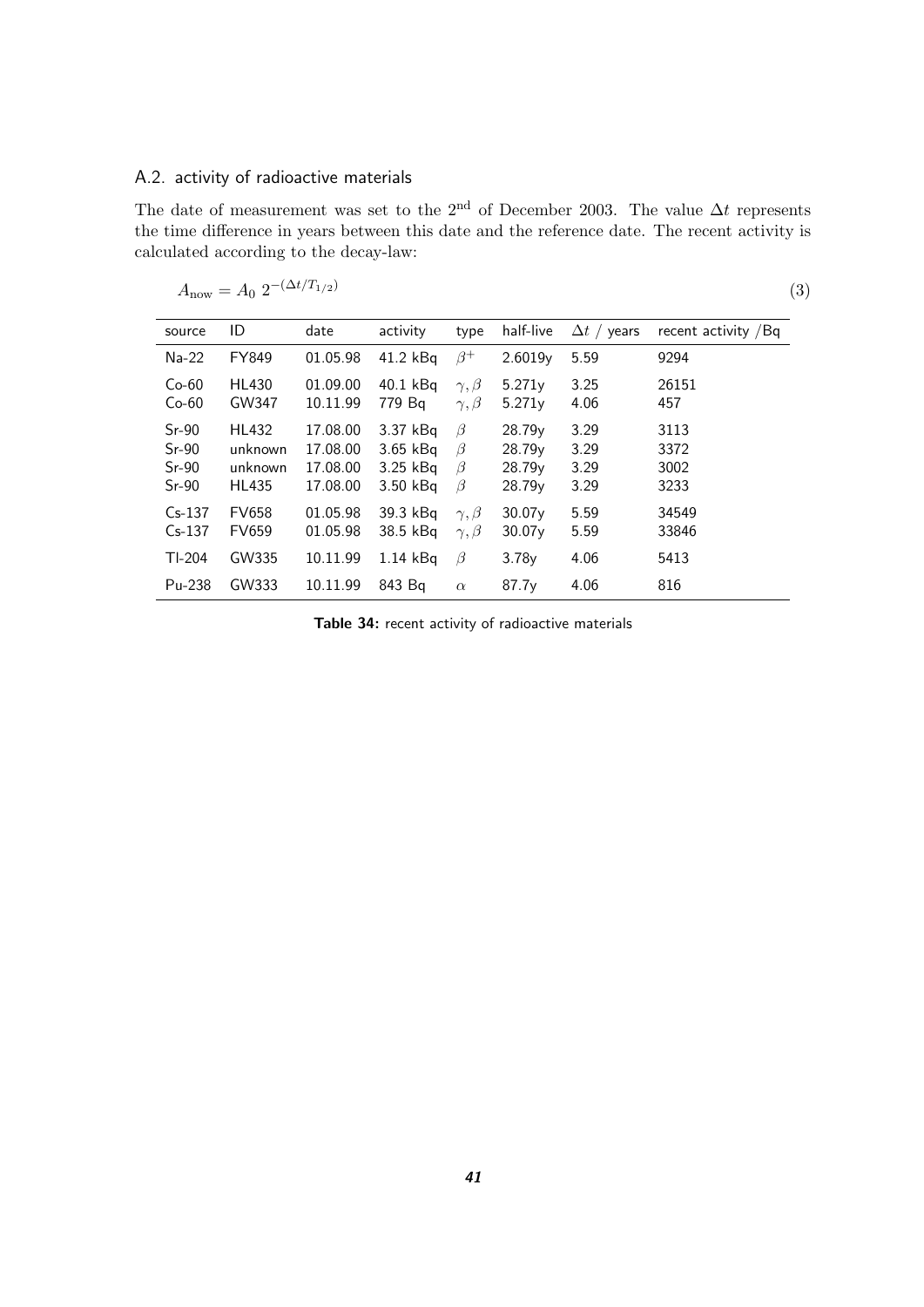## <span id="page-40-0"></span>A.2. activity of radioactive materials

The date of measurement was set to the 2<sup>nd</sup> of December 2003. The value  $\Delta t$  represents the time difference in years between this date and the reference date. The recent activity is calculated according to the decay-law:

$$
A_{\rm now} = A_0 \ 2^{-(\Delta t/T_{1/2})}
$$

(3)

| source   | ID           | date     | activity   | type            | half-live          | $\Delta t$ / years | recent activity / Bq |
|----------|--------------|----------|------------|-----------------|--------------------|--------------------|----------------------|
|          |              |          |            |                 |                    |                    |                      |
| Na-22    | FY849        | 01.05.98 | 41.2 kBq   | $\beta^+$       | 2.6019y            | 5.59               | 9294                 |
| $Co-60$  | <b>HL430</b> | 01.09.00 | 40.1 kBg   | $\gamma, \beta$ | 5.271v             | 3.25               | 26151                |
| $Co-60$  | GW347        | 10.11.99 | 779 Bq     | $\gamma, \beta$ | 5.271v             | 4.06               | 457                  |
| $Sr-90$  | <b>HL432</b> | 17.08.00 | 3.37 kBg   | $\beta$         | 28.79 <sub>v</sub> | 3.29               | 3113                 |
| $Sr-90$  | unknown      | 17.08.00 | $3.65$ kBq | $\beta$         | 28.79 <sub>v</sub> | 3.29               | 3372                 |
| $Sr-90$  | unknown      | 17.08.00 | $3.25$ kBq | $\beta$         | 28.79y             | 3.29               | 3002                 |
| $Sr-90$  | <b>HL435</b> | 17.08.00 | 3.50 kBq   | $\beta$         | 28.79y             | 3.29               | 3233                 |
| $Cs-137$ | <b>FV658</b> | 01.05.98 | 39.3 kBa   | $\gamma, \beta$ | 30.07v             | 5.59               | 34549                |
| $Cs-137$ | <b>FV659</b> | 01.05.98 | 38.5 kBq   | $\gamma, \beta$ | 30.07v             | 5.59               | 33846                |
| $Tl-204$ | GW335        | 10.11.99 | $1.14$ kBq | $\beta$         | 3.78v              | 4.06               | 5413                 |
| Pu-238   | GW333        | 10.11.99 | 843 Bg     | $\alpha$        | 87.7 <sub>v</sub>  | 4.06               | 816                  |

<span id="page-40-1"></span>**Table 34:** recent activity of radioactive materials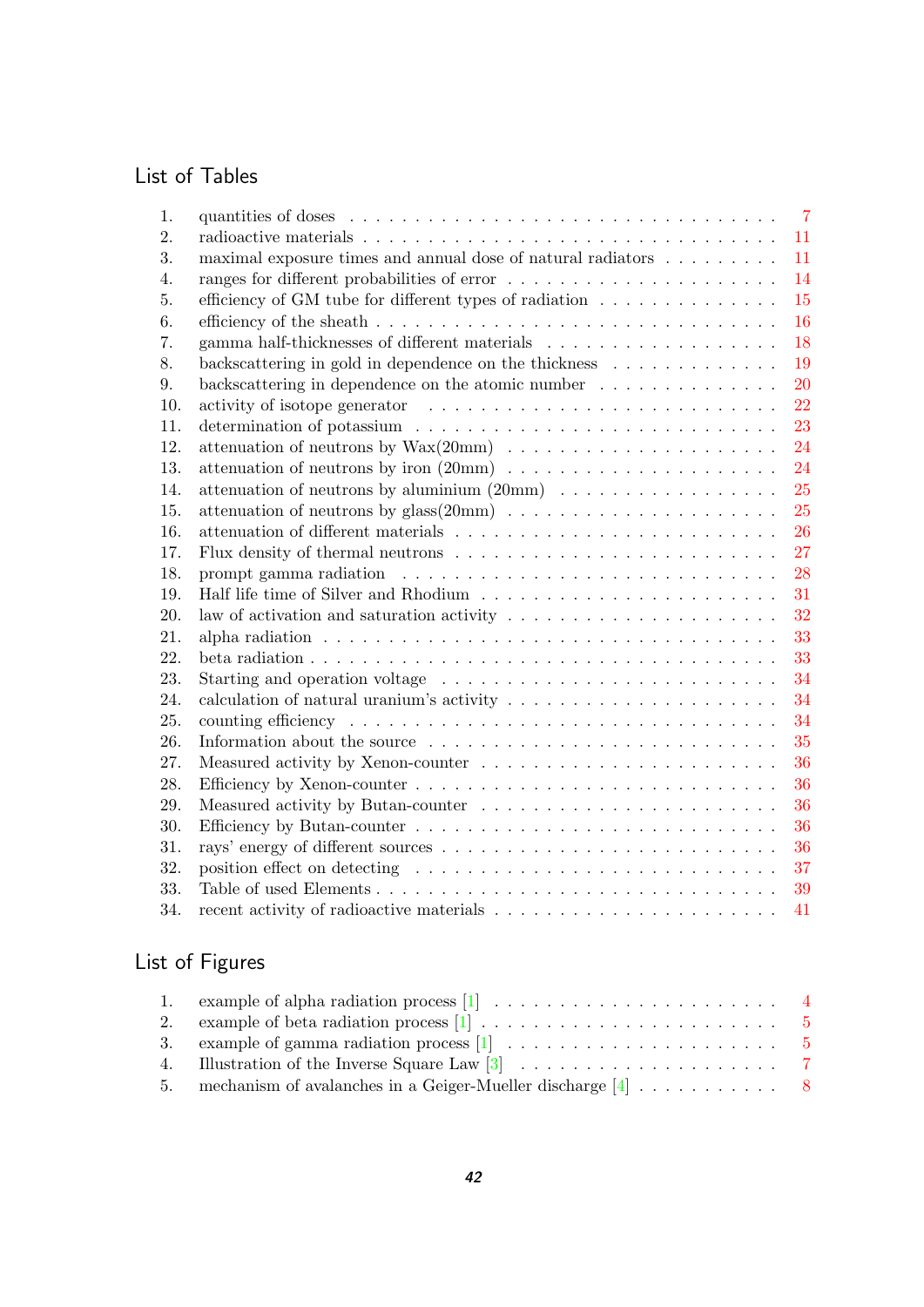## List of Tables

| 1.  |                                                                                               | $\overline{7}$ |
|-----|-----------------------------------------------------------------------------------------------|----------------|
| 2.  |                                                                                               | 11             |
| 3.  | maximal exposure times and annual dose of natural radiators $\dots \dots \dots$               | 11             |
| 4.  |                                                                                               | 14             |
| 5.  | efficiency of GM tube for different types of radiation $\ldots \ldots \ldots \ldots$          | 15             |
| 6.  |                                                                                               | 16             |
| 7.  |                                                                                               | 18             |
| 8.  | backscattering in gold in dependence on the thickness $\dots \dots \dots \dots$               | 19             |
| 9.  | backscattering in dependence on the atomic number $\ldots \ldots \ldots \ldots$               | 20             |
| 10. |                                                                                               | 22             |
| 11. |                                                                                               | 23             |
| 12. |                                                                                               | 24             |
| 13. |                                                                                               | 24             |
| 14. |                                                                                               | 25             |
| 15. |                                                                                               | 25             |
| 16. |                                                                                               | 26             |
| 17. |                                                                                               | 27             |
| 18. |                                                                                               | 28             |
| 19. |                                                                                               | 31             |
| 20. | law of activation and saturation activity $\ldots \ldots \ldots \ldots \ldots \ldots \ldots$  | 32             |
| 21. |                                                                                               | 33             |
| 22. |                                                                                               | 33             |
| 23. |                                                                                               | 34             |
| 24. | calculation of natural uranium's activity $\ldots \ldots \ldots \ldots \ldots \ldots \ldots$  | 34             |
| 25. |                                                                                               | 34             |
| 26. | Information about the source $\ldots \ldots \ldots \ldots \ldots \ldots \ldots \ldots \ldots$ | 35             |
| 27. |                                                                                               | 36             |
| 28. |                                                                                               | 36             |
| 29. |                                                                                               | 36             |
| 30. |                                                                                               | 36             |
| 31. |                                                                                               | 36             |
| 32. |                                                                                               | 37             |
| 33. |                                                                                               | 39             |
| 34. |                                                                                               | 41             |

# List of Figures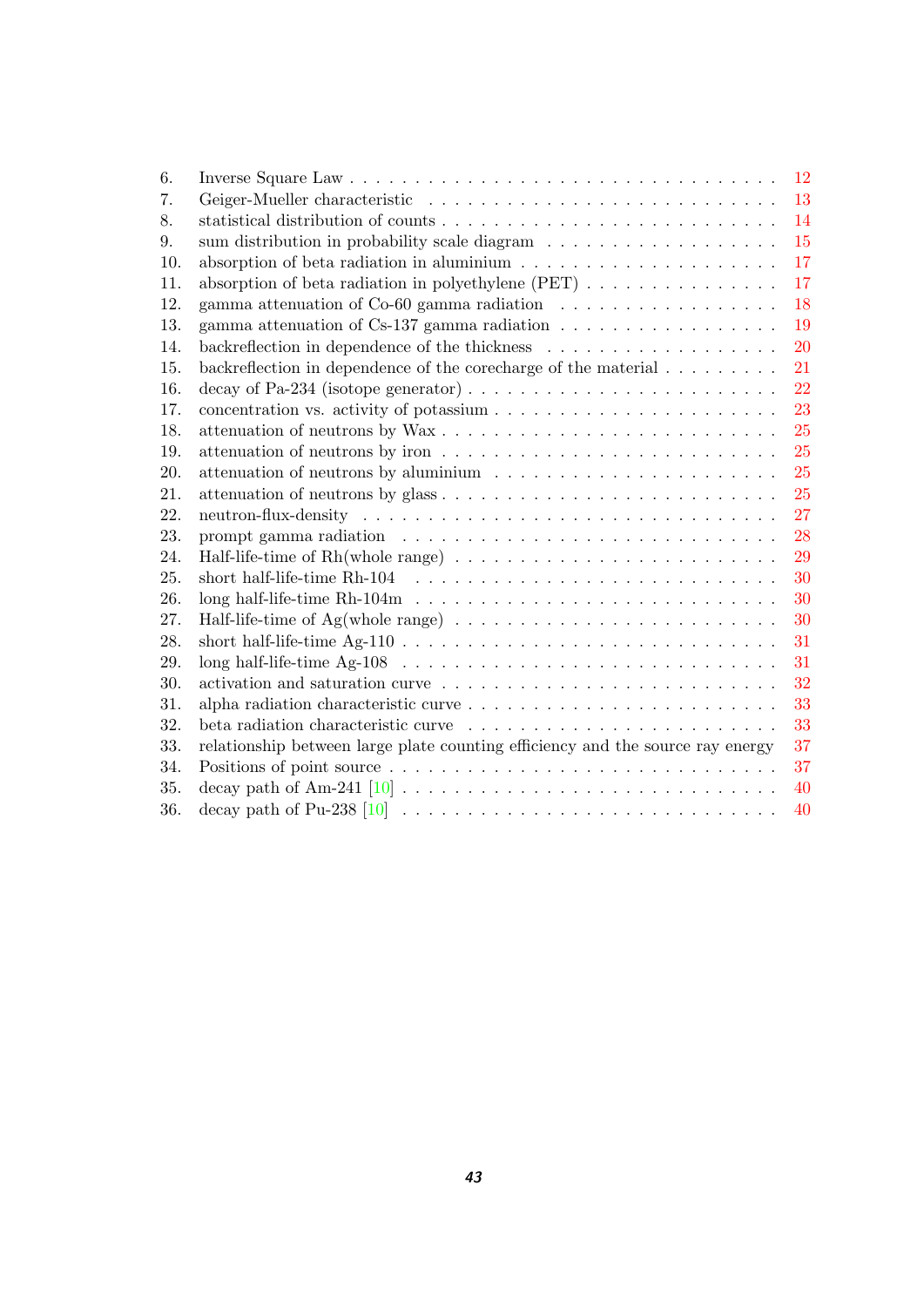| 6.  |                                                                                                   | 12 |
|-----|---------------------------------------------------------------------------------------------------|----|
| 7.  |                                                                                                   | 13 |
| 8.  |                                                                                                   | 14 |
| 9.  | sum distribution in probability scale diagram $\ldots \ldots \ldots \ldots \ldots$                | 15 |
| 10. | absorption of beta radiation in aluminium $\ldots \ldots \ldots \ldots \ldots \ldots$             | 17 |
| 11. | absorption of beta radiation in polyethylene (PET) $\ldots \ldots \ldots \ldots \ldots$           | 17 |
| 12. | gamma attenuation of Co-60 gamma radiation $\ldots \ldots \ldots \ldots \ldots \ldots$            | 18 |
| 13. | gamma attenuation of Cs-137 gamma radiation $\ldots \ldots \ldots \ldots \ldots \ldots$           | 19 |
| 14. | backreflection in dependence of the thickness $\dots \dots \dots \dots \dots \dots \dots$         | 20 |
| 15. | backreflection in dependence of the core<br>charge of the material $\ldots \ldots \ldots$         | 21 |
| 16. | decay of Pa-234 (isotope generator) $\dots \dots \dots \dots \dots \dots \dots \dots \dots \dots$ | 22 |
| 17. |                                                                                                   | 23 |
| 18. |                                                                                                   | 25 |
| 19. |                                                                                                   | 25 |
| 20. | attenuation of neutrons by aluminium $\dots \dots \dots \dots \dots \dots \dots \dots \dots$      | 25 |
| 21. |                                                                                                   | 25 |
| 22. |                                                                                                   | 27 |
| 23. |                                                                                                   | 28 |
| 24. |                                                                                                   | 29 |
| 25. |                                                                                                   | 30 |
| 26. |                                                                                                   | 30 |
| 27. | Half-life-time of Ag(whole range) $\dots \dots \dots \dots \dots \dots \dots \dots \dots \dots$   | 30 |
| 28. |                                                                                                   | 31 |
| 29. |                                                                                                   | 31 |
| 30. |                                                                                                   | 32 |
| 31. |                                                                                                   | 33 |
| 32. |                                                                                                   | 33 |
| 33. | relationship between large plate counting efficiency and the source ray energy                    | 37 |
| 34. |                                                                                                   | 37 |
| 35. |                                                                                                   | 40 |
| 36. |                                                                                                   | 40 |